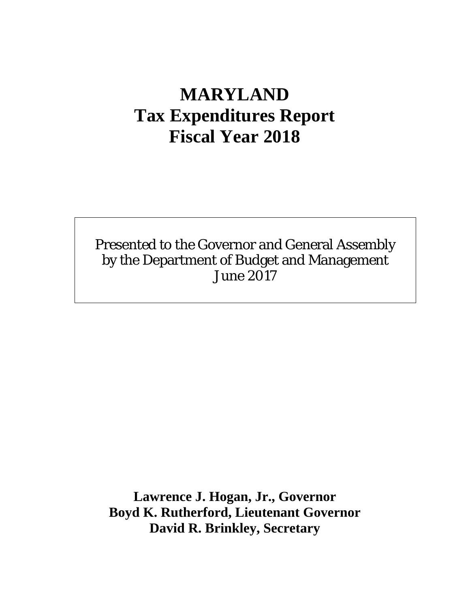# **MARYLAND Tax Expenditures Report Fiscal Year 2018**

Presented to the Governor and General Assembly by the Department of Budget and Management June 2017

**Lawrence J. Hogan, Jr., Governor Boyd K. Rutherford, Lieutenant Governor David R. Brinkley, Secretary**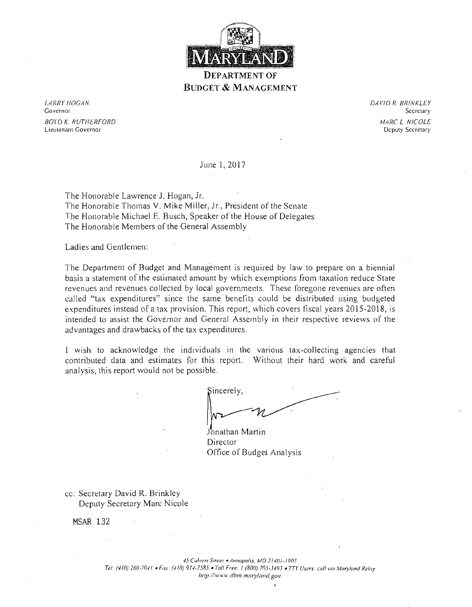

# **BUDGET** & MANAGEMENT

LARRY HOGAN DAVID R. BRINKLEY Governor Secretary BOYD K. RUTHERFORD : <sup>MARC</sup> L. *NICOLE*<br>Compared to the control of the control of the control of the control of the control of the control of the control of the control of the control of the control of the control of the c Lieutenant Governor

June 1,2017

The Honorable Lawrence J. Hogan, Jr. The Honorable Thomas v. Mike Miller, Jr., President of the Senate The Honorable Michael E. Busch, Speaker of the House of Delegates The Honorable Members of the General Assembly

Ladies and Gentlemen:

The Department of Budget and Management is required by law to prepare on a biennial basis a statement of the estimated amolint by which exemptions from taxation reduce State revenues and revenues collected by local governments. These foregone revenues are often called "tax expenditures" since the same benefits could be distributed using budgeted expenditures instead of a tax provision. This report, which covers fiscal years 2015-2018, is intended to assist the Governor and General Assembly in their respective reviews of the advantages and drawbacks of the tax expenditures.

1 wish to acknowledge the individuals in the various tax-collecting agencies that contributed data and estimates for this report. Without their hard work and careful analysis, this report would not be possible.

Sincerely,

Jonathan Martin Director Office of Budget Analysis

cc: Secretary David R. Brinkley Deputy Secretary Marc Nicole

MSAR 132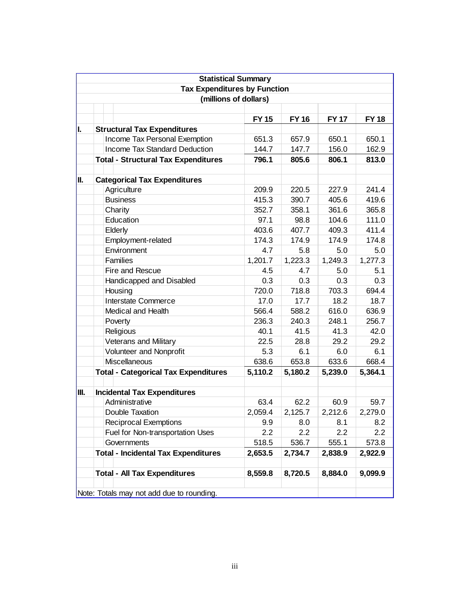|      | <b>Statistical Summary</b>                  |              |              |              |              |
|------|---------------------------------------------|--------------|--------------|--------------|--------------|
|      | <b>Tax Expenditures by Function</b>         |              |              |              |              |
|      | (millions of dollars)                       |              |              |              |              |
|      |                                             |              |              |              |              |
|      |                                             | <b>FY 15</b> | <b>FY 16</b> | <b>FY 17</b> | <b>FY 18</b> |
| I.   | <b>Structural Tax Expenditures</b>          |              |              |              |              |
|      | Income Tax Personal Exemption               | 651.3        | 657.9        | 650.1        | 650.1        |
|      | Income Tax Standard Deduction               | 144.7        | 147.7        | 156.0        | 162.9        |
|      | <b>Total - Structural Tax Expenditures</b>  | 796.1        | 805.6        | 806.1        | 813.0        |
|      |                                             |              |              |              |              |
| II.  | <b>Categorical Tax Expenditures</b>         |              |              |              |              |
|      | Agriculture                                 | 209.9        | 220.5        | 227.9        | 241.4        |
|      | <b>Business</b>                             | 415.3        | 390.7        | 405.6        | 419.6        |
|      | Charity                                     | 352.7        | 358.1        | 361.6        | 365.8        |
|      | Education                                   | 97.1         | 98.8         | 104.6        | 111.0        |
|      | Elderly                                     | 403.6        | 407.7        | 409.3        | 411.4        |
|      | Employment-related                          | 174.3        | 174.9        | 174.9        | 174.8        |
|      | Environment                                 | 4.7          | 5.8          | 5.0          | 5.0          |
|      | <b>Families</b>                             | 1,201.7      | 1,223.3      | 1,249.3      | 1,277.3      |
|      | Fire and Rescue                             | 4.5          | 4.7          | 5.0          | 5.1          |
|      | Handicapped and Disabled                    | 0.3          | 0.3          | 0.3          | 0.3          |
|      | Housing                                     | 720.0        | 718.8        | 703.3        | 694.4        |
|      | Interstate Commerce                         | 17.0         | 17.7         | 18.2         | 18.7         |
|      | Medical and Health                          | 566.4        | 588.2        | 616.0        | 636.9        |
|      | Poverty                                     | 236.3        | 240.3        | 248.1        | 256.7        |
|      | Religious                                   | 40.1         | 41.5         | 41.3         | 42.0         |
|      | <b>Veterans and Military</b>                | 22.5         | 28.8         | 29.2         | 29.2         |
|      | Volunteer and Nonprofit                     | 5.3          | 6.1          | 6.0          | 6.1          |
|      | Miscellaneous                               | 638.6        | 653.8        | 633.6        | 668.4        |
|      | <b>Total - Categorical Tax Expenditures</b> | 5,110.2      | 5,180.2      | 5,239.0      | 5,364.1      |
|      |                                             |              |              |              |              |
| III. | <b>Incidental Tax Expenditures</b>          |              |              |              |              |
|      | Administrative                              | 63.4         | 62.2         | 60.9         | 59.7         |
|      | Double Taxation                             | 2,059.4      | 2,125.7      | 2,212.6      | 2,279.0      |
|      | <b>Reciprocal Exemptions</b>                | 9.9          | 8.0          | 8.1          | 8.2          |
|      | Fuel for Non-transportation Uses            | 2.2          | 2.2          | 2.2          | 2.2          |
|      | Governments                                 | 518.5        | 536.7        | 555.1        | 573.8        |
|      | <b>Total - Incidental Tax Expenditures</b>  | 2,653.5      | 2,734.7      | 2,838.9      | 2,922.9      |
|      |                                             |              |              |              |              |
|      | <b>Total - All Tax Expenditures</b>         | 8,559.8      | 8,720.5      | 8,884.0      | 9,099.9      |
|      | Note: Totals may not add due to rounding.   |              |              |              |              |
|      |                                             |              |              |              |              |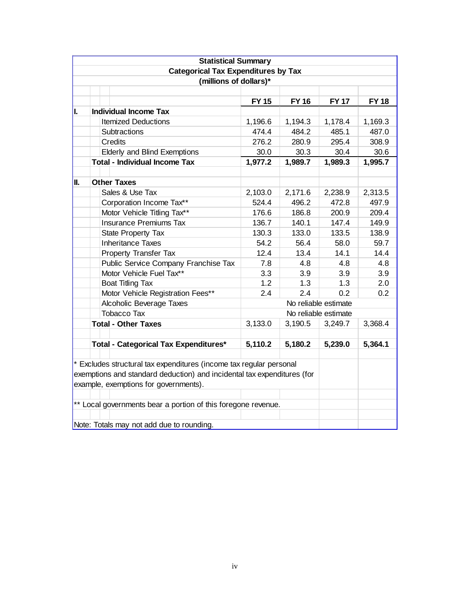|     | <b>Statistical Summary</b>                                              |              |              |                      |             |  |  |
|-----|-------------------------------------------------------------------------|--------------|--------------|----------------------|-------------|--|--|
|     | <b>Categorical Tax Expenditures by Tax</b>                              |              |              |                      |             |  |  |
|     | (millions of dollars)*                                                  |              |              |                      |             |  |  |
|     |                                                                         |              |              |                      |             |  |  |
|     |                                                                         | <b>FY 15</b> | <b>FY 16</b> | <b>FY 17</b>         | <b>FY18</b> |  |  |
| II. | <b>Individual Income Tax</b>                                            |              |              |                      |             |  |  |
|     | <b>Itemized Deductions</b>                                              | 1,196.6      | 1,194.3      | 1,178.4              | 1,169.3     |  |  |
|     | Subtractions                                                            | 474.4        | 484.2        | 485.1                | 487.0       |  |  |
|     | Credits                                                                 | 276.2        | 280.9        | 295.4                | 308.9       |  |  |
|     | <b>Elderly and Blind Exemptions</b>                                     | 30.0         | 30.3         | 30.4                 | 30.6        |  |  |
|     | <b>Total - Individual Income Tax</b>                                    | 1,977.2      | 1,989.7      | 1,989.3              | 1,995.7     |  |  |
|     |                                                                         |              |              |                      |             |  |  |
| H.  | <b>Other Taxes</b>                                                      |              |              |                      |             |  |  |
|     | Sales & Use Tax                                                         | 2,103.0      | 2,171.6      | 2,238.9              | 2,313.5     |  |  |
|     | Corporation Income Tax**                                                | 524.4        | 496.2        | 472.8                | 497.9       |  |  |
|     | Motor Vehicle Titling Tax**                                             | 176.6        | 186.8        | 200.9                | 209.4       |  |  |
|     | <b>Insurance Premiums Tax</b>                                           | 136.7        | 140.1        | 147.4                | 149.9       |  |  |
|     | <b>State Property Tax</b>                                               | 130.3        | 133.0        | 133.5                | 138.9       |  |  |
|     | <b>Inheritance Taxes</b>                                                | 54.2         | 56.4         | 58.0                 | 59.7        |  |  |
|     | Property Transfer Tax                                                   | 12.4         | 13.4         | 14.1                 | 14.4        |  |  |
|     | Public Service Company Franchise Tax                                    | 7.8          | 4.8          | 4.8                  | 4.8         |  |  |
|     | Motor Vehicle Fuel Tax**                                                | 3.3          | 3.9          | 3.9                  | 3.9         |  |  |
|     | <b>Boat Titling Tax</b>                                                 | 1.2          | 1.3          | 1.3                  | 2.0         |  |  |
|     | Motor Vehicle Registration Fees**                                       | 2.4          | 2.4          | 0.2                  | 0.2         |  |  |
|     | Alcoholic Beverage Taxes                                                |              |              | No reliable estimate |             |  |  |
|     | <b>Tobacco Tax</b>                                                      |              |              | No reliable estimate |             |  |  |
|     | <b>Total - Other Taxes</b>                                              | 3,133.0      | 3,190.5      | 3,249.7              | 3,368.4     |  |  |
|     |                                                                         |              |              |                      |             |  |  |
|     | <b>Total - Categorical Tax Expenditures*</b>                            | 5,110.2      | 5,180.2      | 5,239.0              | 5,364.1     |  |  |
|     |                                                                         |              |              |                      |             |  |  |
|     | * Excludes structural tax expenditures (income tax regular personal     |              |              |                      |             |  |  |
|     | exemptions and standard deduction) and incidental tax expenditures (for |              |              |                      |             |  |  |
|     | example, exemptions for governments).                                   |              |              |                      |             |  |  |
|     |                                                                         |              |              |                      |             |  |  |
|     | ** Local governments bear a portion of this foregone revenue.           |              |              |                      |             |  |  |
|     |                                                                         |              |              |                      |             |  |  |
|     | Note: Totals may not add due to rounding.                               |              |              |                      |             |  |  |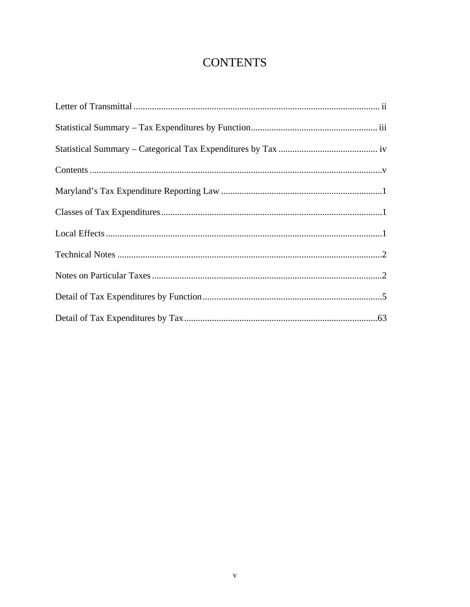# **CONTENTS**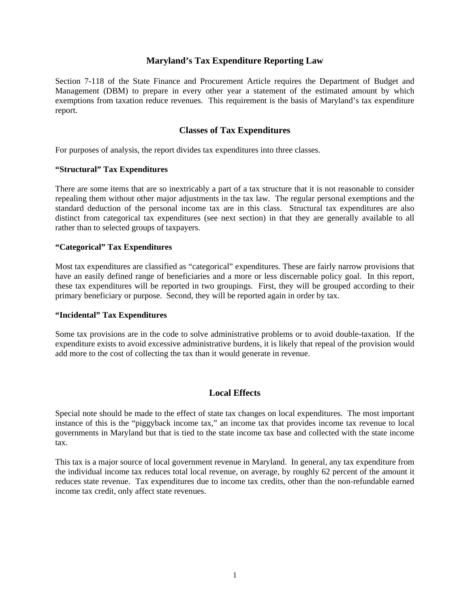### **Maryland's Tax Expenditure Reporting Law**

Section 7-118 of the State Finance and Procurement Article requires the Department of Budget and Management (DBM) to prepare in every other year a statement of the estimated amount by which exemptions from taxation reduce revenues. This requirement is the basis of Maryland's tax expenditure report.

#### **Classes of Tax Expenditures**

For purposes of analysis, the report divides tax expenditures into three classes.

#### **"Structural" Tax Expenditures**

There are some items that are so inextricably a part of a tax structure that it is not reasonable to consider repealing them without other major adjustments in the tax law. The regular personal exemptions and the standard deduction of the personal income tax are in this class. Structural tax expenditures are also distinct from categorical tax expenditures (see next section) in that they are generally available to all rather than to selected groups of taxpayers.

#### **"Categorical" Tax Expenditures**

Most tax expenditures are classified as "categorical" expenditures. These are fairly narrow provisions that have an easily defined range of beneficiaries and a more or less discernable policy goal. In this report, these tax expenditures will be reported in two groupings. First, they will be grouped according to their primary beneficiary or purpose. Second, they will be reported again in order by tax.

#### **"Incidental" Tax Expenditures**

Some tax provisions are in the code to solve administrative problems or to avoid double-taxation. If the expenditure exists to avoid excessive administrative burdens, it is likely that repeal of the provision would add more to the cost of collecting the tax than it would generate in revenue.

### **Local Effects**

Special note should be made to the effect of state tax changes on local expenditures. The most important instance of this is the "piggyback income tax," an income tax that provides income tax revenue to local governments in Maryland but that is tied to the state income tax base and collected with the state income tax.

This tax is a major source of local government revenue in Maryland. In general, any tax expenditure from the individual income tax reduces total local revenue, on average, by roughly 62 percent of the amount it reduces state revenue. Tax expenditures due to income tax credits, other than the non-refundable earned income tax credit, only affect state revenues.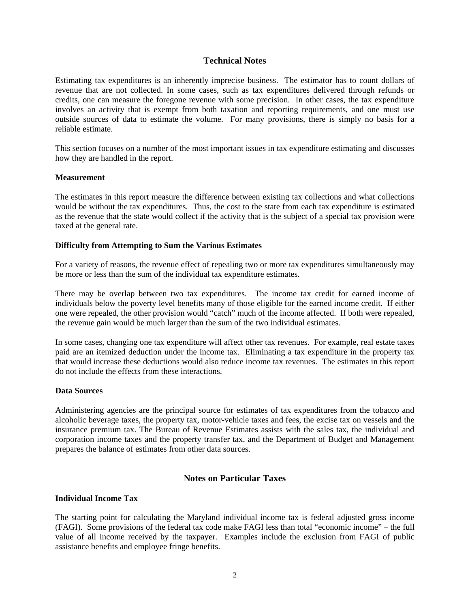#### **Technical Notes**

Estimating tax expenditures is an inherently imprecise business. The estimator has to count dollars of revenue that are not collected. In some cases, such as tax expenditures delivered through refunds or credits, one can measure the foregone revenue with some precision. In other cases, the tax expenditure involves an activity that is exempt from both taxation and reporting requirements, and one must use outside sources of data to estimate the volume. For many provisions, there is simply no basis for a reliable estimate.

This section focuses on a number of the most important issues in tax expenditure estimating and discusses how they are handled in the report.

#### **Measurement**

The estimates in this report measure the difference between existing tax collections and what collections would be without the tax expenditures. Thus, the cost to the state from each tax expenditure is estimated as the revenue that the state would collect if the activity that is the subject of a special tax provision were taxed at the general rate.

#### **Difficulty from Attempting to Sum the Various Estimates**

For a variety of reasons, the revenue effect of repealing two or more tax expenditures simultaneously may be more or less than the sum of the individual tax expenditure estimates.

There may be overlap between two tax expenditures. The income tax credit for earned income of individuals below the poverty level benefits many of those eligible for the earned income credit. If either one were repealed, the other provision would "catch" much of the income affected. If both were repealed, the revenue gain would be much larger than the sum of the two individual estimates.

In some cases, changing one tax expenditure will affect other tax revenues. For example, real estate taxes paid are an itemized deduction under the income tax. Eliminating a tax expenditure in the property tax that would increase these deductions would also reduce income tax revenues. The estimates in this report do not include the effects from these interactions.

#### **Data Sources**

Administering agencies are the principal source for estimates of tax expenditures from the tobacco and alcoholic beverage taxes, the property tax, motor-vehicle taxes and fees, the excise tax on vessels and the insurance premium tax. The Bureau of Revenue Estimates assists with the sales tax, the individual and corporation income taxes and the property transfer tax, and the Department of Budget and Management prepares the balance of estimates from other data sources.

## **Notes on Particular Taxes**

#### **Individual Income Tax**

The starting point for calculating the Maryland individual income tax is federal adjusted gross income (FAGI). Some provisions of the federal tax code make FAGI less than total "economic income" – the full value of all income received by the taxpayer. Examples include the exclusion from FAGI of public assistance benefits and employee fringe benefits.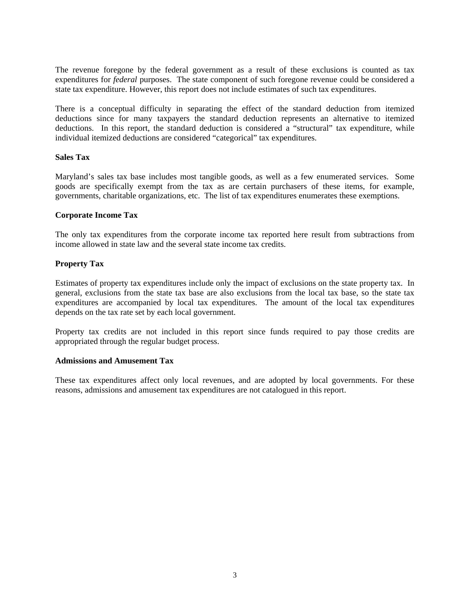The revenue foregone by the federal government as a result of these exclusions is counted as tax expenditures for *federal* purposes. The state component of such foregone revenue could be considered a state tax expenditure. However, this report does not include estimates of such tax expenditures.

There is a conceptual difficulty in separating the effect of the standard deduction from itemized deductions since for many taxpayers the standard deduction represents an alternative to itemized deductions. In this report, the standard deduction is considered a "structural" tax expenditure, while individual itemized deductions are considered "categorical" tax expenditures.

#### **Sales Tax**

Maryland's sales tax base includes most tangible goods, as well as a few enumerated services. Some goods are specifically exempt from the tax as are certain purchasers of these items, for example, governments, charitable organizations, etc. The list of tax expenditures enumerates these exemptions.

#### **Corporate Income Tax**

The only tax expenditures from the corporate income tax reported here result from subtractions from income allowed in state law and the several state income tax credits.

#### **Property Tax**

Estimates of property tax expenditures include only the impact of exclusions on the state property tax. In general, exclusions from the state tax base are also exclusions from the local tax base, so the state tax expenditures are accompanied by local tax expenditures. The amount of the local tax expenditures depends on the tax rate set by each local government.

Property tax credits are not included in this report since funds required to pay those credits are appropriated through the regular budget process.

#### **Admissions and Amusement Tax**

These tax expenditures affect only local revenues, and are adopted by local governments. For these reasons, admissions and amusement tax expenditures are not catalogued in this report.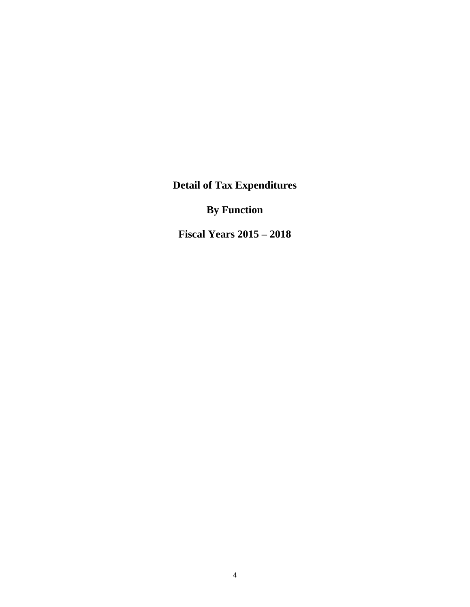**Detail of Tax Expenditures** 

**By Function** 

**Fiscal Years 2015 – 2018**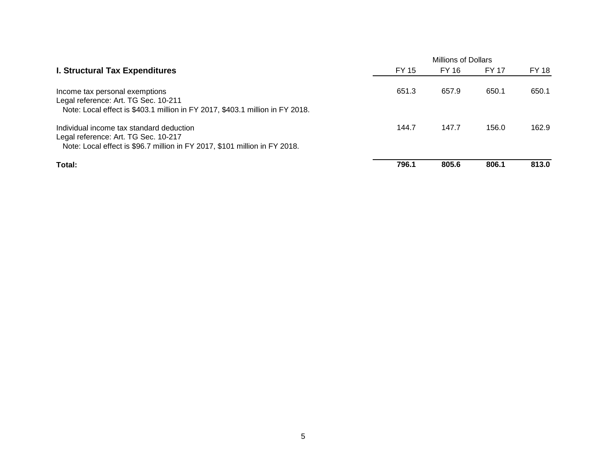|                                                                                                                                                                |       | <b>Millions of Dollars</b> |              |       |  |
|----------------------------------------------------------------------------------------------------------------------------------------------------------------|-------|----------------------------|--------------|-------|--|
| <b>I. Structural Tax Expenditures</b>                                                                                                                          | FY 15 | FY 16                      | <b>FY 17</b> | FY 18 |  |
| Income tax personal exemptions<br>Legal reference: Art. TG Sec. 10-211<br>Note: Local effect is \$403.1 million in FY 2017, \$403.1 million in FY 2018.        | 651.3 | 657.9                      | 650.1        | 650.1 |  |
| Individual income tax standard deduction<br>Legal reference: Art. TG Sec. 10-217<br>Note: Local effect is \$96.7 million in FY 2017, \$101 million in FY 2018. | 144.7 | 147.7                      | 156.0        | 162.9 |  |
| Total:                                                                                                                                                         | 796.1 | 805.6                      | 806.1        | 813.0 |  |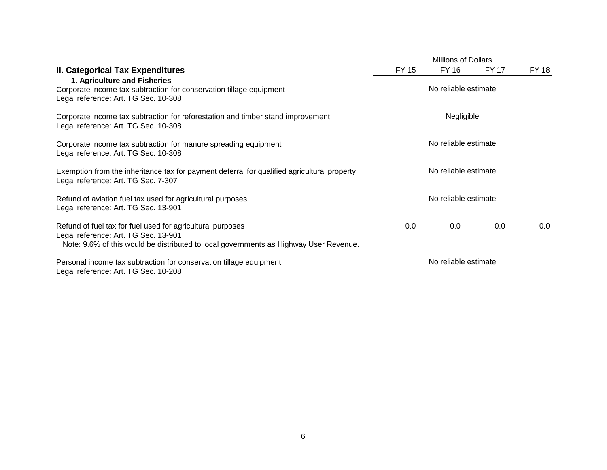|                                                                                                                                                                                             | <b>Millions of Dollars</b> |                      |              |       |  |
|---------------------------------------------------------------------------------------------------------------------------------------------------------------------------------------------|----------------------------|----------------------|--------------|-------|--|
| II. Categorical Tax Expenditures<br>1. Agriculture and Fisheries                                                                                                                            | FY 15                      | FY 16                | <b>FY 17</b> | FY 18 |  |
| Corporate income tax subtraction for conservation tillage equipment<br>Legal reference: Art. TG Sec. 10-308                                                                                 | No reliable estimate       |                      |              |       |  |
| Corporate income tax subtraction for reforestation and timber stand improvement<br>Legal reference: Art. TG Sec. 10-308                                                                     |                            | Negligible           |              |       |  |
| Corporate income tax subtraction for manure spreading equipment<br>Legal reference: Art. TG Sec. 10-308                                                                                     |                            | No reliable estimate |              |       |  |
| Exemption from the inheritance tax for payment deferral for qualified agricultural property<br>Legal reference: Art. TG Sec. 7-307                                                          |                            | No reliable estimate |              |       |  |
| Refund of aviation fuel tax used for agricultural purposes<br>Legal reference: Art. TG Sec. 13-901                                                                                          |                            | No reliable estimate |              |       |  |
| Refund of fuel tax for fuel used for agricultural purposes<br>Legal reference: Art. TG Sec. 13-901<br>Note: 9.6% of this would be distributed to local governments as Highway User Revenue. | 0.0                        | $0.0\,$              | 0.0          | 0.0   |  |
| Personal income tax subtraction for conservation tillage equipment<br>Legal reference: Art. TG Sec. 10-208                                                                                  |                            | No reliable estimate |              |       |  |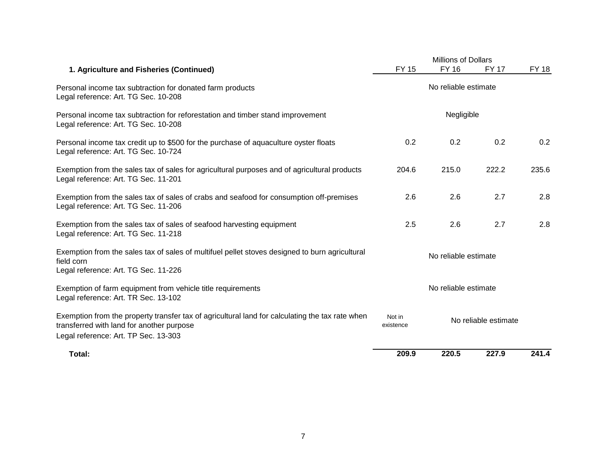|                                                                                                                                                                                      | <b>Millions of Dollars</b>                  |              |              |              |  |  |
|--------------------------------------------------------------------------------------------------------------------------------------------------------------------------------------|---------------------------------------------|--------------|--------------|--------------|--|--|
| 1. Agriculture and Fisheries (Continued)                                                                                                                                             | <b>FY 15</b>                                | <b>FY 16</b> | <b>FY 17</b> | <b>FY 18</b> |  |  |
| Personal income tax subtraction for donated farm products<br>Legal reference: Art. TG Sec. 10-208                                                                                    | No reliable estimate                        |              |              |              |  |  |
| Personal income tax subtraction for reforestation and timber stand improvement<br>Legal reference: Art. TG Sec. 10-208                                                               |                                             |              |              |              |  |  |
| Personal income tax credit up to \$500 for the purchase of aquaculture oyster floats<br>Legal reference: Art. TG Sec. 10-724                                                         | 0.2                                         | 0.2          | 0.2          | 0.2          |  |  |
| Exemption from the sales tax of sales for agricultural purposes and of agricultural products<br>Legal reference: Art. TG Sec. 11-201                                                 | 204.6                                       | 215.0        | 222.2        | 235.6        |  |  |
| Exemption from the sales tax of sales of crabs and seafood for consumption off-premises<br>Legal reference: Art. TG Sec. 11-206                                                      | 2.6                                         | 2.6          | 2.7          | 2.8          |  |  |
| Exemption from the sales tax of sales of seafood harvesting equipment<br>Legal reference: Art. TG Sec. 11-218                                                                        | 2.5                                         | 2.6          | 2.7          | 2.8          |  |  |
| Exemption from the sales tax of sales of multifuel pellet stoves designed to burn agricultural<br>field corn<br>Legal reference: Art. TG Sec. 11-226                                 | No reliable estimate                        |              |              |              |  |  |
| Exemption of farm equipment from vehicle title requirements<br>Legal reference: Art. TR Sec. 13-102                                                                                  | No reliable estimate                        |              |              |              |  |  |
| Exemption from the property transfer tax of agricultural land for calculating the tax rate when<br>transferred with land for another purpose<br>Legal reference: Art. TP Sec. 13-303 | Not in<br>No reliable estimate<br>existence |              |              |              |  |  |
| Total:                                                                                                                                                                               | 209.9                                       | 220.5        | 227.9        | 241.4        |  |  |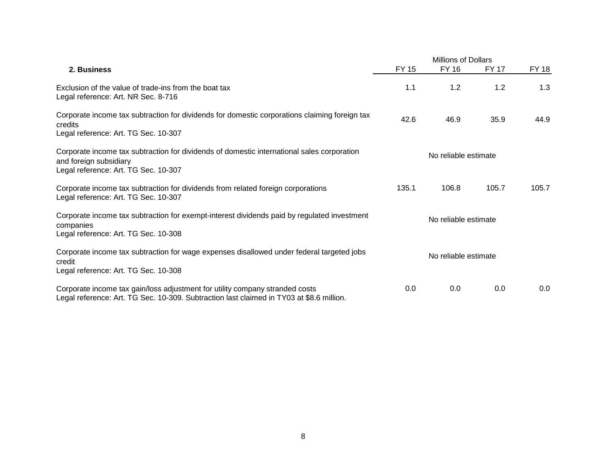|                                                                                                                                                                          |       | <b>Millions of Dollars</b> |              |              |  |
|--------------------------------------------------------------------------------------------------------------------------------------------------------------------------|-------|----------------------------|--------------|--------------|--|
| 2. Business                                                                                                                                                              | FY 15 | <b>FY 16</b>               | <b>FY 17</b> | <b>FY 18</b> |  |
| Exclusion of the value of trade-ins from the boat tax<br>Legal reference: Art. NR Sec. 8-716                                                                             | 1.1   | 1.2                        | 1.2          | 1.3          |  |
| Corporate income tax subtraction for dividends for domestic corporations claiming foreign tax<br>credits<br>Legal reference: Art. TG Sec. 10-307                         | 42.6  | 46.9                       | 35.9         | 44.9         |  |
| Corporate income tax subtraction for dividends of domestic international sales corporation<br>and foreign subsidiary<br>Legal reference: Art. TG Sec. 10-307             |       | No reliable estimate       |              |              |  |
| Corporate income tax subtraction for dividends from related foreign corporations<br>Legal reference: Art. TG Sec. 10-307                                                 | 135.1 | 106.8                      | 105.7        | 105.7        |  |
| Corporate income tax subtraction for exempt-interest dividends paid by regulated investment<br>companies<br>Legal reference: Art. TG Sec. 10-308                         |       | No reliable estimate       |              |              |  |
| Corporate income tax subtraction for wage expenses disallowed under federal targeted jobs<br>credit<br>Legal reference: Art. TG Sec. 10-308                              |       | No reliable estimate       |              |              |  |
| Corporate income tax gain/loss adjustment for utility company stranded costs<br>Legal reference: Art. TG Sec. 10-309. Subtraction last claimed in TY03 at \$8.6 million. | 0.0   | 0.0                        | 0.0          | 0.0          |  |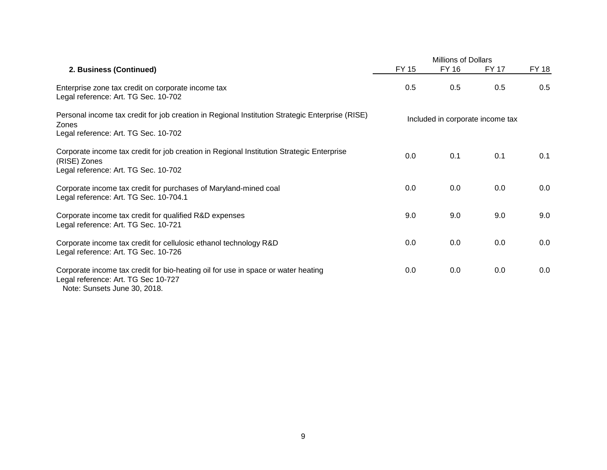|                                                                                                                                                          | <b>Millions of Dollars</b> |              |                                  |       |
|----------------------------------------------------------------------------------------------------------------------------------------------------------|----------------------------|--------------|----------------------------------|-------|
| 2. Business (Continued)                                                                                                                                  | <b>FY 15</b>               | <b>FY 16</b> | FY 17                            | FY 18 |
| Enterprise zone tax credit on corporate income tax<br>Legal reference: Art. TG Sec. 10-702                                                               | 0.5                        | 0.5          | 0.5                              | 0.5   |
| Personal income tax credit for job creation in Regional Institution Strategic Enterprise (RISE)<br>Zones<br>Legal reference: Art. TG Sec. 10-702         |                            |              | Included in corporate income tax |       |
| Corporate income tax credit for job creation in Regional Institution Strategic Enterprise<br>(RISE) Zones<br>Legal reference: Art. TG Sec. 10-702        | 0.0                        | 0.1          | 0.1                              | 0.1   |
| Corporate income tax credit for purchases of Maryland-mined coal<br>Legal reference: Art. TG Sec. 10-704.1                                               | 0.0                        | 0.0          | 0.0                              | 0.0   |
| Corporate income tax credit for qualified R&D expenses<br>Legal reference: Art. TG Sec. 10-721                                                           | 9.0                        | 9.0          | 9.0                              | 9.0   |
| Corporate income tax credit for cellulosic ethanol technology R&D<br>Legal reference: Art. TG Sec. 10-726                                                | 0.0                        | 0.0          | 0.0                              | 0.0   |
| Corporate income tax credit for bio-heating oil for use in space or water heating<br>Legal reference: Art. TG Sec 10-727<br>Note: Sunsets June 30, 2018. | 0.0                        | 0.0          | 0.0                              | 0.0   |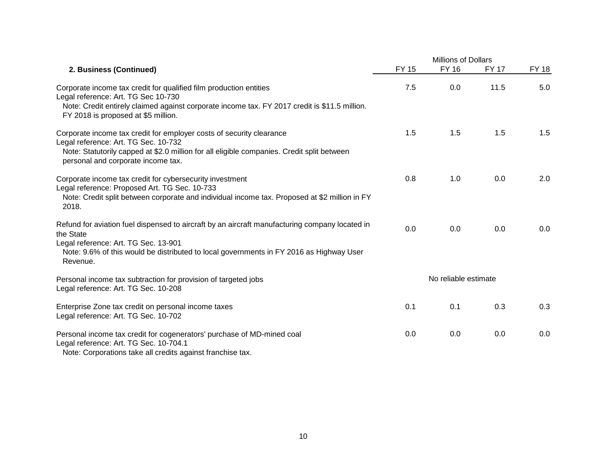|                                                                                                                                                                                                                                                            |              | <b>Millions of Dollars</b> |              |              |  |  |
|------------------------------------------------------------------------------------------------------------------------------------------------------------------------------------------------------------------------------------------------------------|--------------|----------------------------|--------------|--------------|--|--|
| 2. Business (Continued)                                                                                                                                                                                                                                    | <b>FY 15</b> | <b>FY 16</b>               | <b>FY 17</b> | <b>FY 18</b> |  |  |
| Corporate income tax credit for qualified film production entities<br>Legal reference: Art. TG Sec 10-730<br>Note: Credit entirely claimed against corporate income tax. FY 2017 credit is \$11.5 million.<br>FY 2018 is proposed at \$5 million.          | 7.5          | 0.0                        | 11.5         | 5.0          |  |  |
| Corporate income tax credit for employer costs of security clearance<br>Legal reference: Art. TG Sec. 10-732<br>Note: Statutorily capped at \$2.0 million for all eligible companies. Credit split between<br>personal and corporate income tax.           | 1.5          | 1.5                        | 1.5          | 1.5          |  |  |
| Corporate income tax credit for cybersecurity investment<br>Legal reference: Proposed Art. TG Sec. 10-733<br>Note: Credit split between corporate and individual income tax. Proposed at \$2 million in FY<br>2018.                                        | 0.8          | 1.0                        | 0.0          | 2.0          |  |  |
| Refund for aviation fuel dispensed to aircraft by an aircraft manufacturing company located in<br>the State<br>Legal reference: Art. TG Sec. 13-901<br>Note: 9.6% of this would be distributed to local governments in FY 2016 as Highway User<br>Revenue. | 0.0          | 0.0                        | 0.0          | 0.0          |  |  |
| Personal income tax subtraction for provision of targeted jobs<br>Legal reference: Art. TG Sec. 10-208                                                                                                                                                     |              | No reliable estimate       |              |              |  |  |
| Enterprise Zone tax credit on personal income taxes<br>Legal reference: Art. TG Sec. 10-702                                                                                                                                                                | 0.1          | 0.1                        | 0.3          | 0.3          |  |  |
| Personal income tax credit for cogenerators' purchase of MD-mined coal<br>Legal reference: Art. TG Sec. 10-704.1<br>Note: Corporations take all credits against franchise tax.                                                                             | 0.0          | 0.0                        | 0.0          | 0.0          |  |  |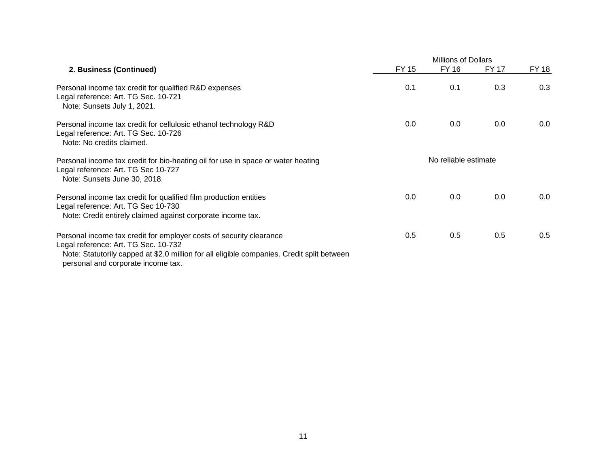|                                                                                                                                                                                                                                                 | <b>Millions of Dollars</b> |                      |              |       |
|-------------------------------------------------------------------------------------------------------------------------------------------------------------------------------------------------------------------------------------------------|----------------------------|----------------------|--------------|-------|
| 2. Business (Continued)                                                                                                                                                                                                                         | FY 15                      | FY 16                | <b>FY 17</b> | FY 18 |
| Personal income tax credit for qualified R&D expenses<br>Legal reference: Art. TG Sec. 10-721<br>Note: Sunsets July 1, 2021.                                                                                                                    | 0.1                        | 0.1                  | 0.3          | 0.3   |
| Personal income tax credit for cellulosic ethanol technology R&D<br>Legal reference: Art. TG Sec. 10-726<br>Note: No credits claimed.                                                                                                           | 0.0                        | 0.0                  | 0.0          | 0.0   |
| Personal income tax credit for bio-heating oil for use in space or water heating<br>Legal reference: Art. TG Sec 10-727<br>Note: Sunsets June 30, 2018.                                                                                         |                            | No reliable estimate |              |       |
| Personal income tax credit for qualified film production entities<br>Legal reference: Art. TG Sec 10-730<br>Note: Credit entirely claimed against corporate income tax.                                                                         | 0.0                        | 0.0                  | 0.0          | 0.0   |
| Personal income tax credit for employer costs of security clearance<br>Legal reference: Art. TG Sec. 10-732<br>Note: Statutorily capped at \$2.0 million for all eligible companies. Credit split between<br>personal and corporate income tax. | 0.5                        | 0.5                  | 0.5          | 0.5   |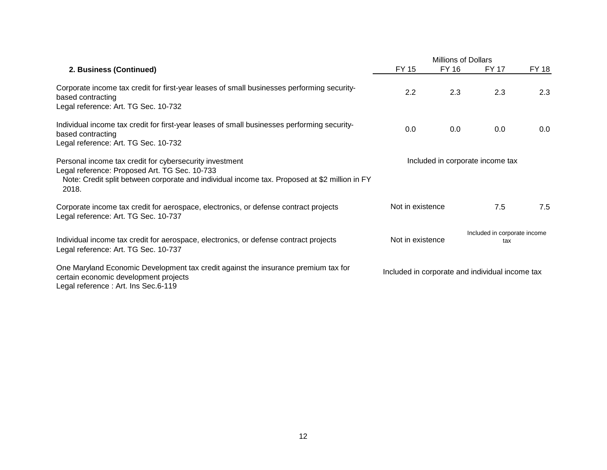|                                                                                                                                                                                                                    | <b>Millions of Dollars</b> |              |                                                 |              |
|--------------------------------------------------------------------------------------------------------------------------------------------------------------------------------------------------------------------|----------------------------|--------------|-------------------------------------------------|--------------|
| 2. Business (Continued)                                                                                                                                                                                            | <b>FY 15</b>               | <b>FY 16</b> | <b>FY 17</b>                                    | <b>FY 18</b> |
| Corporate income tax credit for first-year leases of small businesses performing security-<br>based contracting<br>Legal reference: Art. TG Sec. 10-732                                                            | 2.2                        | 2.3          | 2.3                                             | 2.3          |
|                                                                                                                                                                                                                    |                            |              |                                                 |              |
| Individual income tax credit for first-year leases of small businesses performing security-<br>based contracting                                                                                                   | 0.0                        | 0.0          | 0.0                                             | 0.0          |
| Legal reference: Art. TG Sec. 10-732                                                                                                                                                                               |                            |              |                                                 |              |
| Personal income tax credit for cybersecurity investment<br>Legal reference: Proposed Art. TG Sec. 10-733<br>Note: Credit split between corporate and individual income tax. Proposed at \$2 million in FY<br>2018. |                            |              | Included in corporate income tax                |              |
| Corporate income tax credit for aerospace, electronics, or defense contract projects<br>Legal reference: Art. TG Sec. 10-737                                                                                       | Not in existence           |              | 7.5                                             | 7.5          |
| Individual income tax credit for aerospace, electronics, or defense contract projects<br>Legal reference: Art. TG Sec. 10-737                                                                                      | Not in existence           |              | Included in corporate income<br>tax             |              |
| One Maryland Economic Development tax credit against the insurance premium tax for<br>certain economic development projects<br>Legal reference: Art. Ins Sec.6-119                                                 |                            |              | Included in corporate and individual income tax |              |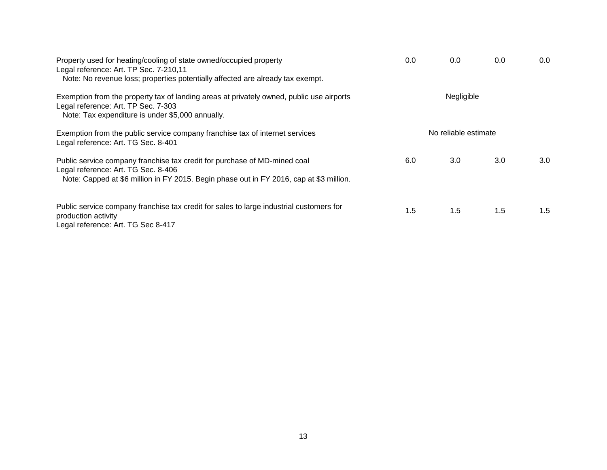| Property used for heating/cooling of state owned/occupied property<br>Legal reference: Art. TP Sec. 7-210,11<br>Note: No revenue loss; properties potentially affected are already tax exempt.              | 0.0 | 0.0                  | 0.0 | 0.0              |
|-------------------------------------------------------------------------------------------------------------------------------------------------------------------------------------------------------------|-----|----------------------|-----|------------------|
| Exemption from the property tax of landing areas at privately owned, public use airports<br>Legal reference: Art. TP Sec. 7-303<br>Note: Tax expenditure is under \$5,000 annually.                         |     | Negligible           |     |                  |
| Exemption from the public service company franchise tax of internet services<br>Legal reference: Art. TG Sec. 8-401                                                                                         |     | No reliable estimate |     |                  |
| Public service company franchise tax credit for purchase of MD-mined coal<br>Legal reference: Art. TG Sec. 8-406<br>Note: Capped at \$6 million in FY 2015. Begin phase out in FY 2016, cap at \$3 million. | 6.0 | 3.0 <sub>2</sub>     | 3.0 | 3.0 <sub>2</sub> |
| Public service company franchise tax credit for sales to large industrial customers for<br>production activity<br>Legal reference: Art. TG Sec 8-417                                                        | 1.5 | 1.5                  | 1.5 | 1.5              |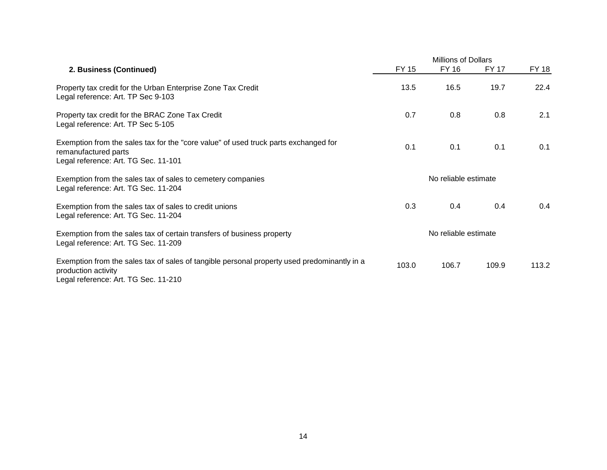|                                                                                                                                                            |                      | <b>Millions of Dollars</b> |              |              |  |
|------------------------------------------------------------------------------------------------------------------------------------------------------------|----------------------|----------------------------|--------------|--------------|--|
| 2. Business (Continued)                                                                                                                                    | <b>FY 15</b>         | FY 16                      | <b>FY 17</b> | <b>FY 18</b> |  |
| Property tax credit for the Urban Enterprise Zone Tax Credit<br>Legal reference: Art. TP Sec 9-103                                                         | 13.5                 | 16.5                       | 19.7         | 22.4         |  |
| Property tax credit for the BRAC Zone Tax Credit<br>Legal reference: Art. TP Sec 5-105                                                                     | 0.7                  | 0.8                        | 0.8          | 2.1          |  |
| Exemption from the sales tax for the "core value" of used truck parts exchanged for<br>remanufactured parts<br>Legal reference: Art. TG Sec. 11-101        | 0.1                  | 0.1                        | 0.1          | 0.1          |  |
| Exemption from the sales tax of sales to cemetery companies<br>Legal reference: Art. TG Sec. 11-204                                                        | No reliable estimate |                            |              |              |  |
| Exemption from the sales tax of sales to credit unions<br>Legal reference: Art. TG Sec. 11-204                                                             | 0.3                  | 0.4                        | 0.4          | 0.4          |  |
| Exemption from the sales tax of certain transfers of business property<br>Legal reference: Art. TG Sec. 11-209                                             | No reliable estimate |                            |              |              |  |
| Exemption from the sales tax of sales of tangible personal property used predominantly in a<br>production activity<br>Legal reference: Art. TG Sec. 11-210 | 103.0                | 106.7                      | 109.9        | 113.2        |  |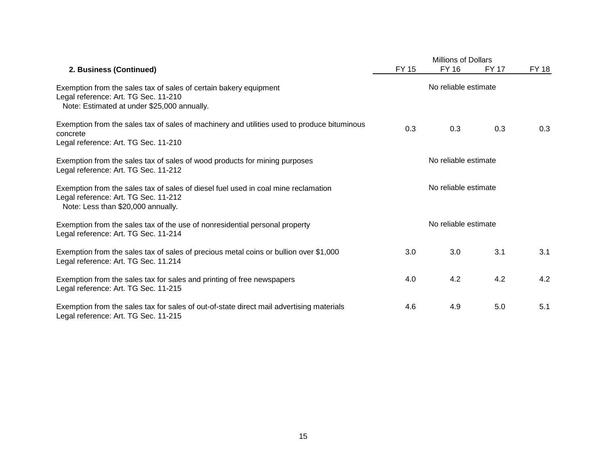|                                                                                                                                                                  | <b>Millions of Dollars</b> |                      |              |       |  |
|------------------------------------------------------------------------------------------------------------------------------------------------------------------|----------------------------|----------------------|--------------|-------|--|
| 2. Business (Continued)                                                                                                                                          | FY 15                      | FY 16                | <b>FY 17</b> | FY 18 |  |
| Exemption from the sales tax of sales of certain bakery equipment<br>Legal reference: Art. TG Sec. 11-210<br>Note: Estimated at under \$25,000 annually.         | No reliable estimate       |                      |              |       |  |
| Exemption from the sales tax of sales of machinery and utilities used to produce bituminous<br>concrete<br>Legal reference: Art. TG Sec. 11-210                  | 0.3                        | 0.3                  | 0.3          | 0.3   |  |
| Exemption from the sales tax of sales of wood products for mining purposes<br>Legal reference: Art. TG Sec. 11-212                                               | No reliable estimate       |                      |              |       |  |
| Exemption from the sales tax of sales of diesel fuel used in coal mine reclamation<br>Legal reference: Art. TG Sec. 11-212<br>Note: Less than \$20,000 annually. |                            | No reliable estimate |              |       |  |
| Exemption from the sales tax of the use of nonresidential personal property<br>Legal reference: Art. TG Sec. 11-214                                              | No reliable estimate       |                      |              |       |  |
| Exemption from the sales tax of sales of precious metal coins or bullion over \$1,000<br>Legal reference: Art. TG Sec. 11.214                                    | 3.0                        | 3.0                  | 3.1          | 3.1   |  |
| Exemption from the sales tax for sales and printing of free newspapers<br>Legal reference: Art. TG Sec. 11-215                                                   | 4.0                        | 4.2                  | 4.2          | 4.2   |  |
| Exemption from the sales tax for sales of out-of-state direct mail advertising materials<br>Legal reference: Art. TG Sec. 11-215                                 | 4.6                        | 4.9                  | 5.0          | 5.1   |  |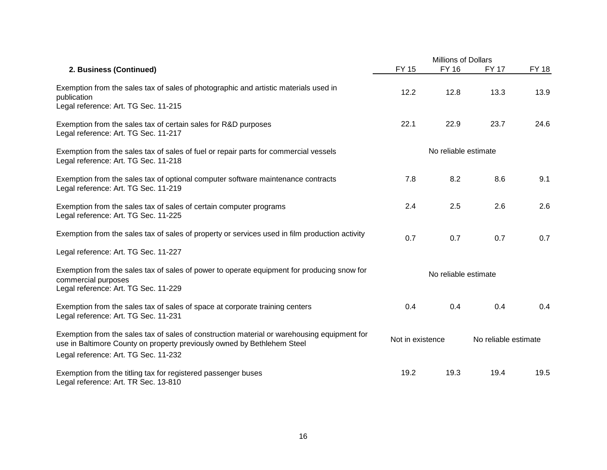|                                                                                                                                                                                                                |                      | <b>Millions of Dollars</b> |              |              |  |
|----------------------------------------------------------------------------------------------------------------------------------------------------------------------------------------------------------------|----------------------|----------------------------|--------------|--------------|--|
| 2. Business (Continued)                                                                                                                                                                                        | <b>FY 15</b>         | <b>FY 16</b>               | <b>FY 17</b> | <b>FY 18</b> |  |
| Exemption from the sales tax of sales of photographic and artistic materials used in<br>publication<br>Legal reference: Art. TG Sec. 11-215                                                                    | 12.2                 | 12.8                       | 13.3         | 13.9         |  |
| Exemption from the sales tax of certain sales for R&D purposes<br>Legal reference: Art. TG Sec. 11-217                                                                                                         | 22.1                 | 22.9                       | 23.7         | 24.6         |  |
| Exemption from the sales tax of sales of fuel or repair parts for commercial vessels<br>Legal reference: Art. TG Sec. 11-218                                                                                   | No reliable estimate |                            |              |              |  |
| Exemption from the sales tax of optional computer software maintenance contracts<br>Legal reference: Art. TG Sec. 11-219                                                                                       | 7.8                  | 8.2                        | 8.6          | 9.1          |  |
| Exemption from the sales tax of sales of certain computer programs<br>Legal reference: Art. TG Sec. 11-225                                                                                                     | 2.4                  | 2.5                        | 2.6          | 2.6          |  |
| Exemption from the sales tax of sales of property or services used in film production activity                                                                                                                 | 0.7                  | 0.7                        | 0.7          | 0.7          |  |
| Legal reference: Art. TG Sec. 11-227                                                                                                                                                                           |                      |                            |              |              |  |
| Exemption from the sales tax of sales of power to operate equipment for producing snow for<br>commercial purposes<br>Legal reference: Art. TG Sec. 11-229                                                      | No reliable estimate |                            |              |              |  |
| Exemption from the sales tax of sales of space at corporate training centers<br>Legal reference: Art. TG Sec. 11-231                                                                                           | 0.4                  | 0.4                        | 0.4          | 0.4          |  |
| Exemption from the sales tax of sales of construction material or warehousing equipment for<br>use in Baltimore County on property previously owned by Bethlehem Steel<br>Legal reference: Art. TG Sec. 11-232 | Not in existence     | No reliable estimate       |              |              |  |
| Exemption from the titling tax for registered passenger buses<br>Legal reference: Art. TR Sec. 13-810                                                                                                          | 19.2                 | 19.3                       | 19.4         | 19.5         |  |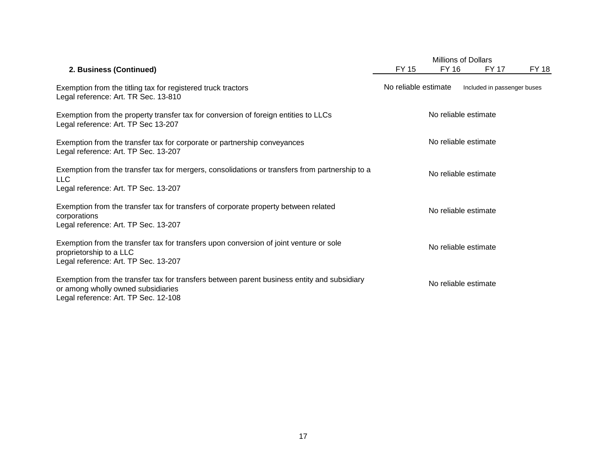|                                                                                                                                                                           |                      | <b>Millions of Dollars</b> |                             |              |  |
|---------------------------------------------------------------------------------------------------------------------------------------------------------------------------|----------------------|----------------------------|-----------------------------|--------------|--|
| 2. Business (Continued)                                                                                                                                                   | <b>FY 15</b>         | FY 16                      | <b>FY 17</b>                | <b>FY 18</b> |  |
| Exemption from the titling tax for registered truck tractors<br>Legal reference: Art. TR Sec. 13-810                                                                      | No reliable estimate |                            | Included in passenger buses |              |  |
| Exemption from the property transfer tax for conversion of foreign entities to LLCs<br>Legal reference: Art. TP Sec 13-207                                                | No reliable estimate |                            |                             |              |  |
| Exemption from the transfer tax for corporate or partnership conveyances<br>Legal reference: Art. TP Sec. 13-207                                                          | No reliable estimate |                            |                             |              |  |
| Exemption from the transfer tax for mergers, consolidations or transfers from partnership to a<br><b>LLC</b><br>Legal reference: Art. TP Sec. 13-207                      |                      | No reliable estimate       |                             |              |  |
| Exemption from the transfer tax for transfers of corporate property between related<br>corporations<br>Legal reference: Art. TP Sec. 13-207                               |                      | No reliable estimate       |                             |              |  |
| Exemption from the transfer tax for transfers upon conversion of joint venture or sole<br>proprietorship to a LLC<br>Legal reference: Art. TP Sec. 13-207                 |                      | No reliable estimate       |                             |              |  |
| Exemption from the transfer tax for transfers between parent business entity and subsidiary<br>or among wholly owned subsidiaries<br>Legal reference: Art. TP Sec. 12-108 |                      | No reliable estimate       |                             |              |  |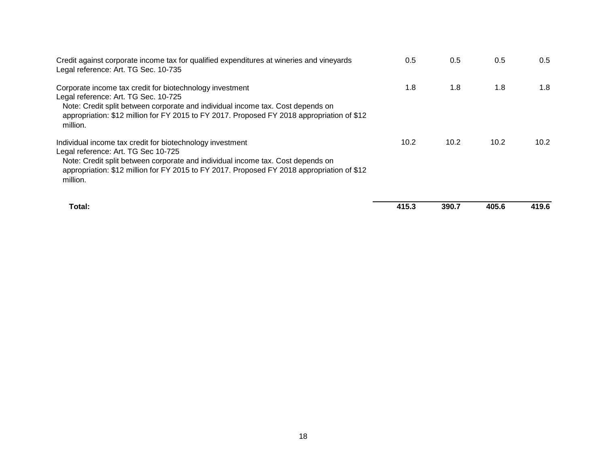| Credit against corporate income tax for qualified expenditures at wineries and vineyards<br>Legal reference: Art. TG Sec. 10-735                                                                                                                                                              | 0.5  | 0.5  | 0.5  | 0.5  |
|-----------------------------------------------------------------------------------------------------------------------------------------------------------------------------------------------------------------------------------------------------------------------------------------------|------|------|------|------|
| Corporate income tax credit for biotechnology investment<br>Legal reference: Art. TG Sec. 10-725<br>Note: Credit split between corporate and individual income tax. Cost depends on<br>appropriation: \$12 million for FY 2015 to FY 2017. Proposed FY 2018 appropriation of \$12<br>million. | 1.8  | 1.8  | 1.8  | 1.8  |
| Individual income tax credit for biotechnology investment<br>Legal reference: Art. TG Sec 10-725<br>Note: Credit split between corporate and individual income tax. Cost depends on<br>appropriation: \$12 million for FY 2015 to FY 2017. Proposed FY 2018 appropriation of \$12<br>million. | 10.2 | 10.2 | 10.2 | 10.2 |

| Total: | 415.3 | 390.7 | 405.6 | 419.6 |
|--------|-------|-------|-------|-------|
|        |       |       |       |       |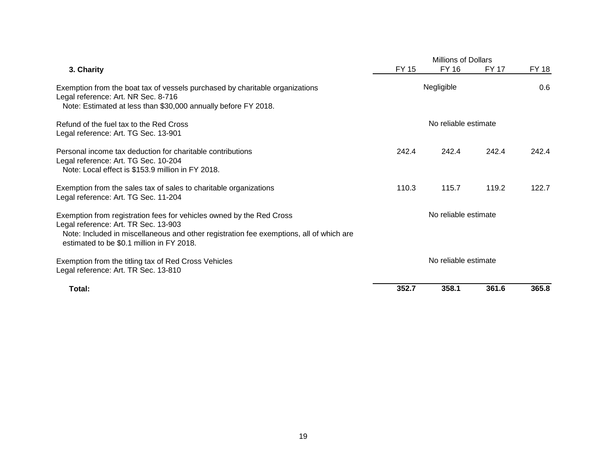|                                                                                                                                                                                                                                                      | <b>Millions of Dollars</b> |                      |              |       |
|------------------------------------------------------------------------------------------------------------------------------------------------------------------------------------------------------------------------------------------------------|----------------------------|----------------------|--------------|-------|
| 3. Charity                                                                                                                                                                                                                                           | <b>FY 15</b>               | FY 16                | <b>FY 17</b> | FY 18 |
| Exemption from the boat tax of vessels purchased by charitable organizations<br>Legal reference: Art. NR Sec. 8-716<br>Note: Estimated at less than \$30,000 annually before FY 2018.                                                                | Negligible                 |                      |              | 0.6   |
| Refund of the fuel tax to the Red Cross<br>Legal reference: Art. TG Sec. 13-901                                                                                                                                                                      |                            | No reliable estimate |              |       |
| Personal income tax deduction for charitable contributions<br>Legal reference: Art. TG Sec. 10-204<br>Note: Local effect is \$153.9 million in FY 2018.                                                                                              | 242.4                      | 242.4                | 242.4        | 242.4 |
| Exemption from the sales tax of sales to charitable organizations<br>Legal reference: Art. TG Sec. 11-204                                                                                                                                            | 110.3                      | 115.7                | 119.2        | 122.7 |
| Exemption from registration fees for vehicles owned by the Red Cross<br>Legal reference: Art. TR Sec. 13-903<br>Note: Included in miscellaneous and other registration fee exemptions, all of which are<br>estimated to be \$0.1 million in FY 2018. |                            | No reliable estimate |              |       |
| Exemption from the titling tax of Red Cross Vehicles<br>Legal reference: Art. TR Sec. 13-810                                                                                                                                                         |                            | No reliable estimate |              |       |
| Total:                                                                                                                                                                                                                                               | 352.7                      | 358.1                | 361.6        | 365.8 |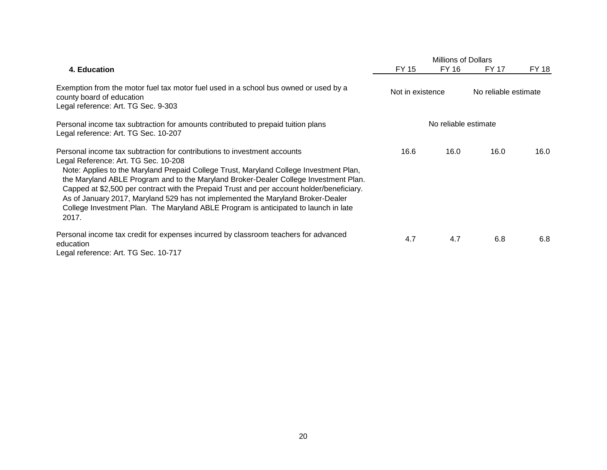|                                                                                                                                                                                                                                                                                                                                                                                                                                                                                                                                                                                    |                  | <b>Millions of Dollars</b> |       |                      |  |  |
|------------------------------------------------------------------------------------------------------------------------------------------------------------------------------------------------------------------------------------------------------------------------------------------------------------------------------------------------------------------------------------------------------------------------------------------------------------------------------------------------------------------------------------------------------------------------------------|------------------|----------------------------|-------|----------------------|--|--|
| 4. Education                                                                                                                                                                                                                                                                                                                                                                                                                                                                                                                                                                       | FY 15            | FY 16                      | FY 17 | FY 18                |  |  |
| Exemption from the motor fuel tax motor fuel used in a school bus owned or used by a<br>county board of education<br>Legal reference: Art. TG Sec. 9-303                                                                                                                                                                                                                                                                                                                                                                                                                           | Not in existence |                            |       | No reliable estimate |  |  |
| Personal income tax subtraction for amounts contributed to prepaid tuition plans<br>Legal reference: Art. TG Sec. 10-207                                                                                                                                                                                                                                                                                                                                                                                                                                                           |                  | No reliable estimate       |       |                      |  |  |
| Personal income tax subtraction for contributions to investment accounts<br>Legal Reference: Art. TG Sec. 10-208<br>Note: Applies to the Maryland Prepaid College Trust, Maryland College Investment Plan,<br>the Maryland ABLE Program and to the Maryland Broker-Dealer College Investment Plan.<br>Capped at \$2,500 per contract with the Prepaid Trust and per account holder/beneficiary.<br>As of January 2017, Maryland 529 has not implemented the Maryland Broker-Dealer<br>College Investment Plan. The Maryland ABLE Program is anticipated to launch in late<br>2017. | 16.6             | 16.0                       | 16.0  | 16.0                 |  |  |
| Personal income tax credit for expenses incurred by classroom teachers for advanced<br>education<br>Legal reference: Art. TG Sec. 10-717                                                                                                                                                                                                                                                                                                                                                                                                                                           | 4.7              | 4.7                        | 6.8   | 6.8                  |  |  |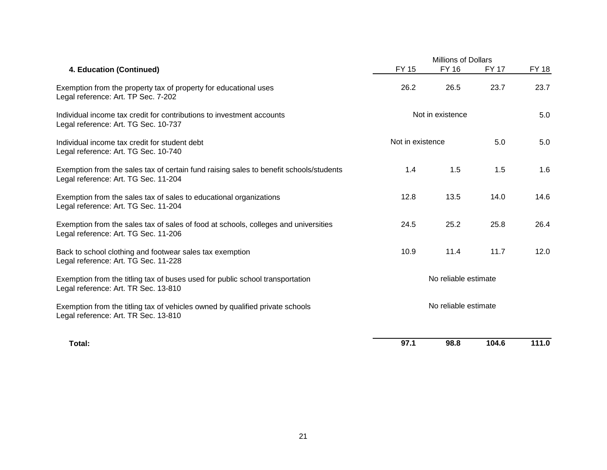|                                                                                                                                | <b>Millions of Dollars</b> |                      |              |              |
|--------------------------------------------------------------------------------------------------------------------------------|----------------------------|----------------------|--------------|--------------|
| 4. Education (Continued)                                                                                                       | <b>FY 15</b>               | <b>FY 16</b>         | <b>FY 17</b> | <b>FY 18</b> |
| Exemption from the property tax of property for educational uses<br>Legal reference: Art. TP Sec. 7-202                        | 26.2                       | 26.5                 | 23.7         | 23.7         |
| Individual income tax credit for contributions to investment accounts<br>Legal reference: Art. TG Sec. 10-737                  | Not in existence           |                      |              | 5.0          |
| Individual income tax credit for student debt<br>Legal reference: Art. TG Sec. 10-740                                          | Not in existence           |                      | 5.0          | 5.0          |
| Exemption from the sales tax of certain fund raising sales to benefit schools/students<br>Legal reference: Art. TG Sec. 11-204 | 1.4                        | 1.5                  | 1.5          | 1.6          |
| Exemption from the sales tax of sales to educational organizations<br>Legal reference: Art. TG Sec. 11-204                     | 12.8                       | 13.5                 | 14.0         | 14.6         |
| Exemption from the sales tax of sales of food at schools, colleges and universities<br>Legal reference: Art. TG Sec. 11-206    | 24.5                       | 25.2                 | 25.8         | 26.4         |
| Back to school clothing and footwear sales tax exemption<br>Legal reference: Art. TG Sec. 11-228                               | 10.9                       | 11.4                 | 11.7         | 12.0         |
| Exemption from the titling tax of buses used for public school transportation<br>Legal reference: Art. TR Sec. 13-810          | No reliable estimate       |                      |              |              |
| Exemption from the titling tax of vehicles owned by qualified private schools<br>Legal reference: Art. TR Sec. 13-810          |                            | No reliable estimate |              |              |
| Total:                                                                                                                         | 97.1                       | 98.8                 | 104.6        | 111.0        |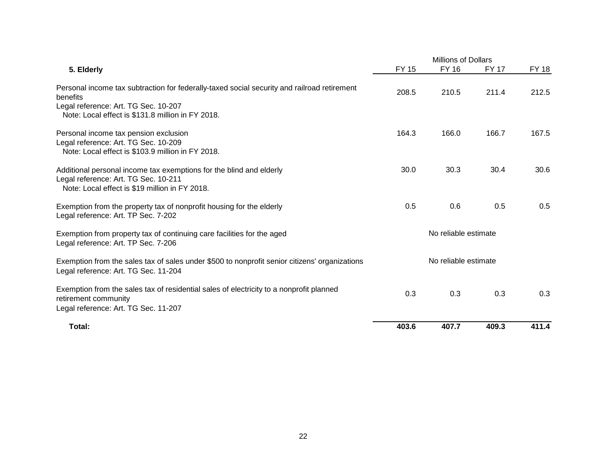|                                                                                                                                                                                                      |              | <b>Millions of Dollars</b> |              |              |  |
|------------------------------------------------------------------------------------------------------------------------------------------------------------------------------------------------------|--------------|----------------------------|--------------|--------------|--|
| 5. Elderly                                                                                                                                                                                           | <b>FY 15</b> | <b>FY 16</b>               | <b>FY 17</b> | <b>FY 18</b> |  |
| Personal income tax subtraction for federally-taxed social security and railroad retirement<br>benefits<br>Legal reference: Art. TG Sec. 10-207<br>Note: Local effect is \$131.8 million in FY 2018. | 208.5        | 210.5                      | 211.4        | 212.5        |  |
|                                                                                                                                                                                                      |              |                            |              |              |  |
| Personal income tax pension exclusion<br>Legal reference: Art. TG Sec. 10-209<br>Note: Local effect is \$103.9 million in FY 2018.                                                                   | 164.3        | 166.0                      | 166.7        | 167.5        |  |
| Additional personal income tax exemptions for the blind and elderly<br>Legal reference: Art. TG Sec. 10-211<br>Note: Local effect is \$19 million in FY 2018.                                        | 30.0         | 30.3                       | 30.4         | 30.6         |  |
| Exemption from the property tax of nonprofit housing for the elderly<br>Legal reference: Art. TP Sec. 7-202                                                                                          | 0.5          | 0.6                        | 0.5          | 0.5          |  |
| Exemption from property tax of continuing care facilities for the aged<br>Legal reference: Art. TP Sec. 7-206                                                                                        |              | No reliable estimate       |              |              |  |
| Exemption from the sales tax of sales under \$500 to nonprofit senior citizens' organizations<br>Legal reference: Art. TG Sec. 11-204                                                                |              | No reliable estimate       |              |              |  |
| Exemption from the sales tax of residential sales of electricity to a nonprofit planned<br>retirement community<br>Legal reference: Art. TG Sec. 11-207                                              | 0.3          | 0.3                        | 0.3          | 0.3          |  |
| Total:                                                                                                                                                                                               | 403.6        | 407.7                      | 409.3        | 411.4        |  |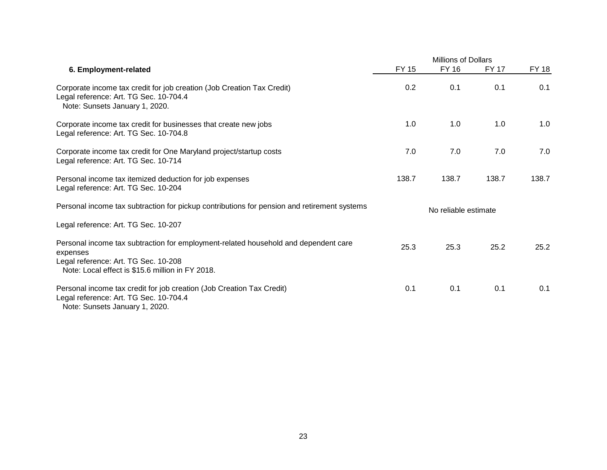|                                                                                                                                                                                             | <b>Millions of Dollars</b> |              |              |              |
|---------------------------------------------------------------------------------------------------------------------------------------------------------------------------------------------|----------------------------|--------------|--------------|--------------|
| 6. Employment-related                                                                                                                                                                       | <b>FY 15</b>               | <b>FY 16</b> | <b>FY 17</b> | <b>FY 18</b> |
| Corporate income tax credit for job creation (Job Creation Tax Credit)<br>Legal reference: Art. TG Sec. 10-704.4<br>Note: Sunsets January 1, 2020.                                          | 0.2                        | 0.1          | 0.1          | 0.1          |
| Corporate income tax credit for businesses that create new jobs<br>Legal reference: Art. TG Sec. 10-704.8                                                                                   | 1.0                        | 1.0          | 1.0          | 1.0          |
| Corporate income tax credit for One Maryland project/startup costs<br>Legal reference: Art. TG Sec. 10-714                                                                                  | 7.0                        | 7.0          | 7.0          | 7.0          |
| Personal income tax itemized deduction for job expenses<br>Legal reference: Art. TG Sec. 10-204                                                                                             | 138.7                      | 138.7        | 138.7        | 138.7        |
| Personal income tax subtraction for pickup contributions for pension and retirement systems                                                                                                 | No reliable estimate       |              |              |              |
| Legal reference: Art. TG Sec. 10-207                                                                                                                                                        |                            |              |              |              |
| Personal income tax subtraction for employment-related household and dependent care<br>expenses<br>Legal reference: Art. TG Sec. 10-208<br>Note: Local effect is \$15.6 million in FY 2018. | 25.3                       | 25.3         | 25.2         | 25.2         |
| Personal income tax credit for job creation (Job Creation Tax Credit)<br>Legal reference: Art. TG Sec. 10-704.4<br>Note: Sunsets January 1, 2020.                                           | 0.1                        | 0.1          | 0.1          | 0.1          |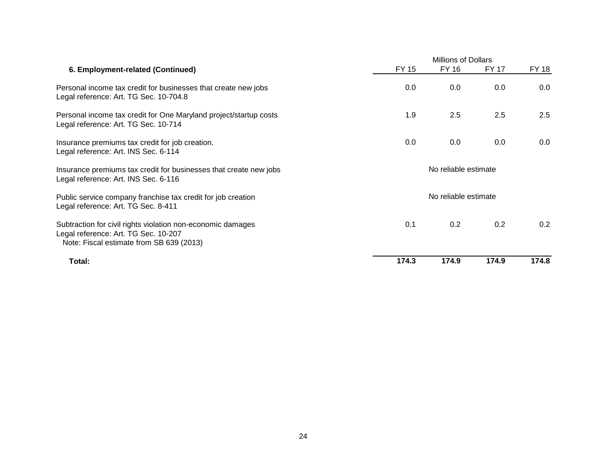|                                                                                                                                                 |       | <b>Millions of Dollars</b> |              |         |  |
|-------------------------------------------------------------------------------------------------------------------------------------------------|-------|----------------------------|--------------|---------|--|
| 6. Employment-related (Continued)                                                                                                               | FY 15 | FY 16                      | <b>FY 17</b> | FY 18   |  |
| Personal income tax credit for businesses that create new jobs<br>Legal reference: Art. TG Sec. 10-704.8                                        | 0.0   | 0.0                        | 0.0          | 0.0     |  |
| Personal income tax credit for One Maryland project/startup costs<br>Legal reference: Art. TG Sec. 10-714                                       | 1.9   | 2.5                        | 2.5          | 2.5     |  |
| Insurance premiums tax credit for job creation.<br>Legal reference: Art. INS Sec. 6-114                                                         | 0.0   | 0.0                        | 0.0          | $0.0\,$ |  |
| Insurance premiums tax credit for businesses that create new jobs<br>Legal reference: Art. INS Sec. 6-116                                       |       | No reliable estimate       |              |         |  |
| Public service company franchise tax credit for job creation<br>Legal reference: Art. TG Sec. 8-411                                             |       | No reliable estimate       |              |         |  |
| Subtraction for civil rights violation non-economic damages<br>Legal reference: Art. TG Sec. 10-207<br>Note: Fiscal estimate from SB 639 (2013) | 0.1   | 0.2                        | 0.2          | 0.2     |  |
| Total:                                                                                                                                          | 174.3 | 174.9                      | 174.9        | 174.8   |  |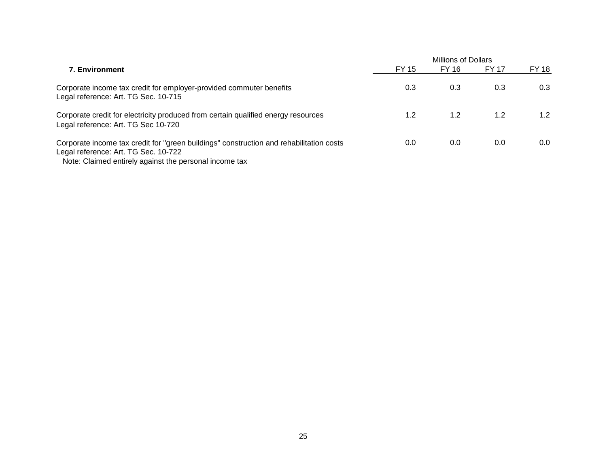|                                                                                                                                                                                           | <b>Millions of Dollars</b> |       |       |       |
|-------------------------------------------------------------------------------------------------------------------------------------------------------------------------------------------|----------------------------|-------|-------|-------|
| <b>7. Environment</b>                                                                                                                                                                     | FY 15                      | FY 16 | FY 17 | FY 18 |
| Corporate income tax credit for employer-provided commuter benefits<br>Legal reference: Art. TG Sec. 10-715                                                                               | 0.3                        | 0.3   | 0.3   | 0.3   |
| Corporate credit for electricity produced from certain qualified energy resources<br>Legal reference: Art. TG Sec 10-720                                                                  | 1.2                        | 1.2   | 1.2   | 1.2   |
| Corporate income tax credit for "green buildings" construction and rehabilitation costs<br>Legal reference: Art. TG Sec. 10-722<br>Note: Claimed entirely against the personal income tax | 0.0                        | 0.0   | 0.0   | 0.0   |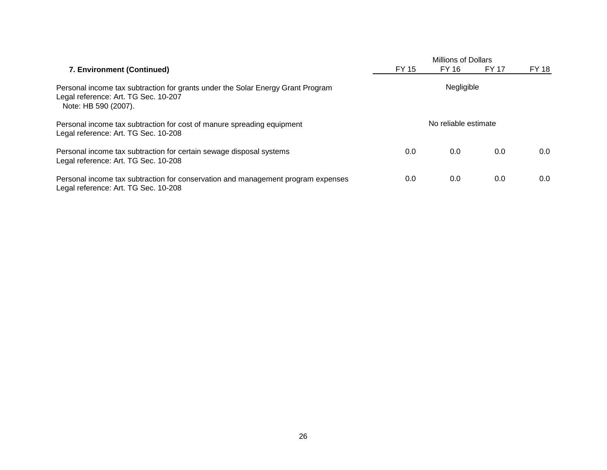|                                                                                                                                                 |                      | <b>Millions of Dollars</b> |              |       |  |
|-------------------------------------------------------------------------------------------------------------------------------------------------|----------------------|----------------------------|--------------|-------|--|
| 7. Environment (Continued)                                                                                                                      | FY 15                | FY 16                      | <b>FY 17</b> | FY 18 |  |
| Personal income tax subtraction for grants under the Solar Energy Grant Program<br>Legal reference: Art. TG Sec. 10-207<br>Note: HB 590 (2007). | Negligible           |                            |              |       |  |
| Personal income tax subtraction for cost of manure spreading equipment<br>Legal reference: Art. TG Sec. 10-208                                  | No reliable estimate |                            |              |       |  |
| Personal income tax subtraction for certain sewage disposal systems<br>Legal reference: Art. TG Sec. 10-208                                     | 0.0                  | 0.0                        | 0.0          | 0.0   |  |
| Personal income tax subtraction for conservation and management program expenses<br>Legal reference: Art. TG Sec. 10-208                        | 0.0                  | 0.0                        | 0.0          | 0.0   |  |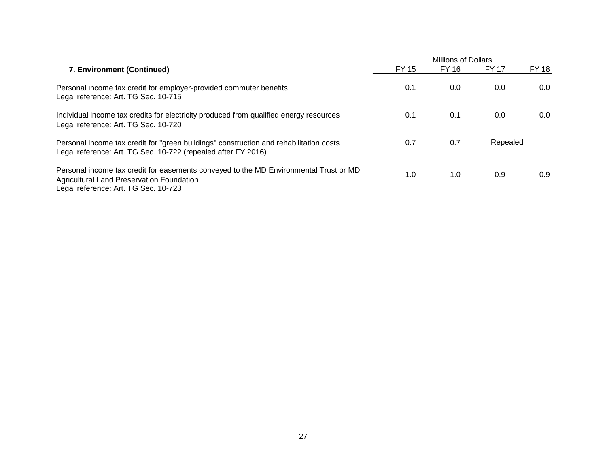|                                                                                                                                                                            |       | <b>Millions of Dollars</b> |              |              |  |
|----------------------------------------------------------------------------------------------------------------------------------------------------------------------------|-------|----------------------------|--------------|--------------|--|
| 7. Environment (Continued)                                                                                                                                                 | FY 15 | FY 16                      | <b>FY 17</b> | <b>FY 18</b> |  |
| Personal income tax credit for employer-provided commuter benefits<br>Legal reference: Art. TG Sec. 10-715                                                                 | 0.1   | 0.0                        | 0.0          | 0.0          |  |
| Individual income tax credits for electricity produced from qualified energy resources<br>Legal reference: Art. TG Sec. 10-720                                             | 0.1   | 0.1                        | 0.0          | 0.0          |  |
| Personal income tax credit for "green buildings" construction and rehabilitation costs<br>Legal reference: Art. TG Sec. 10-722 (repealed after FY 2016)                    | 0.7   | 0.7                        | Repealed     |              |  |
| Personal income tax credit for easements conveyed to the MD Environmental Trust or MD<br>Agricultural Land Preservation Foundation<br>Legal reference: Art. TG Sec. 10-723 | 1.0   | 1.0                        | 0.9          | 0.9          |  |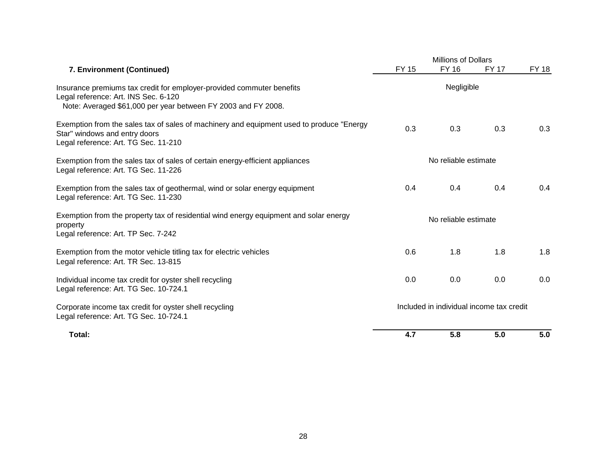|                                                                                                                                                                                |                                          | <b>Millions of Dollars</b> |              |              |
|--------------------------------------------------------------------------------------------------------------------------------------------------------------------------------|------------------------------------------|----------------------------|--------------|--------------|
| 7. Environment (Continued)                                                                                                                                                     | <b>FY 15</b>                             | FY 16                      | <b>FY 17</b> | <b>FY 18</b> |
| Insurance premiums tax credit for employer-provided commuter benefits<br>Legal reference: Art. INS Sec. 6-120<br>Note: Averaged \$61,000 per year between FY 2003 and FY 2008. | Negligible                               |                            |              |              |
| Exemption from the sales tax of sales of machinery and equipment used to produce "Energy<br>Star" windows and entry doors<br>Legal reference: Art. TG Sec. 11-210              | 0.3                                      | 0.3                        | 0.3          | 0.3          |
| Exemption from the sales tax of sales of certain energy-efficient appliances<br>Legal reference: Art. TG Sec. 11-226                                                           | No reliable estimate                     |                            |              |              |
| Exemption from the sales tax of geothermal, wind or solar energy equipment<br>Legal reference: Art. TG Sec. 11-230                                                             | 0.4                                      | 0.4                        | 0.4          | 0.4          |
| Exemption from the property tax of residential wind energy equipment and solar energy<br>property<br>Legal reference: Art. TP Sec. 7-242                                       | No reliable estimate                     |                            |              |              |
| Exemption from the motor vehicle titling tax for electric vehicles<br>Legal reference: Art. TR Sec. 13-815                                                                     | 0.6                                      | 1.8                        | 1.8          | 1.8          |
| Individual income tax credit for oyster shell recycling<br>Legal reference: Art. TG Sec. 10-724.1                                                                              | 0.0                                      | 0.0                        | 0.0          | 0.0          |
| Corporate income tax credit for oyster shell recycling<br>Legal reference: Art. TG Sec. 10-724.1                                                                               | Included in individual income tax credit |                            |              |              |
| Total:                                                                                                                                                                         | 4.7                                      | 5.8                        | 5.0          | 5.0          |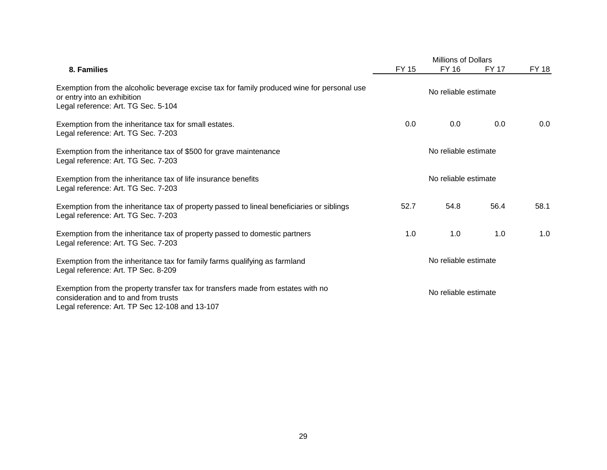|                                                                                                                                                                            | <b>Millions of Dollars</b> |              |              |              |
|----------------------------------------------------------------------------------------------------------------------------------------------------------------------------|----------------------------|--------------|--------------|--------------|
| 8. Families                                                                                                                                                                | <b>FY 15</b>               | <b>FY 16</b> | <b>FY 17</b> | <b>FY 18</b> |
| Exemption from the alcoholic beverage excise tax for family produced wine for personal use<br>or entry into an exhibition<br>Legal reference: Art. TG Sec. 5-104           | No reliable estimate       |              |              |              |
| Exemption from the inheritance tax for small estates.<br>Legal reference: Art. TG Sec. 7-203                                                                               | 0.0                        | 0.0          | 0.0          | 0.0          |
| Exemption from the inheritance tax of \$500 for grave maintenance<br>Legal reference: Art. TG Sec. 7-203                                                                   | No reliable estimate       |              |              |              |
| Exemption from the inheritance tax of life insurance benefits<br>Legal reference: Art. TG Sec. 7-203                                                                       | No reliable estimate       |              |              |              |
| Exemption from the inheritance tax of property passed to lineal beneficiaries or siblings<br>Legal reference: Art. TG Sec. 7-203                                           | 52.7                       | 54.8         | 56.4         | 58.1         |
| Exemption from the inheritance tax of property passed to domestic partners<br>Legal reference: Art. TG Sec. 7-203                                                          | 1.0                        | 1.0          | 1.0          | 1.0          |
| Exemption from the inheritance tax for family farms qualifying as farmland<br>Legal reference: Art. TP Sec. 8-209                                                          | No reliable estimate       |              |              |              |
| Exemption from the property transfer tax for transfers made from estates with no<br>consideration and to and from trusts<br>Legal reference: Art. TP Sec 12-108 and 13-107 | No reliable estimate       |              |              |              |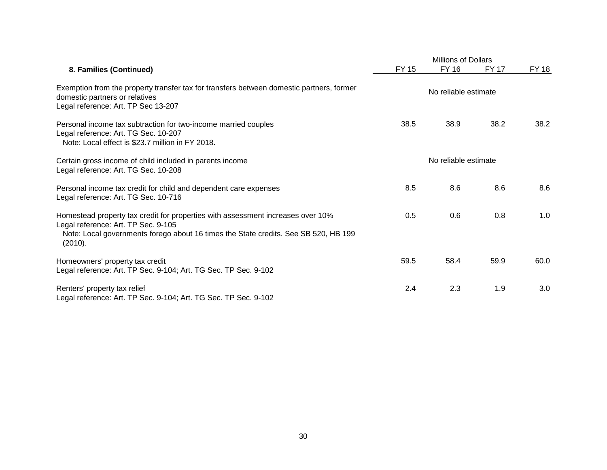|                                                                                                                                                                                                                          |                      | <b>Millions of Dollars</b> |              |              |  |
|--------------------------------------------------------------------------------------------------------------------------------------------------------------------------------------------------------------------------|----------------------|----------------------------|--------------|--------------|--|
| 8. Families (Continued)                                                                                                                                                                                                  | FY 15                | <b>FY 16</b>               | <b>FY 17</b> | <b>FY 18</b> |  |
| Exemption from the property transfer tax for transfers between domestic partners, former<br>domestic partners or relatives<br>Legal reference: Art. TP Sec 13-207                                                        | No reliable estimate |                            |              |              |  |
| Personal income tax subtraction for two-income married couples<br>Legal reference: Art. TG Sec. 10-207<br>Note: Local effect is \$23.7 million in FY 2018.                                                               | 38.5                 | 38.9                       | 38.2         | 38.2         |  |
| Certain gross income of child included in parents income<br>Legal reference: Art. TG Sec. 10-208                                                                                                                         | No reliable estimate |                            |              |              |  |
| Personal income tax credit for child and dependent care expenses<br>Legal reference: Art. TG Sec. 10-716                                                                                                                 | 8.5                  | 8.6                        | 8.6          | 8.6          |  |
| Homestead property tax credit for properties with assessment increases over 10%<br>Legal reference: Art. TP Sec. 9-105<br>Note: Local governments forego about 16 times the State credits. See SB 520, HB 199<br>(2010). | 0.5                  | 0.6                        | 0.8          | 1.0          |  |
| Homeowners' property tax credit<br>Legal reference: Art. TP Sec. 9-104; Art. TG Sec. TP Sec. 9-102                                                                                                                       | 59.5                 | 58.4                       | 59.9         | 60.0         |  |
| Renters' property tax relief<br>Legal reference: Art. TP Sec. 9-104; Art. TG Sec. TP Sec. 9-102                                                                                                                          | 2.4                  | 2.3                        | 1.9          | 3.0          |  |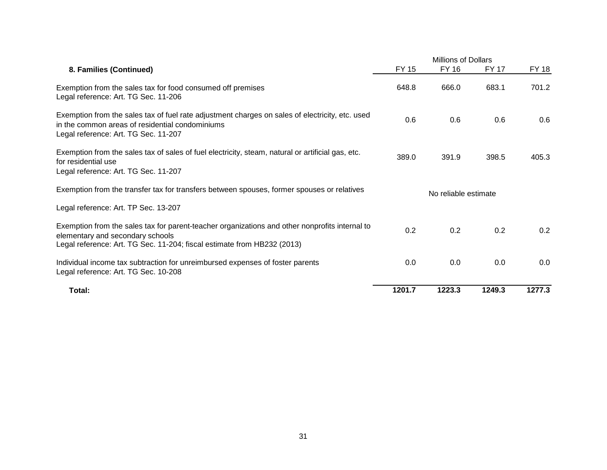|                                                                                                                                                                                                               |                      | <b>Millions of Dollars</b> |              |              |  |
|---------------------------------------------------------------------------------------------------------------------------------------------------------------------------------------------------------------|----------------------|----------------------------|--------------|--------------|--|
| 8. Families (Continued)                                                                                                                                                                                       | <b>FY 15</b>         | <b>FY 16</b>               | <b>FY 17</b> | <b>FY 18</b> |  |
| Exemption from the sales tax for food consumed off premises<br>Legal reference: Art. TG Sec. 11-206                                                                                                           | 648.8                | 666.0                      | 683.1        | 701.2        |  |
| Exemption from the sales tax of fuel rate adjustment charges on sales of electricity, etc. used<br>in the common areas of residential condominiums<br>Legal reference: Art. TG Sec. 11-207                    | 0.6                  | 0.6                        | 0.6          | 0.6          |  |
| Exemption from the sales tax of sales of fuel electricity, steam, natural or artificial gas, etc.<br>for residential use<br>Legal reference: Art. TG Sec. 11-207                                              | 389.0                | 391.9                      | 398.5        | 405.3        |  |
| Exemption from the transfer tax for transfers between spouses, former spouses or relatives                                                                                                                    | No reliable estimate |                            |              |              |  |
| Legal reference: Art. TP Sec. 13-207                                                                                                                                                                          |                      |                            |              |              |  |
| Exemption from the sales tax for parent-teacher organizations and other nonprofits internal to<br>elementary and secondary schools<br>Legal reference: Art. TG Sec. 11-204; fiscal estimate from HB232 (2013) | 0.2                  | 0.2                        | 0.2          | 0.2          |  |
| Individual income tax subtraction for unreimbursed expenses of foster parents<br>Legal reference: Art. TG Sec. 10-208                                                                                         | 0.0                  | 0.0                        | 0.0          | 0.0          |  |
| Total:                                                                                                                                                                                                        | 1201.7               | 1223.3                     | 1249.3       | 1277.3       |  |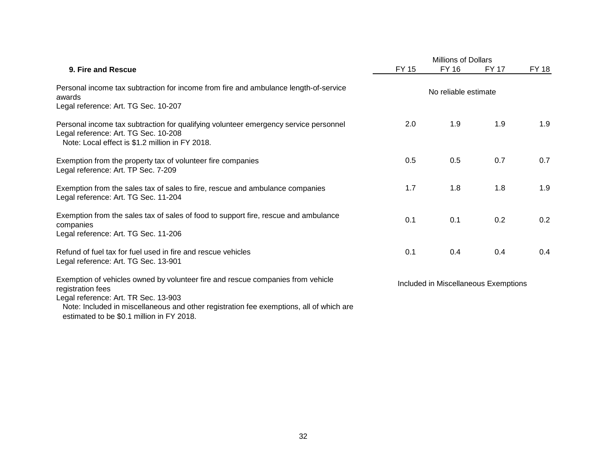|                                                                                                                                                                                 |                                      | <b>Millions of Dollars</b> |              |              |  |
|---------------------------------------------------------------------------------------------------------------------------------------------------------------------------------|--------------------------------------|----------------------------|--------------|--------------|--|
| 9. Fire and Rescue                                                                                                                                                              | <b>FY 15</b>                         | <b>FY 16</b>               | <b>FY 17</b> | <b>FY 18</b> |  |
| Personal income tax subtraction for income from fire and ambulance length-of-service<br>awards<br>Legal reference: Art. TG Sec. 10-207                                          | No reliable estimate                 |                            |              |              |  |
| Personal income tax subtraction for qualifying volunteer emergency service personnel<br>Legal reference: Art. TG Sec. 10-208<br>Note: Local effect is \$1.2 million in FY 2018. | 2.0                                  | 1.9                        | 1.9          | 1.9          |  |
| Exemption from the property tax of volunteer fire companies<br>Legal reference: Art. TP Sec. 7-209                                                                              | 0.5                                  | 0.5                        | 0.7          | 0.7          |  |
| Exemption from the sales tax of sales to fire, rescue and ambulance companies<br>Legal reference: Art. TG Sec. 11-204                                                           | 1.7                                  | 1.8                        | 1.8          | 1.9          |  |
| Exemption from the sales tax of sales of food to support fire, rescue and ambulance<br>companies<br>Legal reference: Art. TG Sec. 11-206                                        | 0.1                                  | 0.1                        | 0.2          | 0.2          |  |
| Refund of fuel tax for fuel used in fire and rescue vehicles<br>Legal reference: Art. TG Sec. 13-901                                                                            | 0.1                                  | 0.4                        | 0.4          | 0.4          |  |
| Exemption of vehicles owned by volunteer fire and rescue companies from vehicle<br>registration fees<br>Legal reference: Art. TR Sec. 13-903                                    | Included in Miscellaneous Exemptions |                            |              |              |  |
| Note: Included in miscellaneous and other registration fee exemptions, all of which are<br>estimated to be \$0.1 million in FY 2018.                                            |                                      |                            |              |              |  |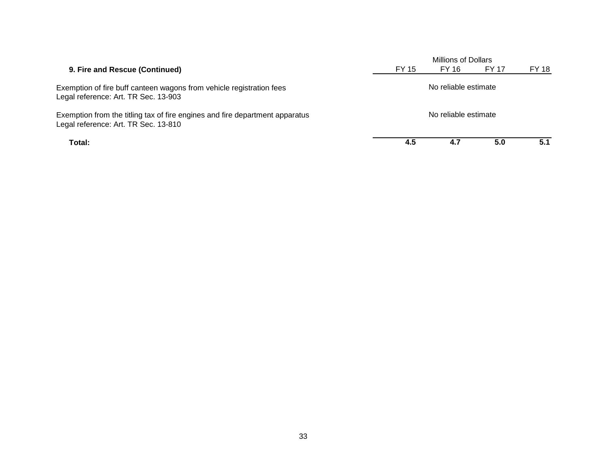|                                                                                                                      |                      | Millions of Dollars |       |       |  |  |
|----------------------------------------------------------------------------------------------------------------------|----------------------|---------------------|-------|-------|--|--|
| 9. Fire and Rescue (Continued)                                                                                       | FY 15                | FY 16               | FY 17 | FY 18 |  |  |
| Exemption of fire buff canteen wagons from vehicle registration fees<br>Legal reference: Art. TR Sec. 13-903         | No reliable estimate |                     |       |       |  |  |
| Exemption from the titling tax of fire engines and fire department apparatus<br>Legal reference: Art. TR Sec. 13-810 | No reliable estimate |                     |       |       |  |  |
| Total:                                                                                                               | 4.5                  | 4.7                 | 5.0   | 5.1   |  |  |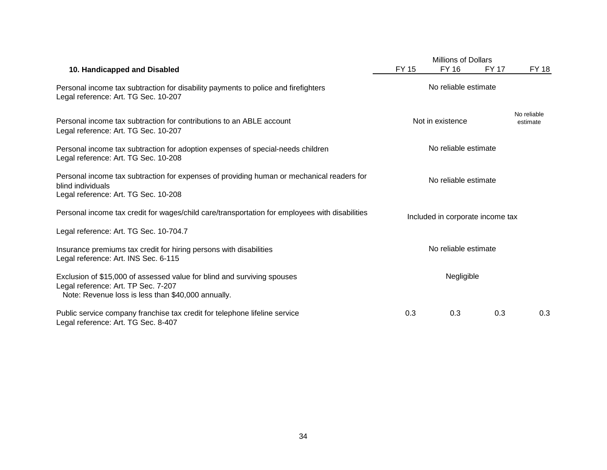|                                                                                                                                                                      | <b>Millions of Dollars</b> |                                  |              |                         |
|----------------------------------------------------------------------------------------------------------------------------------------------------------------------|----------------------------|----------------------------------|--------------|-------------------------|
| 10. Handicapped and Disabled                                                                                                                                         | <b>FY 15</b>               | FY 16                            | <b>FY 17</b> | FY 18                   |
| Personal income tax subtraction for disability payments to police and firefighters<br>Legal reference: Art. TG Sec. 10-207                                           | No reliable estimate       |                                  |              |                         |
| Personal income tax subtraction for contributions to an ABLE account<br>Legal reference: Art. TG Sec. 10-207                                                         |                            | Not in existence                 |              | No reliable<br>estimate |
| Personal income tax subtraction for adoption expenses of special-needs children<br>Legal reference: Art. TG Sec. 10-208                                              | No reliable estimate       |                                  |              |                         |
| Personal income tax subtraction for expenses of providing human or mechanical readers for<br>blind individuals<br>Legal reference: Art. TG Sec. 10-208               |                            |                                  |              |                         |
| Personal income tax credit for wages/child care/transportation for employees with disabilities                                                                       |                            | Included in corporate income tax |              |                         |
| Legal reference: Art. TG Sec. 10-704.7                                                                                                                               |                            |                                  |              |                         |
| Insurance premiums tax credit for hiring persons with disabilities<br>Legal reference: Art. INS Sec. 6-115                                                           | No reliable estimate       |                                  |              |                         |
| Exclusion of \$15,000 of assessed value for blind and surviving spouses<br>Legal reference: Art. TP Sec. 7-207<br>Note: Revenue loss is less than \$40,000 annually. |                            | Negligible                       |              |                         |
| Public service company franchise tax credit for telephone lifeline service<br>Legal reference: Art. TG Sec. 8-407                                                    | 0.3                        | 0.3                              | 0.3          | 0.3                     |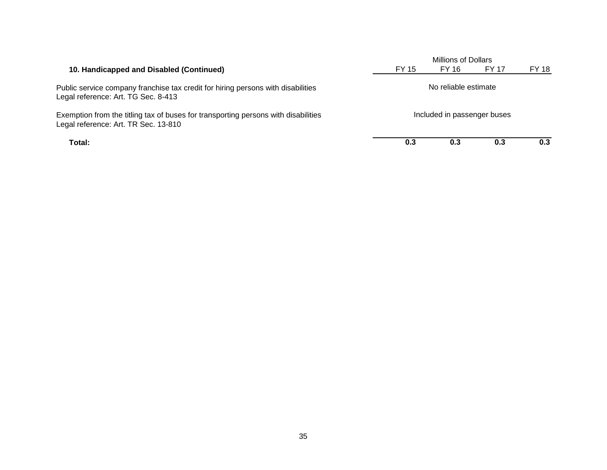|                                                                                                                            | Millions of Dollars         |       |              |       |  |
|----------------------------------------------------------------------------------------------------------------------------|-----------------------------|-------|--------------|-------|--|
| 10. Handicapped and Disabled (Continued)                                                                                   | FY 15                       | FY 16 | <b>FY 17</b> | FY 18 |  |
| Public service company franchise tax credit for hiring persons with disabilities<br>Legal reference: Art. TG Sec. 8-413    | No reliable estimate        |       |              |       |  |
| Exemption from the titling tax of buses for transporting persons with disabilities<br>Legal reference: Art. TR Sec. 13-810 | Included in passenger buses |       |              |       |  |
| Total:                                                                                                                     | 0.3                         | 0.3   | 0.3          | 0.3   |  |

35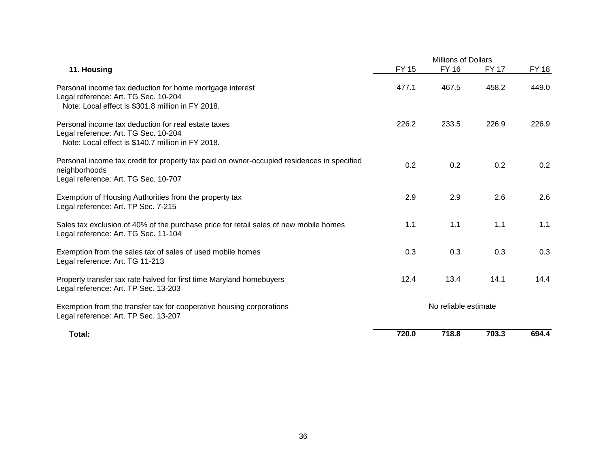|                                                                                                                                                       |                      | Millions of Dollars |              |       |  |
|-------------------------------------------------------------------------------------------------------------------------------------------------------|----------------------|---------------------|--------------|-------|--|
| 11. Housing                                                                                                                                           | <b>FY 15</b>         | <b>FY 16</b>        | <b>FY 17</b> | FY 18 |  |
| Personal income tax deduction for home mortgage interest<br>Legal reference: Art. TG Sec. 10-204<br>Note: Local effect is \$301.8 million in FY 2018. | 477.1                | 467.5               | 458.2        | 449.0 |  |
| Personal income tax deduction for real estate taxes<br>Legal reference: Art. TG Sec. 10-204<br>Note: Local effect is \$140.7 million in FY 2018.      | 226.2                | 233.5               | 226.9        | 226.9 |  |
| Personal income tax credit for property tax paid on owner-occupied residences in specified<br>neighborhoods<br>Legal reference: Art. TG Sec. 10-707   | 0.2                  | 0.2                 | 0.2          | 0.2   |  |
| Exemption of Housing Authorities from the property tax<br>Legal reference: Art. TP Sec. 7-215                                                         | 2.9                  | 2.9                 | 2.6          | 2.6   |  |
| Sales tax exclusion of 40% of the purchase price for retail sales of new mobile homes<br>Legal reference: Art. TG Sec. 11-104                         | 1.1                  | 1.1                 | 1.1          | 1.1   |  |
| Exemption from the sales tax of sales of used mobile homes<br>Legal reference: Art. TG 11-213                                                         | 0.3                  | 0.3                 | 0.3          | 0.3   |  |
| Property transfer tax rate halved for first time Maryland homebuyers<br>Legal reference: Art. TP Sec. 13-203                                          | 12.4                 | 13.4                | 14.1         | 14.4  |  |
| Exemption from the transfer tax for cooperative housing corporations<br>Legal reference: Art. TP Sec. 13-207                                          | No reliable estimate |                     |              |       |  |
| Total:                                                                                                                                                | 720.0                | 718.8               | 703.3        | 694.4 |  |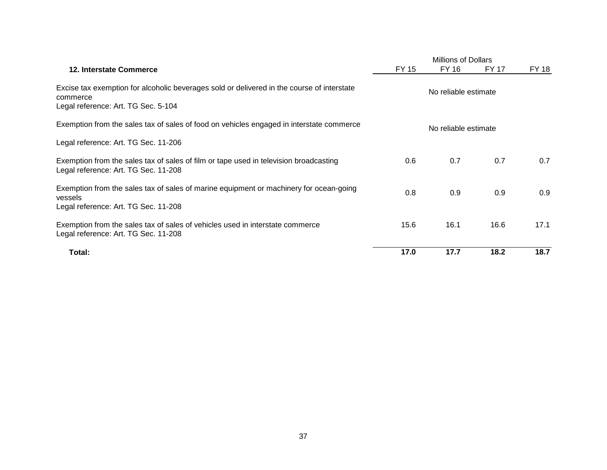|                                                                                                                                               | <b>Millions of Dollars</b> |                      |              |       |  |
|-----------------------------------------------------------------------------------------------------------------------------------------------|----------------------------|----------------------|--------------|-------|--|
| 12. Interstate Commerce                                                                                                                       | <b>FY 15</b>               | FY 16                | <b>FY 17</b> | FY 18 |  |
| Excise tax exemption for alcoholic beverages sold or delivered in the course of interstate<br>commerce<br>Legal reference: Art. TG Sec. 5-104 | No reliable estimate       |                      |              |       |  |
| Exemption from the sales tax of sales of food on vehicles engaged in interstate commerce                                                      |                            | No reliable estimate |              |       |  |
| Legal reference: Art. TG Sec. 11-206                                                                                                          |                            |                      |              |       |  |
| Exemption from the sales tax of sales of film or tape used in television broadcasting<br>Legal reference: Art. TG Sec. 11-208                 | 0.6                        | 0.7                  | 0.7          | 0.7   |  |
| Exemption from the sales tax of sales of marine equipment or machinery for ocean-going<br>vessels<br>Legal reference: Art. TG Sec. 11-208     | 0.8                        | 0.9                  | 0.9          | 0.9   |  |
| Exemption from the sales tax of sales of vehicles used in interstate commerce<br>Legal reference: Art. TG Sec. 11-208                         | 15.6                       | 16.1                 | 16.6         | 17.1  |  |
| Total:                                                                                                                                        | 17.0                       | 17.7                 | 18.2         | 18.7  |  |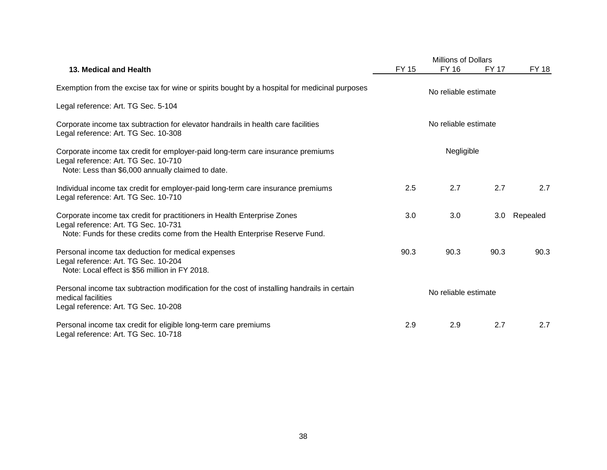|                                                                                                                                                                                                 |       | <b>Millions of Dollars</b> |              |              |  |
|-------------------------------------------------------------------------------------------------------------------------------------------------------------------------------------------------|-------|----------------------------|--------------|--------------|--|
| 13. Medical and Health                                                                                                                                                                          | FY 15 | <b>FY 16</b>               | <b>FY 17</b> | <b>FY 18</b> |  |
| Exemption from the excise tax for wine or spirits bought by a hospital for medicinal purposes                                                                                                   |       | No reliable estimate       |              |              |  |
| Legal reference: Art. TG Sec. 5-104                                                                                                                                                             |       |                            |              |              |  |
| Corporate income tax subtraction for elevator handrails in health care facilities<br>Legal reference: Art. TG Sec. 10-308                                                                       |       | No reliable estimate       |              |              |  |
| Corporate income tax credit for employer-paid long-term care insurance premiums<br>Legal reference: Art. TG Sec. 10-710<br>Note: Less than \$6,000 annually claimed to date.                    |       | Negligible                 |              |              |  |
| Individual income tax credit for employer-paid long-term care insurance premiums<br>Legal reference: Art. TG Sec. 10-710                                                                        | 2.5   | 2.7                        | 2.7          | 2.7          |  |
| Corporate income tax credit for practitioners in Health Enterprise Zones<br>Legal reference: Art. TG Sec. 10-731<br>Note: Funds for these credits come from the Health Enterprise Reserve Fund. | 3.0   | 3.0                        | 3.0          | Repealed     |  |
| Personal income tax deduction for medical expenses<br>Legal reference: Art. TG Sec. 10-204<br>Note: Local effect is \$56 million in FY 2018.                                                    | 90.3  | 90.3                       | 90.3         | 90.3         |  |
| Personal income tax subtraction modification for the cost of installing handrails in certain<br>medical facilities<br>Legal reference: Art. TG Sec. 10-208                                      |       | No reliable estimate       |              |              |  |
| Personal income tax credit for eligible long-term care premiums<br>Legal reference: Art. TG Sec. 10-718                                                                                         | 2.9   | 2.9                        | 2.7          | 2.7          |  |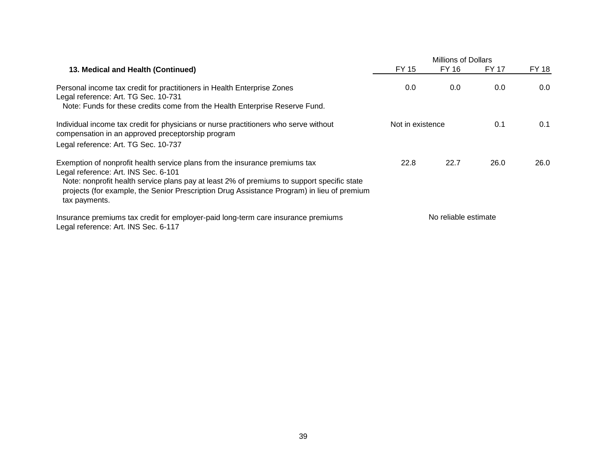| 13. Medical and Health (Continued)                                                                                                                                                                                                                                                                                               | FY 15            | FY 16                | <b>FY 17</b> | FY 18 |
|----------------------------------------------------------------------------------------------------------------------------------------------------------------------------------------------------------------------------------------------------------------------------------------------------------------------------------|------------------|----------------------|--------------|-------|
| Personal income tax credit for practitioners in Health Enterprise Zones<br>Legal reference: Art. TG Sec. 10-731<br>Note: Funds for these credits come from the Health Enterprise Reserve Fund.                                                                                                                                   | 0.0              | 0.0                  | 0.0          | 0.0   |
| Individual income tax credit for physicians or nurse practitioners who serve without<br>compensation in an approved preceptorship program<br>Legal reference: Art. TG Sec. 10-737                                                                                                                                                | Not in existence |                      | 0.1          | 0.1   |
| Exemption of nonprofit health service plans from the insurance premiums tax<br>Legal reference: Art. INS Sec. 6-101<br>Note: nonprofit health service plans pay at least 2% of premiums to support specific state<br>projects (for example, the Senior Prescription Drug Assistance Program) in lieu of premium<br>tax payments. | 22.8             | 22.7                 | 26.0         | 26.0  |
| Insurance premiums tax credit for employer-paid long-term care insurance premiums<br>Legal reference: Art. INS Sec. 6-117                                                                                                                                                                                                        |                  | No reliable estimate |              |       |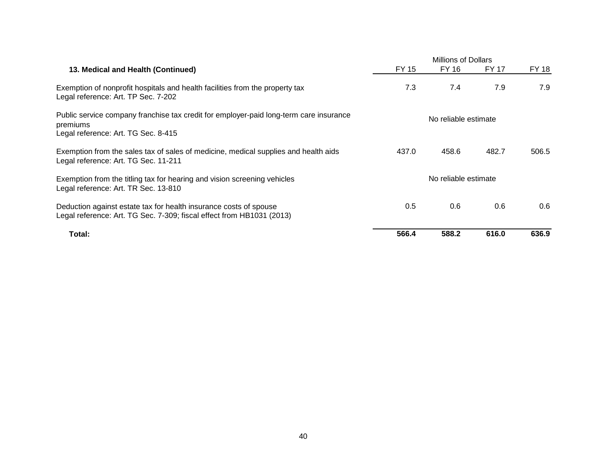|                                                                                                                                            |                      | <b>Millions of Dollars</b> |       |       |  |  |
|--------------------------------------------------------------------------------------------------------------------------------------------|----------------------|----------------------------|-------|-------|--|--|
| 13. Medical and Health (Continued)                                                                                                         | FY 15                | FY 16                      | FY 17 | FY 18 |  |  |
| Exemption of nonprofit hospitals and health facilities from the property tax<br>Legal reference: Art. TP Sec. 7-202                        | 7.3                  | 7.4                        | 7.9   | 7.9   |  |  |
| Public service company franchise tax credit for employer-paid long-term care insurance<br>premiums<br>Legal reference: Art. TG Sec. 8-415  |                      | No reliable estimate       |       |       |  |  |
| Exemption from the sales tax of sales of medicine, medical supplies and health aids<br>Legal reference: Art. TG Sec. 11-211                | 437.0                | 458.6                      | 482.7 | 506.5 |  |  |
| Exemption from the titling tax for hearing and vision screening vehicles<br>Legal reference: Art. TR Sec. 13-810                           | No reliable estimate |                            |       |       |  |  |
| Deduction against estate tax for health insurance costs of spouse<br>Legal reference: Art. TG Sec. 7-309; fiscal effect from HB1031 (2013) | 0.5                  | 0.6                        | 0.6   | 0.6   |  |  |
| Total:                                                                                                                                     | 566.4                | 588.2                      | 616.0 | 636.9 |  |  |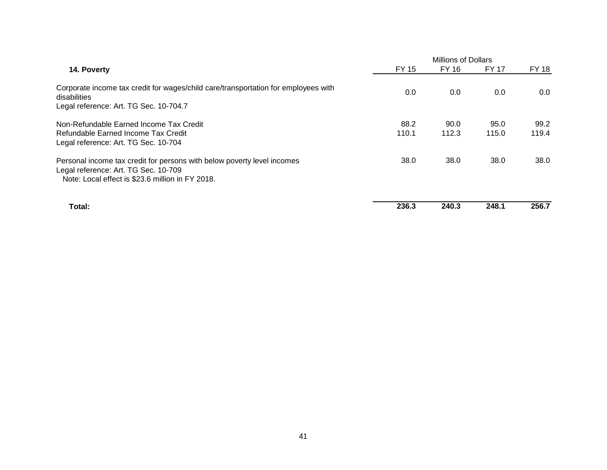|                                                                                                                                                                     | Millions of Dollars |               |               |               |  |
|---------------------------------------------------------------------------------------------------------------------------------------------------------------------|---------------------|---------------|---------------|---------------|--|
| 14. Poverty                                                                                                                                                         | FY 15               | FY 16         | <b>FY 17</b>  | <b>FY 18</b>  |  |
| Corporate income tax credit for wages/child care/transportation for employees with<br>disabilities<br>Legal reference: Art. TG Sec. 10-704.7                        | 0.0                 | 0.0           | 0.0           | 0.0           |  |
| Non-Refundable Earned Income Tax Credit<br>Refundable Earned Income Tax Credit<br>Legal reference: Art. TG Sec. 10-704                                              | 88.2<br>110.1       | 90.0<br>112.3 | 95.0<br>115.0 | 99.2<br>119.4 |  |
| Personal income tax credit for persons with below poverty level incomes<br>Legal reference: Art. TG Sec. 10-709<br>Note: Local effect is \$23.6 million in FY 2018. | 38.0                | 38.0          | 38.0          | 38.0          |  |
| Total:                                                                                                                                                              | 236.3               | 240.3         | 248.1         | 256.7         |  |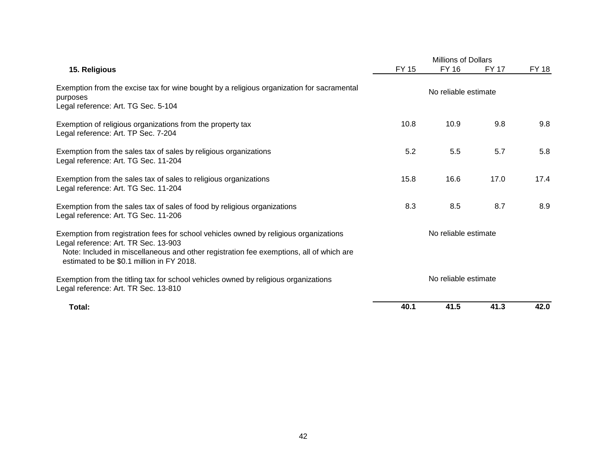|                                                                                                                                                                                                                                                                       |                      | <b>Millions of Dollars</b> |              |              |  |
|-----------------------------------------------------------------------------------------------------------------------------------------------------------------------------------------------------------------------------------------------------------------------|----------------------|----------------------------|--------------|--------------|--|
| 15. Religious                                                                                                                                                                                                                                                         | <b>FY 15</b>         | <b>FY 16</b>               | <b>FY 17</b> | <b>FY 18</b> |  |
| Exemption from the excise tax for wine bought by a religious organization for sacramental<br>purposes<br>Legal reference: Art. TG Sec. 5-104                                                                                                                          | No reliable estimate |                            |              |              |  |
| Exemption of religious organizations from the property tax<br>Legal reference: Art. TP Sec. 7-204                                                                                                                                                                     | 10.8                 | 10.9                       | 9.8          | 9.8          |  |
| Exemption from the sales tax of sales by religious organizations<br>Legal reference: Art. TG Sec. 11-204                                                                                                                                                              | 5.2                  | 5.5                        | 5.7          | 5.8          |  |
| Exemption from the sales tax of sales to religious organizations<br>Legal reference: Art. TG Sec. 11-204                                                                                                                                                              | 15.8                 | 16.6                       | 17.0         | 17.4         |  |
| Exemption from the sales tax of sales of food by religious organizations<br>Legal reference: Art. TG Sec. 11-206                                                                                                                                                      | 8.3                  | 8.5                        | 8.7          | 8.9          |  |
| Exemption from registration fees for school vehicles owned by religious organizations<br>Legal reference: Art. TR Sec. 13-903<br>Note: Included in miscellaneous and other registration fee exemptions, all of which are<br>estimated to be \$0.1 million in FY 2018. |                      | No reliable estimate       |              |              |  |
| Exemption from the titling tax for school vehicles owned by religious organizations<br>Legal reference: Art. TR Sec. 13-810                                                                                                                                           | No reliable estimate |                            |              |              |  |
| Total:                                                                                                                                                                                                                                                                | 40.1                 | 41.5                       | 41.3         | 42.0         |  |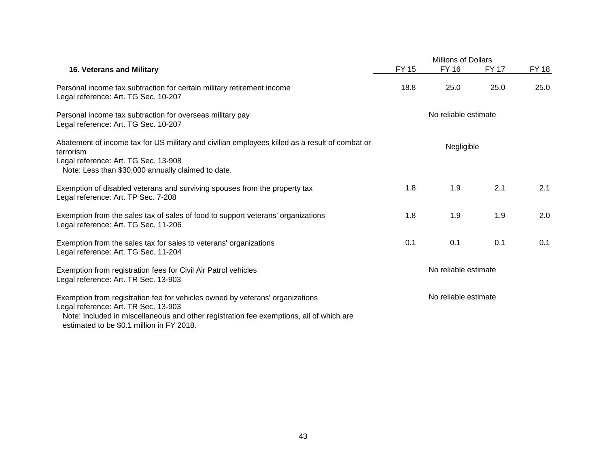|                                                                                                                                                                                                                                                               |                      | Millions of Dollars  |              |              |  |
|---------------------------------------------------------------------------------------------------------------------------------------------------------------------------------------------------------------------------------------------------------------|----------------------|----------------------|--------------|--------------|--|
| <b>16. Veterans and Military</b>                                                                                                                                                                                                                              | <b>FY 15</b>         | <b>FY 16</b>         | <b>FY 17</b> | <b>FY 18</b> |  |
| Personal income tax subtraction for certain military retirement income<br>Legal reference: Art. TG Sec. 10-207                                                                                                                                                | 18.8                 | 25.0                 | 25.0         | 25.0         |  |
| Personal income tax subtraction for overseas military pay<br>Legal reference: Art. TG Sec. 10-207                                                                                                                                                             |                      | No reliable estimate |              |              |  |
| Abatement of income tax for US military and civilian employees killed as a result of combat or<br>terrorism<br>Legal reference: Art. TG Sec. 13-908<br>Note: Less than \$30,000 annually claimed to date.                                                     |                      | Negligible           |              |              |  |
| Exemption of disabled veterans and surviving spouses from the property tax<br>Legal reference: Art. TP Sec. 7-208                                                                                                                                             | 1.8                  | 1.9                  | 2.1          | 2.1          |  |
| Exemption from the sales tax of sales of food to support veterans' organizations<br>Legal reference: Art. TG Sec. 11-206                                                                                                                                      | 1.8                  | 1.9                  | 1.9          | 2.0          |  |
| Exemption from the sales tax for sales to veterans' organizations<br>Legal reference: Art. TG Sec. 11-204                                                                                                                                                     | 0.1                  | 0.1                  | 0.1          | 0.1          |  |
| Exemption from registration fees for Civil Air Patrol vehicles<br>Legal reference: Art. TR Sec. 13-903                                                                                                                                                        | No reliable estimate |                      |              |              |  |
| Exemption from registration fee for vehicles owned by veterans' organizations<br>Legal reference: Art. TR Sec. 13-903<br>Note: Included in miscellaneous and other registration fee exemptions, all of which are<br>estimated to be \$0.1 million in FY 2018. |                      | No reliable estimate |              |              |  |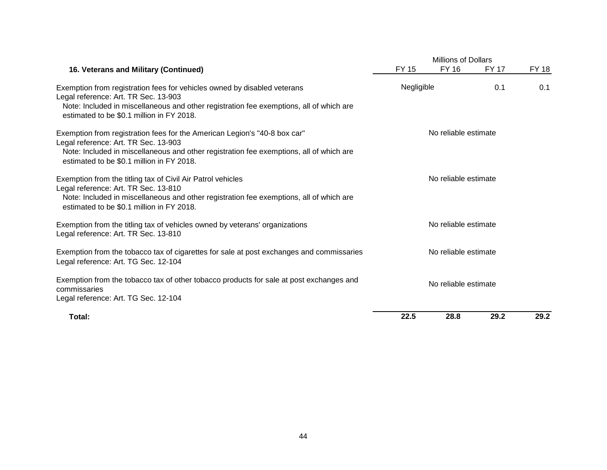|                                                                                                                                                                                                                                                           |                      | <b>Millions of Dollars</b> |              |              |  |  |
|-----------------------------------------------------------------------------------------------------------------------------------------------------------------------------------------------------------------------------------------------------------|----------------------|----------------------------|--------------|--------------|--|--|
| 16. Veterans and Military (Continued)                                                                                                                                                                                                                     | <b>FY 15</b>         | <b>FY 16</b>               | <b>FY 17</b> | <b>FY 18</b> |  |  |
| Exemption from registration fees for vehicles owned by disabled veterans<br>Legal reference: Art. TR Sec. 13-903<br>Note: Included in miscellaneous and other registration fee exemptions, all of which are<br>estimated to be \$0.1 million in FY 2018.  |                      | Negligible                 |              | 0.1          |  |  |
| Exemption from registration fees for the American Legion's "40-8 box car"<br>Legal reference: Art. TR Sec. 13-903<br>Note: Included in miscellaneous and other registration fee exemptions, all of which are<br>estimated to be \$0.1 million in FY 2018. |                      |                            |              |              |  |  |
| Exemption from the titling tax of Civil Air Patrol vehicles<br>Legal reference: Art. TR Sec. 13-810<br>Note: Included in miscellaneous and other registration fee exemptions, all of which are<br>estimated to be \$0.1 million in FY 2018.               |                      |                            |              |              |  |  |
| Exemption from the titling tax of vehicles owned by veterans' organizations<br>Legal reference: Art. TR Sec. 13-810                                                                                                                                       |                      |                            |              |              |  |  |
| Exemption from the tobacco tax of cigarettes for sale at post exchanges and commissaries<br>Legal reference: Art. TG Sec. 12-104                                                                                                                          | No reliable estimate |                            |              |              |  |  |
| Exemption from the tobacco tax of other tobacco products for sale at post exchanges and<br>commissaries<br>Legal reference: Art. TG Sec. 12-104                                                                                                           | No reliable estimate |                            |              |              |  |  |
| Total:                                                                                                                                                                                                                                                    | 22.5                 | 28.8                       | 29.2         | 29.2         |  |  |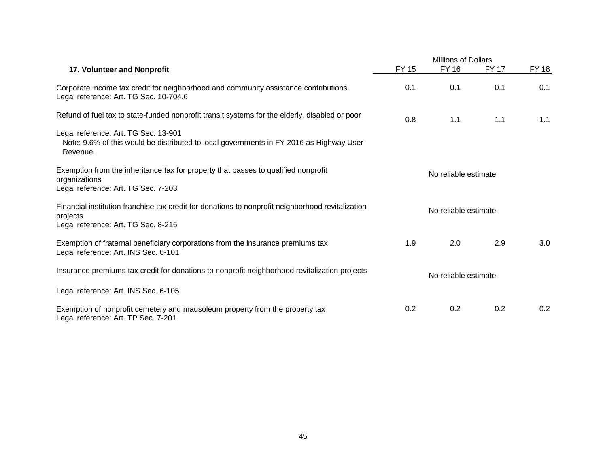|                                                                                                                                                      | Millions of Dollars  |              |              |              |
|------------------------------------------------------------------------------------------------------------------------------------------------------|----------------------|--------------|--------------|--------------|
| 17. Volunteer and Nonprofit                                                                                                                          | <b>FY 15</b>         | <b>FY 16</b> | <b>FY 17</b> | <b>FY 18</b> |
| Corporate income tax credit for neighborhood and community assistance contributions<br>Legal reference: Art. TG Sec. 10-704.6                        | 0.1                  | 0.1          | 0.1          | 0.1          |
| Refund of fuel tax to state-funded nonprofit transit systems for the elderly, disabled or poor                                                       | 0.8                  | 1.1          | 1.1          | 1.1          |
| Legal reference: Art. TG Sec. 13-901<br>Note: 9.6% of this would be distributed to local governments in FY 2016 as Highway User<br>Revenue.          |                      |              |              |              |
| Exemption from the inheritance tax for property that passes to qualified nonprofit<br>organizations<br>Legal reference: Art. TG Sec. 7-203           | No reliable estimate |              |              |              |
| Financial institution franchise tax credit for donations to nonprofit neighborhood revitalization<br>projects<br>Legal reference: Art. TG Sec. 8-215 | No reliable estimate |              |              |              |
| Exemption of fraternal beneficiary corporations from the insurance premiums tax<br>Legal reference: Art. INS Sec. 6-101                              | 1.9                  | 2.0          | 2.9          | 3.0          |
| Insurance premiums tax credit for donations to nonprofit neighborhood revitalization projects                                                        | No reliable estimate |              |              |              |
| Legal reference: Art. INS Sec. 6-105                                                                                                                 |                      |              |              |              |
| Exemption of nonprofit cemetery and mausoleum property from the property tax<br>Legal reference: Art. TP Sec. 7-201                                  | 0.2                  | 0.2          | 0.2          | 0.2          |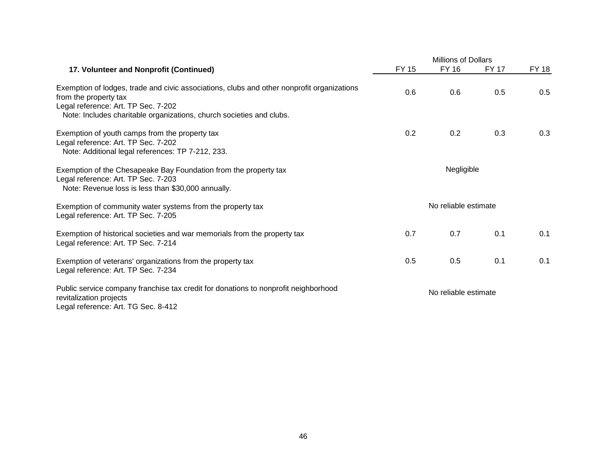|                                                                                                                                                               |                      | <b>Millions of Dollars</b> |              |              |  |
|---------------------------------------------------------------------------------------------------------------------------------------------------------------|----------------------|----------------------------|--------------|--------------|--|
| 17. Volunteer and Nonprofit (Continued)                                                                                                                       | <b>FY 15</b>         | <b>FY 16</b>               | <b>FY 17</b> | <b>FY 18</b> |  |
| Exemption of lodges, trade and civic associations, clubs and other nonprofit organizations<br>from the property tax<br>Legal reference: Art. TP Sec. 7-202    | 0.6                  | 0.6                        | 0.5          | 0.5          |  |
| Note: Includes charitable organizations, church societies and clubs.                                                                                          |                      |                            |              |              |  |
| Exemption of youth camps from the property tax<br>Legal reference: Art. TP Sec. 7-202<br>Note: Additional legal references: TP 7-212, 233.                    | 0.2                  | 0.2                        | 0.3          | 0.3          |  |
| Exemption of the Chesapeake Bay Foundation from the property tax<br>Legal reference: Art. TP Sec. 7-203<br>Note: Revenue loss is less than \$30,000 annually. | Negligible           |                            |              |              |  |
| Exemption of community water systems from the property tax<br>Legal reference: Art. TP Sec. 7-205                                                             | No reliable estimate |                            |              |              |  |
| Exemption of historical societies and war memorials from the property tax<br>Legal reference: Art. TP Sec. 7-214                                              | 0.7                  | 0.7                        | 0.1          | 0.1          |  |
| Exemption of veterans' organizations from the property tax<br>Legal reference: Art. TP Sec. 7-234                                                             | 0.5                  | 0.5                        | 0.1          | 0.1          |  |
| Public service company franchise tax credit for donations to nonprofit neighborhood<br>revitalization projects<br>Legal reference: Art. TG Sec. 8-412         | No reliable estimate |                            |              |              |  |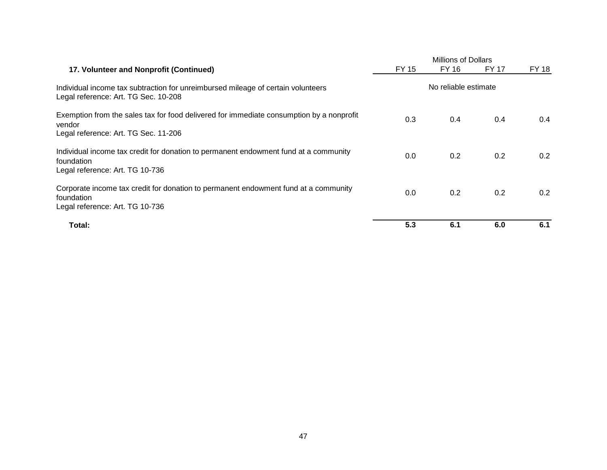|                                                                                                                                            | <b>Millions of Dollars</b> |       |              |              |  |
|--------------------------------------------------------------------------------------------------------------------------------------------|----------------------------|-------|--------------|--------------|--|
| 17. Volunteer and Nonprofit (Continued)                                                                                                    | FY 15                      | FY 16 | <b>FY 17</b> | <b>FY 18</b> |  |
| Individual income tax subtraction for unreimbursed mileage of certain volunteers<br>Legal reference: Art. TG Sec. 10-208                   | No reliable estimate       |       |              |              |  |
| Exemption from the sales tax for food delivered for immediate consumption by a nonprofit<br>vendor<br>Legal reference: Art. TG Sec. 11-206 | 0.3                        | 0.4   | 0.4          | 0.4          |  |
| Individual income tax credit for donation to permanent endowment fund at a community<br>foundation<br>Legal reference: Art. TG 10-736      | 0.0                        | 0.2   | 0.2          | 0.2          |  |
| Corporate income tax credit for donation to permanent endowment fund at a community<br>foundation<br>Legal reference: Art. TG 10-736       | 0.0                        | 0.2   | 0.2          | 0.2          |  |
| Total:                                                                                                                                     | 5.3                        | 6.1   | 6.0          | 6.1          |  |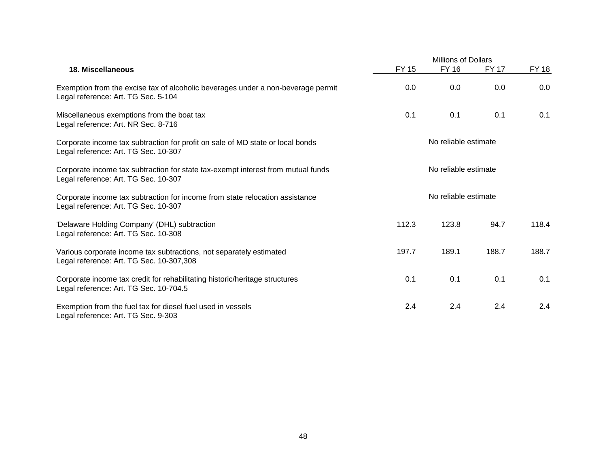|                                                                                                                          | <b>Millions of Dollars</b> |              |              |              |  |
|--------------------------------------------------------------------------------------------------------------------------|----------------------------|--------------|--------------|--------------|--|
| <b>18. Miscellaneous</b>                                                                                                 | <b>FY 15</b>               | <b>FY 16</b> | <b>FY 17</b> | <b>FY 18</b> |  |
| Exemption from the excise tax of alcoholic beverages under a non-beverage permit<br>Legal reference: Art. TG Sec. 5-104  | 0.0                        | 0.0          | 0.0          | 0.0          |  |
| Miscellaneous exemptions from the boat tax<br>Legal reference: Art. NR Sec. 8-716                                        | 0.1                        | 0.1          | 0.1          | 0.1          |  |
| Corporate income tax subtraction for profit on sale of MD state or local bonds<br>Legal reference: Art. TG Sec. 10-307   | No reliable estimate       |              |              |              |  |
| Corporate income tax subtraction for state tax-exempt interest from mutual funds<br>Legal reference: Art. TG Sec. 10-307 | No reliable estimate       |              |              |              |  |
| Corporate income tax subtraction for income from state relocation assistance<br>Legal reference: Art. TG Sec. 10-307     | No reliable estimate       |              |              |              |  |
| 'Delaware Holding Company' (DHL) subtraction<br>Legal reference: Art. TG Sec. 10-308                                     | 112.3                      | 123.8        | 94.7         | 118.4        |  |
| Various corporate income tax subtractions, not separately estimated<br>Legal reference: Art. TG Sec. 10-307,308          | 197.7                      | 189.1        | 188.7        | 188.7        |  |
| Corporate income tax credit for rehabilitating historic/heritage structures<br>Legal reference: Art. TG Sec. 10-704.5    | 0.1                        | 0.1          | 0.1          | 0.1          |  |
| Exemption from the fuel tax for diesel fuel used in vessels<br>Legal reference: Art. TG Sec. 9-303                       | 2.4                        | 2.4          | 2.4          | 2.4          |  |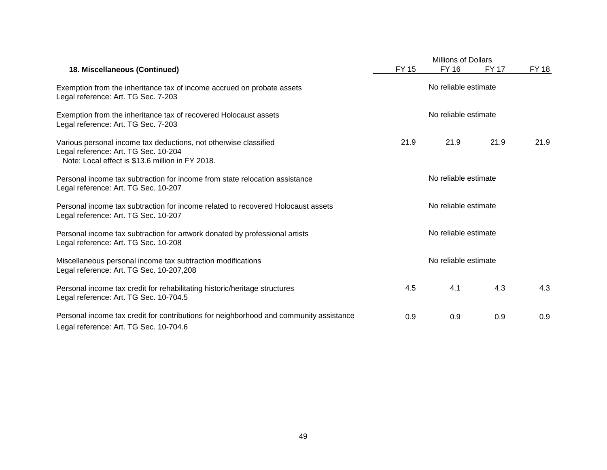|                                                                                                                                                              | <b>Millions of Dollars</b> |              |              |              |
|--------------------------------------------------------------------------------------------------------------------------------------------------------------|----------------------------|--------------|--------------|--------------|
| 18. Miscellaneous (Continued)                                                                                                                                | <b>FY 15</b>               | <b>FY 16</b> | <b>FY 17</b> | <b>FY 18</b> |
| Exemption from the inheritance tax of income accrued on probate assets<br>Legal reference: Art. TG Sec. 7-203                                                | No reliable estimate       |              |              |              |
| Exemption from the inheritance tax of recovered Holocaust assets<br>Legal reference: Art. TG Sec. 7-203                                                      | No reliable estimate       |              |              |              |
| Various personal income tax deductions, not otherwise classified<br>Legal reference: Art. TG Sec. 10-204<br>Note: Local effect is \$13.6 million in FY 2018. | 21.9                       | 21.9         | 21.9         | 21.9         |
| Personal income tax subtraction for income from state relocation assistance<br>Legal reference: Art. TG Sec. 10-207                                          | No reliable estimate       |              |              |              |
| Personal income tax subtraction for income related to recovered Holocaust assets<br>Legal reference: Art. TG Sec. 10-207                                     | No reliable estimate       |              |              |              |
| Personal income tax subtraction for artwork donated by professional artists<br>Legal reference: Art. TG Sec. 10-208                                          | No reliable estimate       |              |              |              |
| Miscellaneous personal income tax subtraction modifications<br>Legal reference: Art. TG Sec. 10-207,208                                                      | No reliable estimate       |              |              |              |
| Personal income tax credit for rehabilitating historic/heritage structures<br>Legal reference: Art. TG Sec. 10-704.5                                         | 4.5                        | 4.1          | 4.3          | 4.3          |
| Personal income tax credit for contributions for neighborhood and community assistance<br>Legal reference: Art. TG Sec. 10-704.6                             | 0.9                        | 0.9          | 0.9          | 0.9          |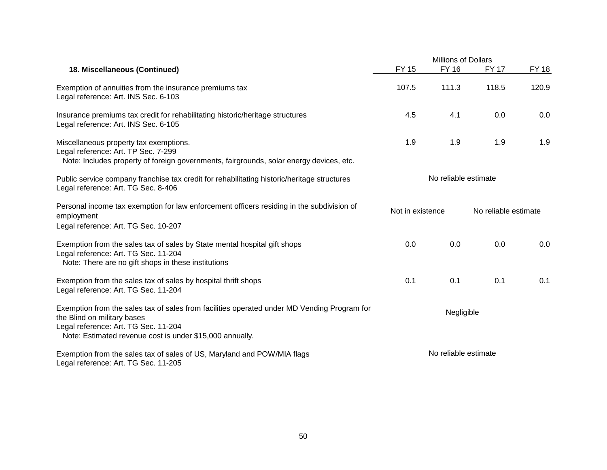|                                                                                                                                                                                                                                | <b>Millions of Dollars</b> |              |                      |              |
|--------------------------------------------------------------------------------------------------------------------------------------------------------------------------------------------------------------------------------|----------------------------|--------------|----------------------|--------------|
| 18. Miscellaneous (Continued)                                                                                                                                                                                                  | <b>FY 15</b>               | <b>FY 16</b> | <b>FY 17</b>         | <b>FY 18</b> |
| Exemption of annuities from the insurance premiums tax<br>Legal reference: Art. INS Sec. 6-103                                                                                                                                 | 107.5                      | 111.3        | 118.5                | 120.9        |
| Insurance premiums tax credit for rehabilitating historic/heritage structures<br>Legal reference: Art. INS Sec. 6-105                                                                                                          | 4.5                        | 4.1          | 0.0                  | 0.0          |
| Miscellaneous property tax exemptions.<br>Legal reference: Art. TP Sec. 7-299<br>Note: Includes property of foreign governments, fairgrounds, solar energy devices, etc.                                                       | 1.9                        | 1.9          | 1.9                  | 1.9          |
| Public service company franchise tax credit for rehabilitating historic/heritage structures<br>Legal reference: Art. TG Sec. 8-406                                                                                             | No reliable estimate       |              |                      |              |
| Personal income tax exemption for law enforcement officers residing in the subdivision of<br>employment<br>Legal reference: Art. TG Sec. 10-207                                                                                | Not in existence           |              | No reliable estimate |              |
| Exemption from the sales tax of sales by State mental hospital gift shops<br>Legal reference: Art. TG Sec. 11-204<br>Note: There are no gift shops in these institutions                                                       | 0.0                        | 0.0          | 0.0                  | 0.0          |
| Exemption from the sales tax of sales by hospital thrift shops<br>Legal reference: Art. TG Sec. 11-204                                                                                                                         | 0.1                        | 0.1          | 0.1                  | 0.1          |
| Exemption from the sales tax of sales from facilities operated under MD Vending Program for<br>the Blind on military bases<br>Legal reference: Art. TG Sec. 11-204<br>Note: Estimated revenue cost is under \$15,000 annually. |                            | Negligible   |                      |              |
| Exemption from the sales tax of sales of US, Maryland and POW/MIA flags<br>Legal reference: Art. TG Sec. 11-205                                                                                                                | No reliable estimate       |              |                      |              |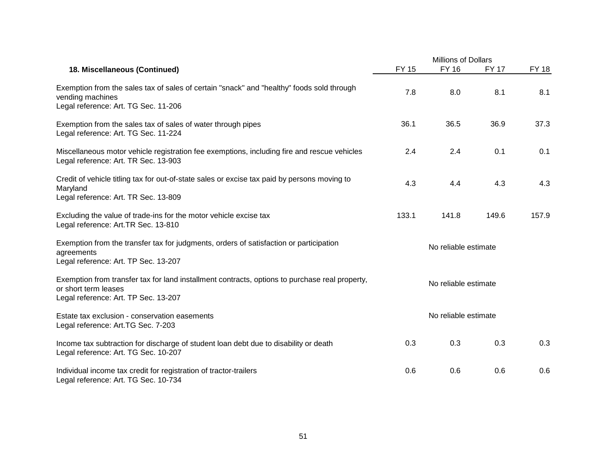|                                                                                                                                                                |                      | <b>Millions of Dollars</b> |              |              |  |
|----------------------------------------------------------------------------------------------------------------------------------------------------------------|----------------------|----------------------------|--------------|--------------|--|
| 18. Miscellaneous (Continued)                                                                                                                                  | <b>FY 15</b>         | <b>FY 16</b>               | <b>FY 17</b> | <b>FY 18</b> |  |
| Exemption from the sales tax of sales of certain "snack" and "healthy" foods sold through<br>vending machines<br>Legal reference: Art. TG Sec. 11-206          | 7.8                  | 8.0                        | 8.1          | 8.1          |  |
| Exemption from the sales tax of sales of water through pipes<br>Legal reference: Art. TG Sec. 11-224                                                           | 36.1                 | 36.5                       | 36.9         | 37.3         |  |
| Miscellaneous motor vehicle registration fee exemptions, including fire and rescue vehicles<br>Legal reference: Art. TR Sec. 13-903                            | 2.4                  | 2.4                        | 0.1          | 0.1          |  |
| Credit of vehicle titling tax for out-of-state sales or excise tax paid by persons moving to<br>Maryland<br>Legal reference: Art. TR Sec. 13-809               | 4.3                  | 4.4                        | 4.3          | 4.3          |  |
| Excluding the value of trade-ins for the motor vehicle excise tax<br>Legal reference: Art.TR Sec. 13-810                                                       | 133.1                | 141.8                      | 149.6        | 157.9        |  |
| Exemption from the transfer tax for judgments, orders of satisfaction or participation<br>agreements<br>Legal reference: Art. TP Sec. 13-207                   | No reliable estimate |                            |              |              |  |
| Exemption from transfer tax for land installment contracts, options to purchase real property,<br>or short term leases<br>Legal reference: Art. TP Sec. 13-207 |                      | No reliable estimate       |              |              |  |
| Estate tax exclusion - conservation easements<br>Legal reference: Art.TG Sec. 7-203                                                                            |                      |                            |              |              |  |
| Income tax subtraction for discharge of student loan debt due to disability or death<br>Legal reference: Art. TG Sec. 10-207                                   | 0.3                  | 0.3                        | 0.3          | 0.3          |  |
| Individual income tax credit for registration of tractor-trailers<br>Legal reference: Art. TG Sec. 10-734                                                      | 0.6                  | 0.6                        | 0.6          | 0.6          |  |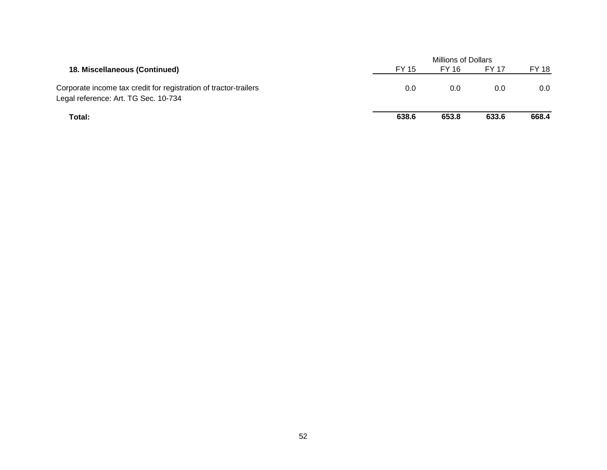|                                                                  | <b>Millions of Dollars</b> |       |              |         |  |
|------------------------------------------------------------------|----------------------------|-------|--------------|---------|--|
| 18. Miscellaneous (Continued)                                    | FY 15                      | FY 16 | <b>FY 17</b> | FY 18   |  |
| Corporate income tax credit for registration of tractor-trailers | 0.0                        | 0.0   | 0.0          | $0.0\,$ |  |
| Legal reference: Art. TG Sec. 10-734                             |                            |       |              |         |  |
| Total:                                                           | 638.6                      | 653.8 | 633.6        | 668.4   |  |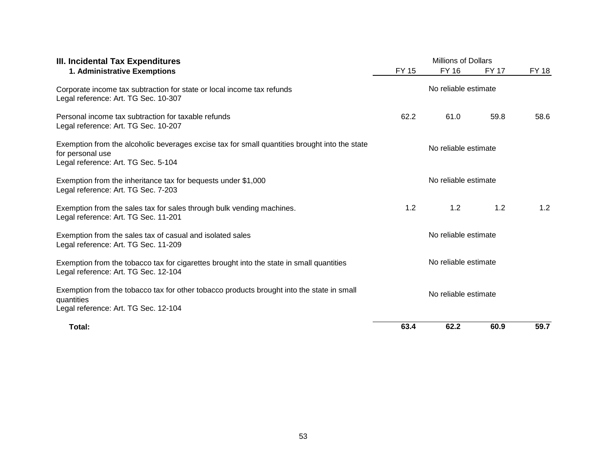| III. Incidental Tax Expenditures                                                                                                                         | <b>Millions of Dollars</b> |                      |              |       |  |
|----------------------------------------------------------------------------------------------------------------------------------------------------------|----------------------------|----------------------|--------------|-------|--|
| 1. Administrative Exemptions                                                                                                                             | <b>FY 15</b>               | FY 16                | <b>FY 17</b> | FY 18 |  |
| Corporate income tax subtraction for state or local income tax refunds<br>Legal reference: Art. TG Sec. 10-307                                           |                            |                      |              |       |  |
| Personal income tax subtraction for taxable refunds<br>Legal reference: Art. TG Sec. 10-207                                                              | 62.2                       | 61.0                 | 59.8         | 58.6  |  |
| Exemption from the alcoholic beverages excise tax for small quantities brought into the state<br>for personal use<br>Legal reference: Art. TG Sec. 5-104 |                            | No reliable estimate |              |       |  |
| Exemption from the inheritance tax for bequests under \$1,000<br>Legal reference: Art. TG Sec. 7-203                                                     | No reliable estimate       |                      |              |       |  |
| Exemption from the sales tax for sales through bulk vending machines.<br>Legal reference: Art. TG Sec. 11-201                                            | 1.2                        | 1.2                  | 1.2          | 1.2   |  |
| Exemption from the sales tax of casual and isolated sales<br>Legal reference: Art. TG Sec. 11-209                                                        | No reliable estimate       |                      |              |       |  |
| Exemption from the tobacco tax for cigarettes brought into the state in small quantities<br>Legal reference: Art. TG Sec. 12-104                         | No reliable estimate       |                      |              |       |  |
| Exemption from the tobacco tax for other tobacco products brought into the state in small<br>quantities<br>Legal reference: Art. TG Sec. 12-104          |                            | No reliable estimate |              |       |  |
| Total:                                                                                                                                                   | 63.4                       | 62.2                 | 60.9         | 59.7  |  |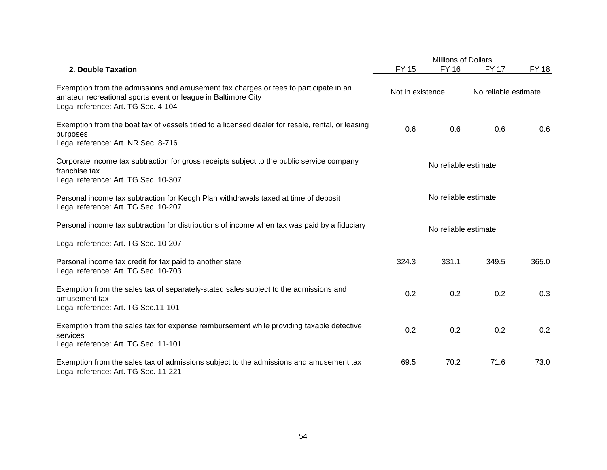|                                                                                                                                                                                              |                      | <b>Millions of Dollars</b> |                      |              |  |
|----------------------------------------------------------------------------------------------------------------------------------------------------------------------------------------------|----------------------|----------------------------|----------------------|--------------|--|
| 2. Double Taxation                                                                                                                                                                           | <b>FY 15</b>         | <b>FY 16</b>               | FY 17                | <b>FY 18</b> |  |
| Exemption from the admissions and amusement tax charges or fees to participate in an<br>amateur recreational sports event or league in Baltimore City<br>Legal reference: Art. TG Sec. 4-104 | Not in existence     |                            | No reliable estimate |              |  |
| Exemption from the boat tax of vessels titled to a licensed dealer for resale, rental, or leasing<br>purposes<br>Legal reference: Art. NR Sec. 8-716                                         | 0.6                  | 0.6                        | 0.6                  | 0.6          |  |
| Corporate income tax subtraction for gross receipts subject to the public service company<br>franchise tax<br>Legal reference: Art. TG Sec. 10-307                                           |                      | No reliable estimate       |                      |              |  |
| Personal income tax subtraction for Keogh Plan withdrawals taxed at time of deposit<br>Legal reference: Art. TG Sec. 10-207                                                                  | No reliable estimate |                            |                      |              |  |
| Personal income tax subtraction for distributions of income when tax was paid by a fiduciary<br>Legal reference: Art. TG Sec. 10-207                                                         | No reliable estimate |                            |                      |              |  |
|                                                                                                                                                                                              |                      |                            |                      |              |  |
| Personal income tax credit for tax paid to another state<br>Legal reference: Art. TG Sec. 10-703                                                                                             | 324.3                | 331.1                      | 349.5                | 365.0        |  |
| Exemption from the sales tax of separately-stated sales subject to the admissions and<br>amusement tax<br>Legal reference: Art. TG Sec.11-101                                                | 0.2                  | 0.2                        | 0.2                  | 0.3          |  |
| Exemption from the sales tax for expense reimbursement while providing taxable detective<br>services<br>Legal reference: Art. TG Sec. 11-101                                                 | 0.2                  | 0.2                        | 0.2                  | 0.2          |  |
| Exemption from the sales tax of admissions subject to the admissions and amusement tax<br>Legal reference: Art. TG Sec. 11-221                                                               | 69.5                 | 70.2                       | 71.6                 | 73.0         |  |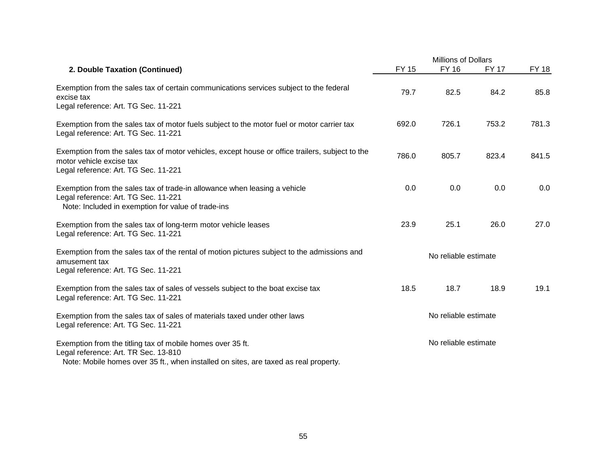|                                                                                                                                                                                            |                      | Millions of Dollars  |       |              |  |
|--------------------------------------------------------------------------------------------------------------------------------------------------------------------------------------------|----------------------|----------------------|-------|--------------|--|
| 2. Double Taxation (Continued)                                                                                                                                                             | <b>FY 15</b>         | <b>FY 16</b>         | FY 17 | <b>FY 18</b> |  |
| Exemption from the sales tax of certain communications services subject to the federal<br>excise tax<br>Legal reference: Art. TG Sec. 11-221                                               | 79.7                 | 82.5                 | 84.2  | 85.8         |  |
| Exemption from the sales tax of motor fuels subject to the motor fuel or motor carrier tax<br>Legal reference: Art. TG Sec. 11-221                                                         | 692.0                | 726.1                | 753.2 | 781.3        |  |
| Exemption from the sales tax of motor vehicles, except house or office trailers, subject to the<br>motor vehicle excise tax<br>Legal reference: Art. TG Sec. 11-221                        | 786.0                | 805.7                | 823.4 | 841.5        |  |
| Exemption from the sales tax of trade-in allowance when leasing a vehicle<br>Legal reference: Art. TG Sec. 11-221<br>Note: Included in exemption for value of trade-ins                    | 0.0                  | 0.0                  | 0.0   | 0.0          |  |
| Exemption from the sales tax of long-term motor vehicle leases<br>Legal reference: Art. TG Sec. 11-221                                                                                     | 23.9                 | 25.1                 | 26.0  | 27.0         |  |
| Exemption from the sales tax of the rental of motion pictures subject to the admissions and<br>amusement tax<br>Legal reference: Art. TG Sec. 11-221                                       | No reliable estimate |                      |       |              |  |
| Exemption from the sales tax of sales of vessels subject to the boat excise tax<br>Legal reference: Art. TG Sec. 11-221                                                                    | 18.5                 | 18.7                 | 18.9  | 19.1         |  |
| Exemption from the sales tax of sales of materials taxed under other laws<br>Legal reference: Art. TG Sec. 11-221                                                                          | No reliable estimate |                      |       |              |  |
| Exemption from the titling tax of mobile homes over 35 ft.<br>Legal reference: Art. TR Sec. 13-810<br>Note: Mobile homes over 35 ft., when installed on sites, are taxed as real property. |                      | No reliable estimate |       |              |  |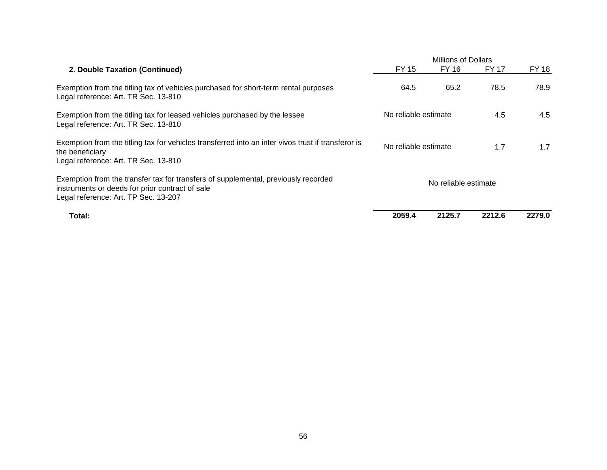|                                                                                                                                                                               | <b>Millions of Dollars</b> |        |        |              |
|-------------------------------------------------------------------------------------------------------------------------------------------------------------------------------|----------------------------|--------|--------|--------------|
| 2. Double Taxation (Continued)                                                                                                                                                | FY 15                      | FY 16  | FY 17  | <b>FY 18</b> |
| Exemption from the titling tax of vehicles purchased for short-term rental purposes<br>Legal reference: Art. TR Sec. 13-810                                                   | 64.5                       | 65.2   | 78.5   | 78.9         |
| Exemption from the titling tax for leased vehicles purchased by the lessee<br>Legal reference: Art. TR Sec. 13-810                                                            | No reliable estimate       |        | 4.5    | 4.5          |
| Exemption from the titling tax for vehicles transferred into an inter vivos trust if transferor is<br>the beneficiary<br>Legal reference: Art. TR Sec. 13-810                 | No reliable estimate       |        | 1.7    | 1.7          |
| Exemption from the transfer tax for transfers of supplemental, previously recorded<br>instruments or deeds for prior contract of sale<br>Legal reference: Art. TP Sec. 13-207 | No reliable estimate       |        |        |              |
| Total:                                                                                                                                                                        | 2059.4                     | 2125.7 | 2212.6 | 2279.0       |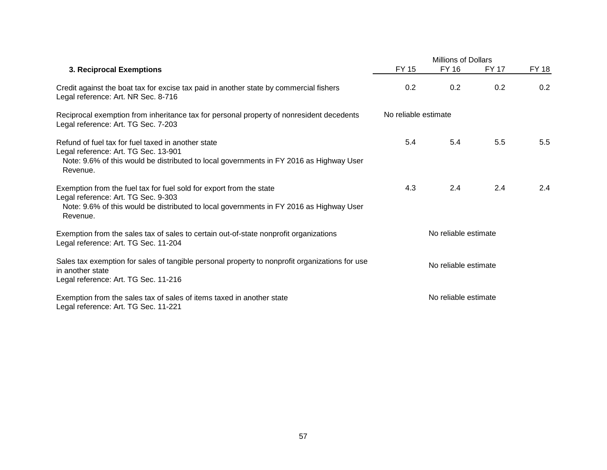|                                                                                                                                                                                                                   |                      | <b>Millions of Dollars</b> |       |              |  |  |
|-------------------------------------------------------------------------------------------------------------------------------------------------------------------------------------------------------------------|----------------------|----------------------------|-------|--------------|--|--|
| 3. Reciprocal Exemptions                                                                                                                                                                                          | <b>FY 15</b>         | <b>FY 16</b>               | FY 17 | <b>FY 18</b> |  |  |
| Credit against the boat tax for excise tax paid in another state by commercial fishers<br>Legal reference: Art. NR Sec. 8-716                                                                                     | 0.2                  | 0.2                        | 0.2   | 0.2          |  |  |
| Reciprocal exemption from inheritance tax for personal property of nonresident decedents<br>Legal reference: Art. TG Sec. 7-203                                                                                   | No reliable estimate |                            |       |              |  |  |
| Refund of fuel tax for fuel taxed in another state<br>Legal reference: Art. TG Sec. 13-901<br>Note: 9.6% of this would be distributed to local governments in FY 2016 as Highway User<br>Revenue.                 | 5.4                  | 5.4                        | 5.5   | 5.5          |  |  |
| Exemption from the fuel tax for fuel sold for export from the state<br>Legal reference: Art. TG Sec. 9-303<br>Note: 9.6% of this would be distributed to local governments in FY 2016 as Highway User<br>Revenue. | 4.3                  | 2.4                        | 2.4   | 2.4          |  |  |
| Exemption from the sales tax of sales to certain out-of-state nonprofit organizations<br>Legal reference: Art. TG Sec. 11-204                                                                                     | No reliable estimate |                            |       |              |  |  |
| Sales tax exemption for sales of tangible personal property to nonprofit organizations for use<br>in another state<br>Legal reference: Art. TG Sec. 11-216                                                        | No reliable estimate |                            |       |              |  |  |
| Exemption from the sales tax of sales of items taxed in another state<br>Legal reference: Art. TG Sec. 11-221                                                                                                     |                      | No reliable estimate       |       |              |  |  |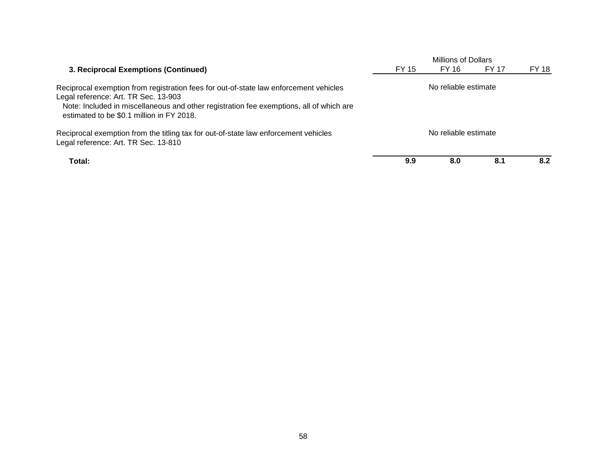|                                                                                                                                                                                                                                                                       |                      | Millions of Dollars |       |       |
|-----------------------------------------------------------------------------------------------------------------------------------------------------------------------------------------------------------------------------------------------------------------------|----------------------|---------------------|-------|-------|
| 3. Reciprocal Exemptions (Continued)                                                                                                                                                                                                                                  | FY 15                | FY 16               | FY 17 | FY 18 |
| Reciprocal exemption from registration fees for out-of-state law enforcement vehicles<br>Legal reference: Art. TR Sec. 13-903<br>Note: Included in miscellaneous and other registration fee exemptions, all of which are<br>estimated to be \$0.1 million in FY 2018. | No reliable estimate |                     |       |       |
| Reciprocal exemption from the titling tax for out-of-state law enforcement vehicles<br>Legal reference: Art. TR Sec. 13-810                                                                                                                                           | No reliable estimate |                     |       |       |
| Total:                                                                                                                                                                                                                                                                | 9.9                  | 8.0                 | 8.1   | 8.2   |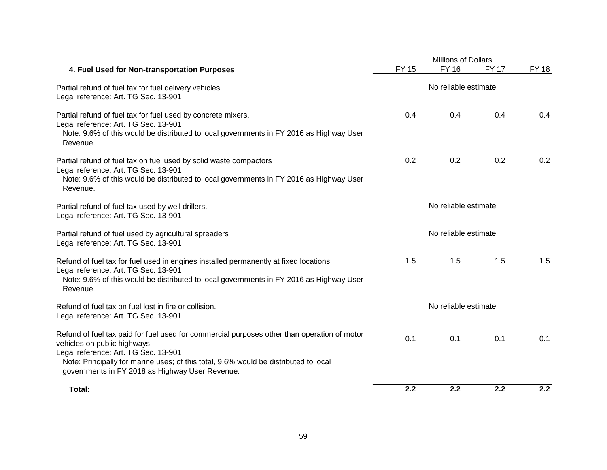|                                                                                                                                                                                                                                                                                                               | <b>Millions of Dollars</b> |                      |              |              |  |
|---------------------------------------------------------------------------------------------------------------------------------------------------------------------------------------------------------------------------------------------------------------------------------------------------------------|----------------------------|----------------------|--------------|--------------|--|
| 4. Fuel Used for Non-transportation Purposes                                                                                                                                                                                                                                                                  | <b>FY 15</b>               | <b>FY 16</b>         | <b>FY 17</b> | <b>FY 18</b> |  |
| Partial refund of fuel tax for fuel delivery vehicles<br>Legal reference: Art. TG Sec. 13-901                                                                                                                                                                                                                 |                            | No reliable estimate |              |              |  |
| Partial refund of fuel tax for fuel used by concrete mixers.<br>Legal reference: Art. TG Sec. 13-901<br>Note: 9.6% of this would be distributed to local governments in FY 2016 as Highway User<br>Revenue.                                                                                                   | 0.4                        | 0.4                  | 0.4          | 0.4          |  |
| Partial refund of fuel tax on fuel used by solid waste compactors<br>Legal reference: Art. TG Sec. 13-901<br>Note: 9.6% of this would be distributed to local governments in FY 2016 as Highway User<br>Revenue.                                                                                              | 0.2                        | 0.2                  | 0.2          | 0.2          |  |
| Partial refund of fuel tax used by well drillers.<br>Legal reference: Art. TG Sec. 13-901                                                                                                                                                                                                                     | No reliable estimate       |                      |              |              |  |
| Partial refund of fuel used by agricultural spreaders<br>Legal reference: Art. TG Sec. 13-901                                                                                                                                                                                                                 | No reliable estimate       |                      |              |              |  |
| Refund of fuel tax for fuel used in engines installed permanently at fixed locations<br>Legal reference: Art. TG Sec. 13-901<br>Note: 9.6% of this would be distributed to local governments in FY 2016 as Highway User<br>Revenue.                                                                           | 1.5                        | 1.5                  | 1.5          | 1.5          |  |
| Refund of fuel tax on fuel lost in fire or collision.<br>Legal reference: Art. TG Sec. 13-901                                                                                                                                                                                                                 | No reliable estimate       |                      |              |              |  |
| Refund of fuel tax paid for fuel used for commercial purposes other than operation of motor<br>vehicles on public highways<br>Legal reference: Art. TG Sec. 13-901<br>Note: Principally for marine uses; of this total, 9.6% would be distributed to local<br>governments in FY 2018 as Highway User Revenue. | 0.1                        | 0.1                  | 0.1          | 0.1          |  |
| Total:                                                                                                                                                                                                                                                                                                        | 2.2                        | 2.2                  | 2.2          | 2.2          |  |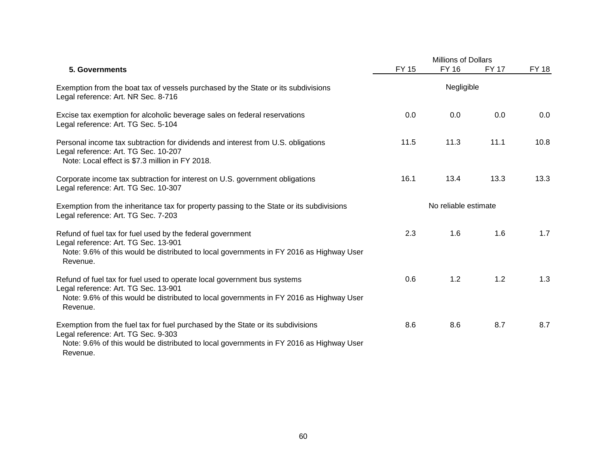|                                                                                                                                                                                                                               |              | Millions of Dollars  |              |              |
|-------------------------------------------------------------------------------------------------------------------------------------------------------------------------------------------------------------------------------|--------------|----------------------|--------------|--------------|
| 5. Governments                                                                                                                                                                                                                | <b>FY 15</b> | <b>FY 16</b>         | <b>FY 17</b> | <b>FY 18</b> |
| Exemption from the boat tax of vessels purchased by the State or its subdivisions<br>Legal reference: Art. NR Sec. 8-716                                                                                                      |              | Negligible           |              |              |
| Excise tax exemption for alcoholic beverage sales on federal reservations<br>Legal reference: Art. TG Sec. 5-104                                                                                                              | 0.0          | 0.0                  | 0.0          | 0.0          |
| Personal income tax subtraction for dividends and interest from U.S. obligations<br>Legal reference: Art. TG Sec. 10-207<br>Note: Local effect is \$7.3 million in FY 2018.                                                   | 11.5         | 11.3                 | 11.1         | 10.8         |
| Corporate income tax subtraction for interest on U.S. government obligations<br>Legal reference: Art. TG Sec. 10-307                                                                                                          | 16.1         | 13.4                 | 13.3         | 13.3         |
| Exemption from the inheritance tax for property passing to the State or its subdivisions<br>Legal reference: Art. TG Sec. 7-203                                                                                               |              | No reliable estimate |              |              |
| Refund of fuel tax for fuel used by the federal government<br>Legal reference: Art. TG Sec. 13-901<br>Note: 9.6% of this would be distributed to local governments in FY 2016 as Highway User<br>Revenue.                     | 2.3          | 1.6                  | 1.6          | 1.7          |
| Refund of fuel tax for fuel used to operate local government bus systems<br>Legal reference: Art. TG Sec. 13-901<br>Note: 9.6% of this would be distributed to local governments in FY 2016 as Highway User<br>Revenue.       | 0.6          | 1.2                  | 1.2          | 1.3          |
| Exemption from the fuel tax for fuel purchased by the State or its subdivisions<br>Legal reference: Art. TG Sec. 9-303<br>Note: 9.6% of this would be distributed to local governments in FY 2016 as Highway User<br>Revenue. | 8.6          | 8.6                  | 8.7          | 8.7          |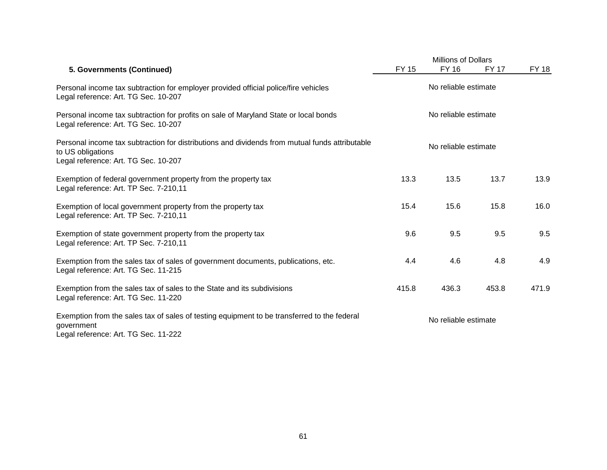|                                                                                                                                                             |                      | <b>Millions of Dollars</b> |              |       |
|-------------------------------------------------------------------------------------------------------------------------------------------------------------|----------------------|----------------------------|--------------|-------|
| 5. Governments (Continued)                                                                                                                                  | <b>FY 15</b>         | <b>FY 16</b>               | <b>FY 17</b> | FY 18 |
| Personal income tax subtraction for employer provided official police/fire vehicles<br>Legal reference: Art. TG Sec. 10-207                                 |                      | No reliable estimate       |              |       |
| Personal income tax subtraction for profits on sale of Maryland State or local bonds<br>Legal reference: Art. TG Sec. 10-207                                | No reliable estimate |                            |              |       |
| Personal income tax subtraction for distributions and dividends from mutual funds attributable<br>to US obligations<br>Legal reference: Art. TG Sec. 10-207 | No reliable estimate |                            |              |       |
| Exemption of federal government property from the property tax<br>Legal reference: Art. TP Sec. 7-210,11                                                    | 13.3                 | 13.5                       | 13.7         | 13.9  |
| Exemption of local government property from the property tax<br>Legal reference: Art. TP Sec. 7-210,11                                                      | 15.4                 | 15.6                       | 15.8         | 16.0  |
| Exemption of state government property from the property tax<br>Legal reference: Art. TP Sec. 7-210,11                                                      | 9.6                  | 9.5                        | 9.5          | 9.5   |
| Exemption from the sales tax of sales of government documents, publications, etc.<br>Legal reference: Art. TG Sec. 11-215                                   | 4.4                  | 4.6                        | 4.8          | 4.9   |
| Exemption from the sales tax of sales to the State and its subdivisions<br>Legal reference: Art. TG Sec. 11-220                                             | 415.8                | 436.3                      | 453.8        | 471.9 |
| Exemption from the sales tax of sales of testing equipment to be transferred to the federal<br>government<br>Legal reference: Art. TG Sec. 11-222           | No reliable estimate |                            |              |       |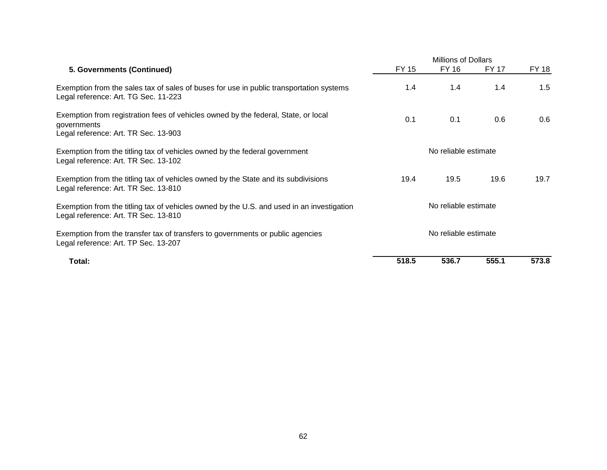|                                                                                                                                           | <b>Millions of Dollars</b> |       |       |       |
|-------------------------------------------------------------------------------------------------------------------------------------------|----------------------------|-------|-------|-------|
| 5. Governments (Continued)                                                                                                                | FY 15                      | FY 16 | FY 17 | FY 18 |
| Exemption from the sales tax of sales of buses for use in public transportation systems<br>Legal reference: Art. TG Sec. 11-223           | 1.4                        | 1.4   | 1.4   | 1.5   |
| Exemption from registration fees of vehicles owned by the federal, State, or local<br>governments<br>Legal reference: Art. TR Sec. 13-903 | 0.1                        | 0.1   | 0.6   | 0.6   |
| Exemption from the titling tax of vehicles owned by the federal government<br>Legal reference: Art. TR Sec. 13-102                        | No reliable estimate       |       |       |       |
| Exemption from the titling tax of vehicles owned by the State and its subdivisions<br>Legal reference: Art. TR Sec. 13-810                | 19.4                       | 19.5  | 19.6  | 19.7  |
| Exemption from the titling tax of vehicles owned by the U.S. and used in an investigation<br>Legal reference: Art. TR Sec. 13-810         | No reliable estimate       |       |       |       |
| Exemption from the transfer tax of transfers to governments or public agencies<br>Legal reference: Art. TP Sec. 13-207                    | No reliable estimate       |       |       |       |
| Total:                                                                                                                                    | 518.5                      | 536.7 | 555.1 | 573.8 |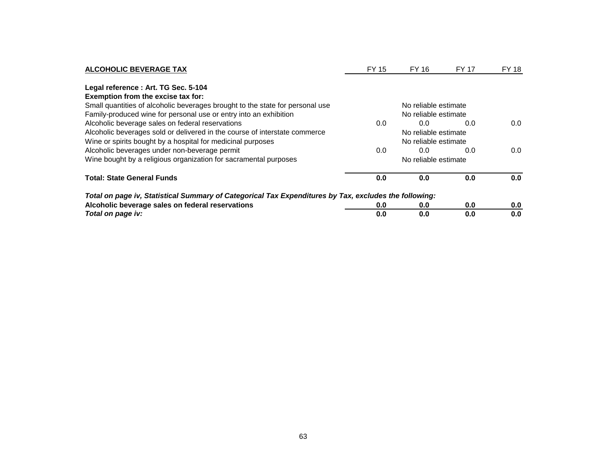| <b>ALCOHOLIC BEVERAGE TAX</b>                                                                         | FY 15 | FY 16                | FY 17 | FY 18 |
|-------------------------------------------------------------------------------------------------------|-------|----------------------|-------|-------|
| Legal reference : Art. TG Sec. 5-104                                                                  |       |                      |       |       |
| Exemption from the excise tax for:                                                                    |       |                      |       |       |
| Small quantities of alcoholic beverages brought to the state for personal use                         |       |                      |       |       |
| Family-produced wine for personal use or entry into an exhibition                                     |       | No reliable estimate |       |       |
| Alcoholic beverage sales on federal reservations                                                      | 0.0   | 0.0                  | 0.0   | 0.0   |
| Alcoholic beverages sold or delivered in the course of interstate commerce                            |       |                      |       |       |
| Wine or spirits bought by a hospital for medicinal purposes                                           |       |                      |       |       |
| Alcoholic beverages under non-beverage permit                                                         | 0.0   | 0.0                  | 0.0   | 0.0   |
| Wine bought by a religious organization for sacramental purposes                                      |       |                      |       |       |
| <b>Total: State General Funds</b>                                                                     | 0.0   | 0.0                  | 0.0   | 0.0   |
| Total on page iv, Statistical Summary of Categorical Tax Expenditures by Tax, excludes the following: |       |                      |       |       |
| Alcoholic beverage sales on federal reservations                                                      | 0.0   | 0.0                  | 0.0   | 0.0   |
| Total on page iv:                                                                                     | 0.0   | 0.0                  | 0.0   | 0.0   |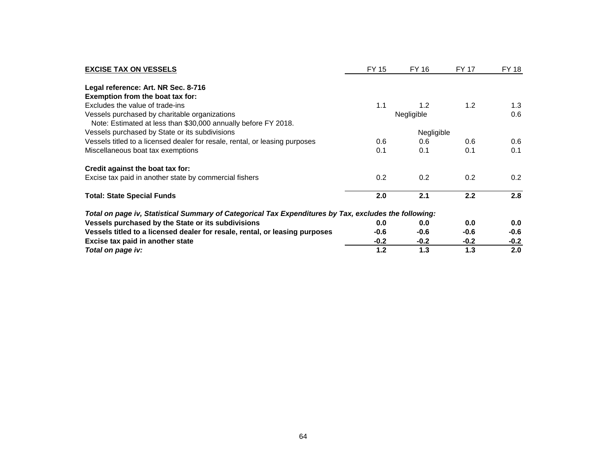| <b>EXCISE TAX ON VESSELS</b>                                                                          | FY 15      | FY 16  | <b>FY 17</b> | FY 18  |
|-------------------------------------------------------------------------------------------------------|------------|--------|--------------|--------|
| Legal reference: Art. NR Sec. 8-716                                                                   |            |        |              |        |
| Exemption from the boat tax for:                                                                      |            |        |              |        |
| Excludes the value of trade-ins                                                                       | 1.1        | 1.2    | 1.2          | 1.3    |
| Vessels purchased by charitable organizations                                                         | Negligible |        | 0.6          |        |
| Note: Estimated at less than \$30,000 annually before FY 2018.                                        |            |        |              |        |
| Vessels purchased by State or its subdivisions                                                        |            |        |              |        |
| Vessels titled to a licensed dealer for resale, rental, or leasing purposes                           | 0.6        | 0.6    | 0.6          | 0.6    |
| Miscellaneous boat tax exemptions                                                                     | 0.1        | 0.1    | 0.1          | 0.1    |
| Credit against the boat tax for:                                                                      |            |        |              |        |
| Excise tax paid in another state by commercial fishers                                                | 0.2        | 0.2    | 0.2          | 0.2    |
| <b>Total: State Special Funds</b>                                                                     | 2.0        | 2.1    | 2.2          | 2.8    |
| Total on page iv, Statistical Summary of Categorical Tax Expenditures by Tax, excludes the following: |            |        |              |        |
| Vessels purchased by the State or its subdivisions                                                    | 0.0        | 0.0    | 0.0          | 0.0    |
| Vessels titled to a licensed dealer for resale, rental, or leasing purposes                           | $-0.6$     | $-0.6$ | $-0.6$       | $-0.6$ |
| Excise tax paid in another state                                                                      | $-0.2$     | $-0.2$ | $-0.2$       | $-0.2$ |
| Total on page iv:                                                                                     | 1.2        | 1.3    | 1.3          | 2.0    |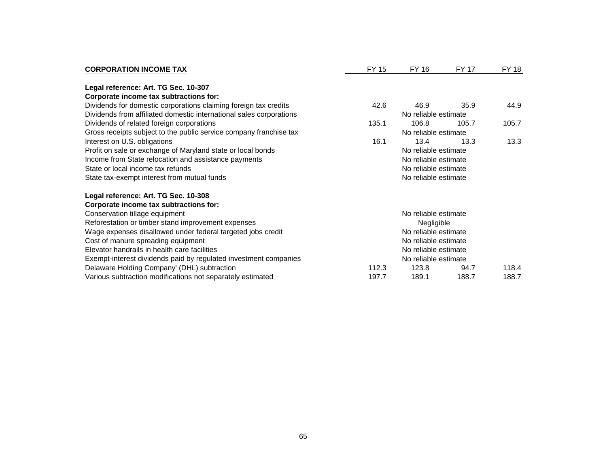| <b>CORPORATION INCOME TAX</b>                                       | FY 15                | FY 16                | <b>FY 17</b> | FY 18 |
|---------------------------------------------------------------------|----------------------|----------------------|--------------|-------|
| Legal reference: Art. TG Sec. 10-307                                |                      |                      |              |       |
| Corporate income tax subtractions for:                              |                      |                      |              |       |
| Dividends for domestic corporations claiming foreign tax credits    | 42.6                 | 46.9                 | 35.9         | 44.9  |
| Dividends from affiliated domestic international sales corporations |                      | No reliable estimate |              |       |
| Dividends of related foreign corporations                           | 135.1                | 106.8                | 105.7        | 105.7 |
| Gross receipts subject to the public service company franchise tax  |                      | No reliable estimate |              |       |
| Interest on U.S. obligations                                        | 16.1                 | 13.4                 | 13.3         | 13.3  |
| Profit on sale or exchange of Maryland state or local bonds         | No reliable estimate |                      |              |       |
| Income from State relocation and assistance payments                | No reliable estimate |                      |              |       |
| State or local income tax refunds                                   | No reliable estimate |                      |              |       |
| State tax-exempt interest from mutual funds                         |                      | No reliable estimate |              |       |
| Legal reference: Art. TG Sec. 10-308                                |                      |                      |              |       |
| Corporate income tax subtractions for:                              |                      |                      |              |       |
| Conservation tillage equipment                                      |                      | No reliable estimate |              |       |
| Reforestation or timber stand improvement expenses                  | Negligible           |                      |              |       |
| Wage expenses disallowed under federal targeted jobs credit         |                      | No reliable estimate |              |       |
| Cost of manure spreading equipment                                  | No reliable estimate |                      |              |       |
| Elevator handrails in health care facilities                        | No reliable estimate |                      |              |       |
| Exempt-interest dividends paid by regulated investment companies    | No reliable estimate |                      |              |       |
| Delaware Holding Company' (DHL) subtraction                         | 112.3                | 123.8                | 94.7         | 118.4 |
| Various subtraction modifications not separately estimated          | 197.7                | 189.1                | 188.7        | 188.7 |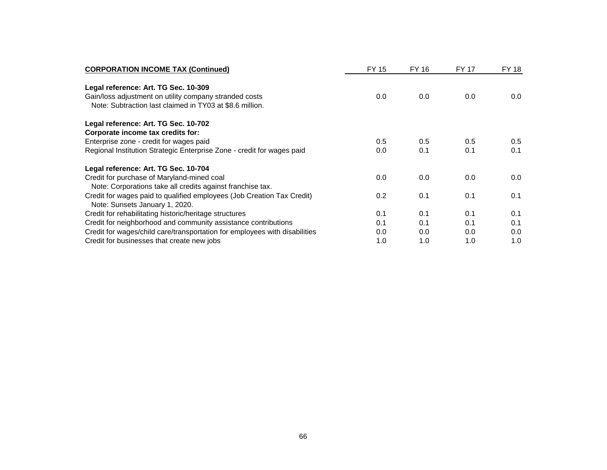| <b>CORPORATION INCOME TAX (Continued)</b>                                                                          | <b>FY 15</b> | FY 16 | FY 17 | FY 18 |
|--------------------------------------------------------------------------------------------------------------------|--------------|-------|-------|-------|
| Legal reference: Art. TG Sec. 10-309                                                                               |              |       |       |       |
| Gain/loss adjustment on utility company stranded costs<br>Note: Subtraction last claimed in TY03 at \$8.6 million. | 0.0          | 0.0   | 0.0   | 0.0   |
| Legal reference: Art. TG Sec. 10-702                                                                               |              |       |       |       |
| Corporate income tax credits for:                                                                                  |              |       |       |       |
| Enterprise zone - credit for wages paid                                                                            | 0.5          | 0.5   | 0.5   | 0.5   |
| Regional Institution Strategic Enterprise Zone - credit for wages paid                                             | 0.0          | 0.1   | 0.1   | 0.1   |
| Legal reference: Art. TG Sec. 10-704                                                                               |              |       |       |       |
| Credit for purchase of Maryland-mined coal                                                                         | 0.0          | 0.0   | 0.0   | 0.0   |
| Note: Corporations take all credits against franchise tax.                                                         |              |       |       |       |
| Credit for wages paid to qualified employees (Job Creation Tax Credit)<br>Note: Sunsets January 1, 2020.           | 0.2          | 0.1   | 0.1   | 0.1   |
| Credit for rehabilitating historic/heritage structures                                                             | 0.1          | 0.1   | 0.1   | 0.1   |
| Credit for neighborhood and community assistance contributions                                                     | 0.1          | 0.1   | 0.1   | 0.1   |
| Credit for wages/child care/transportation for employees with disabilities                                         | 0.0          | 0.0   | 0.0   | 0.0   |
| Credit for businesses that create new jobs                                                                         | 1.0          | 1.0   | 1.0   | 1.0   |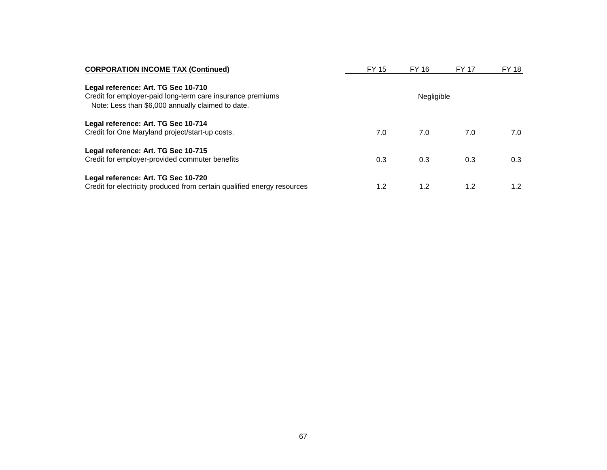| <b>CORPORATION INCOME TAX (Continued)</b>                                                                                                              | <b>FY 15</b> | FY 16 | <b>FY 17</b> | FY 18            |
|--------------------------------------------------------------------------------------------------------------------------------------------------------|--------------|-------|--------------|------------------|
| Legal reference: Art. TG Sec 10-710<br>Credit for employer-paid long-term care insurance premiums<br>Note: Less than \$6,000 annually claimed to date. |              |       |              |                  |
| Legal reference: Art. TG Sec 10-714<br>Credit for One Maryland project/start-up costs.                                                                 | 7.0          | 7.0   | 7.0          | 7.0              |
| Legal reference: Art. TG Sec 10-715<br>Credit for employer-provided commuter benefits                                                                  | 0.3          | 0.3   | 0.3          | 0.3              |
| Legal reference: Art. TG Sec 10-720<br>Credit for electricity produced from certain qualified energy resources                                         | 1.2          | 1.2   | 1.2          | 1.2 <sub>1</sub> |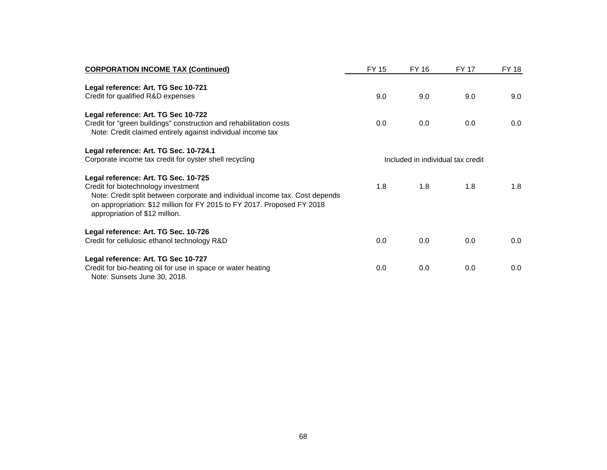| <b>CORPORATION INCOME TAX (Continued)</b>                                                                                                                                                                                                                                | FY 15                             | FY 16 | <b>FY 17</b> | <b>FY 18</b> |
|--------------------------------------------------------------------------------------------------------------------------------------------------------------------------------------------------------------------------------------------------------------------------|-----------------------------------|-------|--------------|--------------|
| Legal reference: Art. TG Sec 10-721<br>Credit for qualified R&D expenses                                                                                                                                                                                                 | 9.0                               | 9.0   | 9.0          | 9.0          |
| Legal reference: Art. TG Sec 10-722<br>Credit for "green buildings" construction and rehabilitation costs<br>Note: Credit claimed entirely against individual income tax                                                                                                 | 0.0                               | 0.0   | 0.0          | 0.0          |
| Legal reference: Art. TG Sec. 10-724.1<br>Corporate income tax credit for oyster shell recycling                                                                                                                                                                         | Included in individual tax credit |       |              |              |
| Legal reference: Art. TG Sec. 10-725<br>Credit for biotechnology investment<br>Note: Credit split between corporate and individual income tax. Cost depends<br>on appropriation: \$12 million for FY 2015 to FY 2017. Proposed FY 2018<br>appropriation of \$12 million. | 1.8                               | 1.8   | 1.8          | 1.8          |
| Legal reference: Art. TG Sec. 10-726<br>Credit for cellulosic ethanol technology R&D                                                                                                                                                                                     | 0.0                               | 0.0   | 0.0          | 0.0          |
| Legal reference: Art. TG Sec 10-727<br>Credit for bio-heating oil for use in space or water heating<br>Note: Sunsets June 30, 2018.                                                                                                                                      | 0.0                               | 0.0   | 0.0          | 0.0          |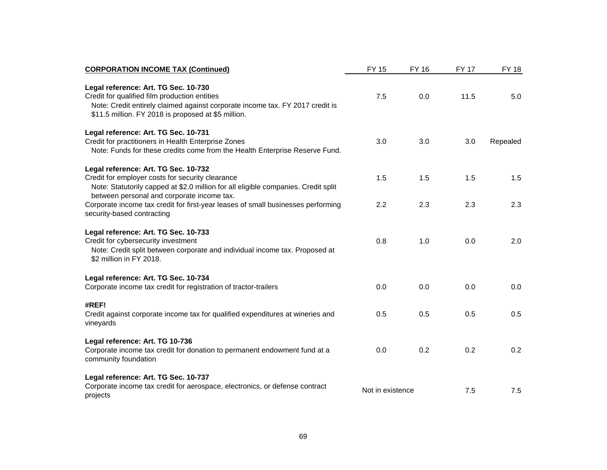| <b>CORPORATION INCOME TAX (Continued)</b>                                                                                                                                                                                     | <b>FY 15</b>     | <b>FY 16</b> | <b>FY 17</b> | <b>FY 18</b> |
|-------------------------------------------------------------------------------------------------------------------------------------------------------------------------------------------------------------------------------|------------------|--------------|--------------|--------------|
| Legal reference: Art. TG Sec. 10-730<br>Credit for qualified film production entities<br>Note: Credit entirely claimed against corporate income tax. FY 2017 credit is<br>\$11.5 million. FY 2018 is proposed at \$5 million. | 7.5              | 0.0          | 11.5         | 5.0          |
| Legal reference: Art. TG Sec. 10-731<br>Credit for practitioners in Health Enterprise Zones<br>Note: Funds for these credits come from the Health Enterprise Reserve Fund.                                                    | 3.0              | 3.0          | 3.0          | Repealed     |
| Legal reference: Art. TG Sec. 10-732<br>Credit for employer costs for security clearance<br>Note: Statutorily capped at \$2.0 million for all eligible companies. Credit split                                                | 1.5              | 1.5          | 1.5          | 1.5          |
| between personal and corporate income tax.<br>Corporate income tax credit for first-year leases of small businesses performing<br>security-based contracting                                                                  | 2.2              | 2.3          | 2.3          | 2.3          |
| Legal reference: Art. TG Sec. 10-733<br>Credit for cybersecurity investment<br>Note: Credit split between corporate and individual income tax. Proposed at<br>\$2 million in FY 2018.                                         | 0.8              | 1.0          | 0.0          | 2.0          |
| Legal reference: Art. TG Sec. 10-734<br>Corporate income tax credit for registration of tractor-trailers                                                                                                                      | 0.0              | 0.0          | 0.0          | 0.0          |
| #REF!<br>Credit against corporate income tax for qualified expenditures at wineries and<br>vineyards                                                                                                                          | 0.5              | 0.5          | 0.5          | 0.5          |
| Legal reference: Art. TG 10-736<br>Corporate income tax credit for donation to permanent endowment fund at a<br>community foundation                                                                                          | 0.0              | 0.2          | 0.2          | 0.2          |
| Legal reference: Art. TG Sec. 10-737<br>Corporate income tax credit for aerospace, electronics, or defense contract<br>projects                                                                                               | Not in existence |              | 7.5          | 7.5          |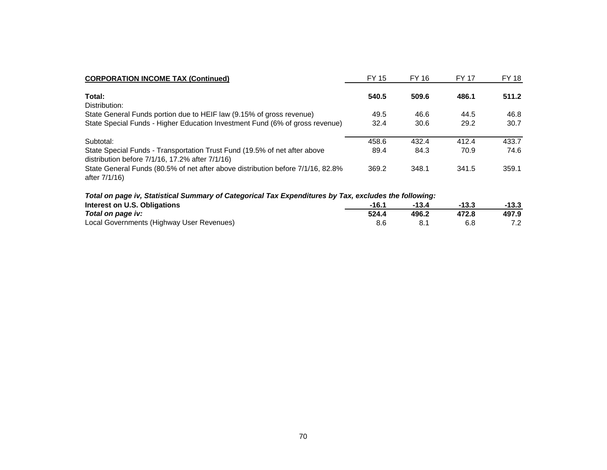| <b>CORPORATION INCOME TAX (Continued)</b>                                                                                          | FY 15 | FY 16 | <b>FY 17</b> | FY 18 |
|------------------------------------------------------------------------------------------------------------------------------------|-------|-------|--------------|-------|
| Total:<br>Distribution:                                                                                                            | 540.5 | 509.6 | 486.1        | 511.2 |
| State General Funds portion due to HEIF law (9.15% of gross revenue)                                                               | 49.5  | 46.6  | 44.5         | 46.8  |
| State Special Funds - Higher Education Investment Fund (6% of gross revenue)                                                       | 32.4  | 30.6  | 29.2         | 30.7  |
| Subtotal:                                                                                                                          | 458.6 | 432.4 | 412.4        | 433.7 |
| State Special Funds - Transportation Trust Fund (19.5% of net after above<br>distribution before $7/1/16$ , 17.2% after $7/1/16$ ) | 89.4  | 84.3  | 70.9         | 74.6  |
| State General Funds (80.5% of net after above distribution before 7/1/16, 82.8%<br>after 7/1/16)                                   | 369.2 | 348.1 | 341.5        | 359.1 |

## *Total on page iv, Statistical Summary of Categorical Tax Expenditures by Tax, excludes the following:*

| Interest on U.S. Obligations              | $-16.1$ |       | $-13.3$ | $-13.3$ |
|-------------------------------------------|---------|-------|---------|---------|
| Total on page iv:                         | 524.4   | 496.2 | 472.8   | 497.9   |
| Local Governments (Highway User Revenues) |         |       |         | 7.2     |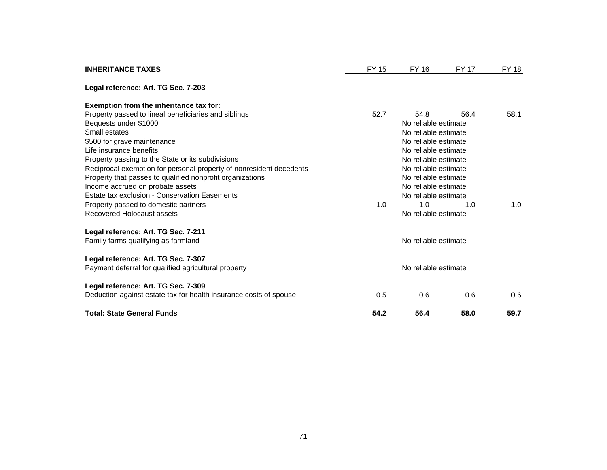| <b>INHERITANCE TAXES</b>                                            | FY 15                | FY 16                | <b>FY 17</b> | <b>FY 18</b> |
|---------------------------------------------------------------------|----------------------|----------------------|--------------|--------------|
| Legal reference: Art. TG Sec. 7-203                                 |                      |                      |              |              |
| Exemption from the inheritance tax for:                             |                      |                      |              |              |
| Property passed to lineal beneficiaries and siblings                | 52.7                 | 54.8                 | 56.4         | 58.1         |
| Bequests under \$1000                                               |                      | No reliable estimate |              |              |
| Small estates                                                       |                      | No reliable estimate |              |              |
| \$500 for grave maintenance                                         |                      | No reliable estimate |              |              |
| Life insurance benefits                                             |                      |                      |              |              |
| Property passing to the State or its subdivisions                   | No reliable estimate |                      |              |              |
| Reciprocal exemption for personal property of nonresident decedents | No reliable estimate |                      |              |              |
| Property that passes to qualified nonprofit organizations           | No reliable estimate |                      |              |              |
| Income accrued on probate assets                                    |                      | No reliable estimate |              |              |
| Estate tax exclusion - Conservation Easements                       |                      | No reliable estimate |              |              |
| Property passed to domestic partners                                | 1.0                  | 1.0                  | 1.0          | 1.0          |
| Recovered Holocaust assets                                          |                      | No reliable estimate |              |              |
| Legal reference: Art. TG Sec. 7-211                                 |                      |                      |              |              |
| Family farms qualifying as farmland                                 |                      | No reliable estimate |              |              |
| Legal reference: Art. TG Sec. 7-307                                 |                      |                      |              |              |
| Payment deferral for qualified agricultural property                |                      | No reliable estimate |              |              |
| Legal reference: Art. TG Sec. 7-309                                 |                      |                      |              |              |
| Deduction against estate tax for health insurance costs of spouse   | 0.5                  | 0.6                  | 0.6          | 0.6          |
| <b>Total: State General Funds</b>                                   | 54.2                 | 56.4                 | 58.0         | 59.7         |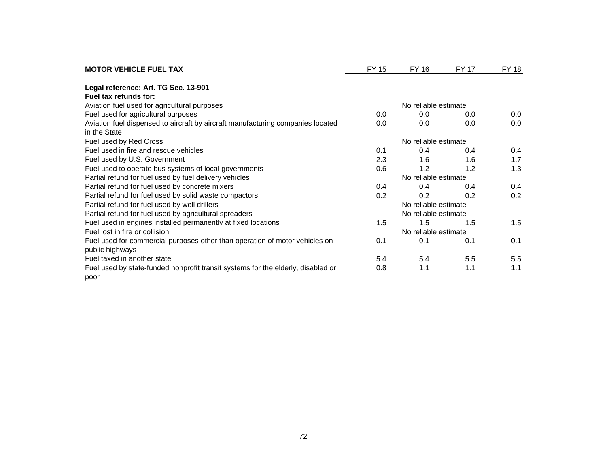| <b>MOTOR VEHICLE FUEL TAX</b>                                                    | FY 15                | FY 16                | <b>FY 17</b> | <b>FY 18</b> |  |
|----------------------------------------------------------------------------------|----------------------|----------------------|--------------|--------------|--|
| Legal reference: Art. TG Sec. 13-901                                             |                      |                      |              |              |  |
| Fuel tax refunds for:                                                            |                      |                      |              |              |  |
| Aviation fuel used for agricultural purposes                                     |                      | No reliable estimate |              |              |  |
| Fuel used for agricultural purposes                                              | 0.0                  | 0.0                  | 0.0          | 0.0          |  |
| Aviation fuel dispensed to aircraft by aircraft manufacturing companies located  | 0.0                  | 0.0                  | 0.0          | 0.0          |  |
| in the State                                                                     |                      |                      |              |              |  |
| Fuel used by Red Cross                                                           |                      | No reliable estimate |              |              |  |
| Fuel used in fire and rescue vehicles                                            | 0.1                  | 0.4                  | 0.4          | 0.4          |  |
| Fuel used by U.S. Government                                                     | 2.3                  | 1.6                  | 1.6          | 1.7          |  |
| Fuel used to operate bus systems of local governments                            | 0.6                  | 1.2                  | 1.2          | 1.3          |  |
| Partial refund for fuel used by fuel delivery vehicles                           |                      | No reliable estimate |              |              |  |
| Partial refund for fuel used by concrete mixers                                  | 0.4                  | 0.4                  | 0.4          | 0.4          |  |
| Partial refund for fuel used by solid waste compactors                           | 0.2                  | 0.2                  | 0.2          | 0.2          |  |
| Partial refund for fuel used by well drillers                                    | No reliable estimate |                      |              |              |  |
| Partial refund for fuel used by agricultural spreaders                           |                      | No reliable estimate |              |              |  |
| Fuel used in engines installed permanently at fixed locations                    | 1.5                  | 1.5                  | 1.5          | 1.5          |  |
| Fuel lost in fire or collision                                                   |                      |                      |              |              |  |
| Fuel used for commercial purposes other than operation of motor vehicles on      | 0.1                  | 0.1                  | 0.1          | 0.1          |  |
| public highways                                                                  |                      |                      |              |              |  |
| Fuel taxed in another state                                                      | 5.4                  | 5.4                  | 5.5          | 5.5          |  |
| Fuel used by state-funded nonprofit transit systems for the elderly, disabled or | 0.8                  | 1.1                  | 1.1          | 1.1          |  |
| poor                                                                             |                      |                      |              |              |  |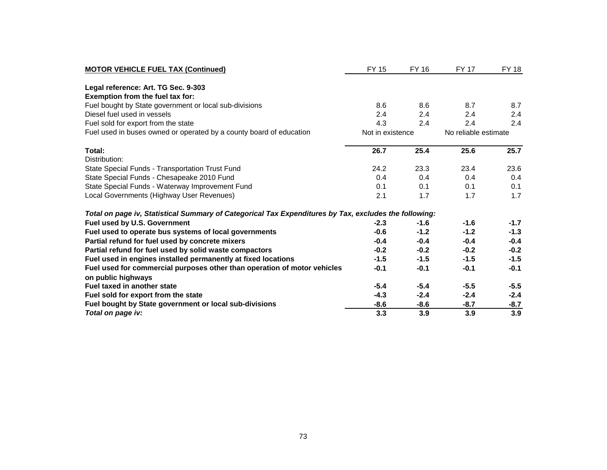| <b>MOTOR VEHICLE FUEL TAX (Continued)</b>                                                             | FY 15            | FY 16  | <b>FY 17</b>         | <b>FY 18</b> |
|-------------------------------------------------------------------------------------------------------|------------------|--------|----------------------|--------------|
|                                                                                                       |                  |        |                      |              |
| Legal reference: Art. TG Sec. 9-303<br>Exemption from the fuel tax for:                               |                  |        |                      |              |
| Fuel bought by State government or local sub-divisions                                                | 8.6              | 8.6    | 8.7                  | 8.7          |
| Diesel fuel used in vessels                                                                           | 2.4              | 2.4    | 2.4                  | 2.4          |
| Fuel sold for export from the state                                                                   | 4.3              | 2.4    | 2.4                  | 2.4          |
| Fuel used in buses owned or operated by a county board of education                                   | Not in existence |        | No reliable estimate |              |
| Total:                                                                                                | 26.7             | 25.4   | 25.6                 | 25.7         |
| Distribution:                                                                                         |                  |        |                      |              |
| State Special Funds - Transportation Trust Fund                                                       | 24.2             | 23.3   | 23.4                 | 23.6         |
| State Special Funds - Chesapeake 2010 Fund                                                            | 0.4              | 0.4    | 0.4                  | 0.4          |
| State Special Funds - Waterway Improvement Fund                                                       | 0.1              | 0.1    | 0.1                  | 0.1          |
| Local Governments (Highway User Revenues)                                                             | 2.1              | 1.7    | 1.7                  | 1.7          |
| Total on page iv, Statistical Summary of Categorical Tax Expenditures by Tax, excludes the following: |                  |        |                      |              |
| Fuel used by U.S. Government                                                                          | $-2.3$           | $-1.6$ | $-1.6$               | $-1.7$       |
| Fuel used to operate bus systems of local governments                                                 | $-0.6$           | $-1.2$ | $-1.2$               | $-1.3$       |
| Partial refund for fuel used by concrete mixers                                                       | $-0.4$           | $-0.4$ | $-0.4$               | $-0.4$       |
| Partial refund for fuel used by solid waste compactors                                                | $-0.2$           | $-0.2$ | $-0.2$               | $-0.2$       |
| Fuel used in engines installed permanently at fixed locations                                         | $-1.5$           | $-1.5$ | $-1.5$               | $-1.5$       |
| Fuel used for commercial purposes other than operation of motor vehicles                              | $-0.1$           | $-0.1$ | $-0.1$               | $-0.1$       |
| on public highways                                                                                    |                  |        |                      |              |
| Fuel taxed in another state                                                                           | $-5.4$           | $-5.4$ | $-5.5$               | $-5.5$       |
| Fuel sold for export from the state                                                                   | $-4.3$           | $-2.4$ | $-2.4$               | $-2.4$       |
| Fuel bought by State government or local sub-divisions                                                | $-8.6$           | $-8.6$ | $-8.7$               | $-8.7$       |
| Total on page iv:                                                                                     | 3.3              | 3.9    | 3.9                  | 3.9          |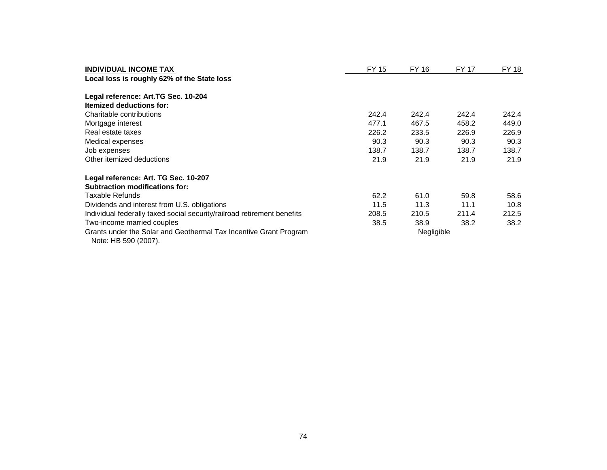| <b>INDIVIDUAL INCOME TAX</b><br>Local loss is roughly 62% of the State loss               | FY 15      | FY 16 | FY 17 | FY 18 |
|-------------------------------------------------------------------------------------------|------------|-------|-------|-------|
| Legal reference: Art.TG Sec. 10-204                                                       |            |       |       |       |
| <b>Itemized deductions for:</b>                                                           |            |       |       |       |
| Charitable contributions                                                                  | 242.4      | 242.4 | 242.4 | 242.4 |
| Mortgage interest                                                                         | 477.1      | 467.5 | 458.2 | 449.0 |
| Real estate taxes                                                                         | 226.2      | 233.5 | 226.9 | 226.9 |
| Medical expenses                                                                          | 90.3       | 90.3  | 90.3  | 90.3  |
| Job expenses                                                                              | 138.7      | 138.7 | 138.7 | 138.7 |
| Other itemized deductions                                                                 | 21.9       | 21.9  | 21.9  | 21.9  |
| Legal reference: Art. TG Sec. 10-207                                                      |            |       |       |       |
| <b>Subtraction modifications for:</b>                                                     |            |       |       |       |
| Taxable Refunds                                                                           | 62.2       | 61.0  | 59.8  | 58.6  |
| Dividends and interest from U.S. obligations                                              | 11.5       | 11.3  | 11.1  | 10.8  |
| Individual federally taxed social security/railroad retirement benefits                   | 208.5      | 210.5 | 211.4 | 212.5 |
| Two-income married couples                                                                | 38.5       | 38.9  | 38.2  | 38.2  |
| Grants under the Solar and Geothermal Tax Incentive Grant Program<br>Note: HB 590 (2007). | Negligible |       |       |       |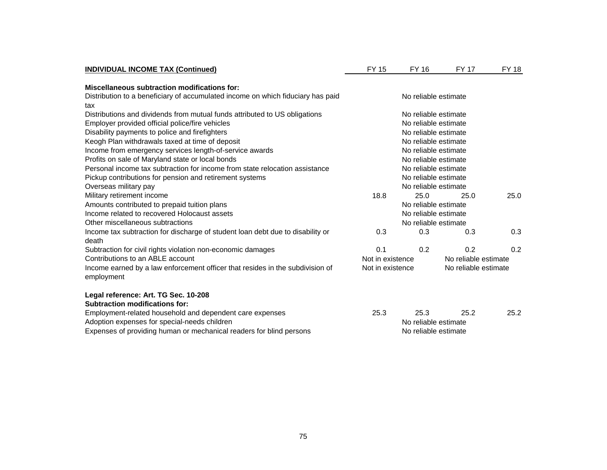| Miscellaneous subtraction modifications for:<br>Distribution to a beneficiary of accumulated income on which fiduciary has paid<br>No reliable estimate<br>tax<br>Distributions and dividends from mutual funds attributed to US obligations<br>No reliable estimate<br>Employer provided official police/fire vehicles<br>No reliable estimate<br>Disability payments to police and firefighters<br>No reliable estimate<br>Keogh Plan withdrawals taxed at time of deposit<br>No reliable estimate<br>Income from emergency services length-of-service awards<br>No reliable estimate<br>Profits on sale of Maryland state or local bonds<br>No reliable estimate<br>Personal income tax subtraction for income from state relocation assistance<br>No reliable estimate<br>No reliable estimate<br>Pickup contributions for pension and retirement systems<br>Overseas military pay<br>No reliable estimate<br>Military retirement income<br>18.8<br>25.0<br>25.0<br>25.0<br>Amounts contributed to prepaid tuition plans<br>No reliable estimate<br>Income related to recovered Holocaust assets<br>No reliable estimate<br>No reliable estimate<br>0.3<br>0.3<br>0.3<br>0.3<br>0.1<br>0.2<br>0.2<br>0.2<br>Not in existence<br>No reliable estimate<br>Not in existence<br>No reliable estimate<br>Employment-related household and dependent care expenses<br>25.2<br>25.3<br>25.3<br>25.2<br>No reliable estimate | <b>INDIVIDUAL INCOME TAX (Continued)</b>                                                    | <b>FY 15</b> | <b>FY 16</b> | <b>FY 17</b> | <b>FY 18</b> |
|--------------------------------------------------------------------------------------------------------------------------------------------------------------------------------------------------------------------------------------------------------------------------------------------------------------------------------------------------------------------------------------------------------------------------------------------------------------------------------------------------------------------------------------------------------------------------------------------------------------------------------------------------------------------------------------------------------------------------------------------------------------------------------------------------------------------------------------------------------------------------------------------------------------------------------------------------------------------------------------------------------------------------------------------------------------------------------------------------------------------------------------------------------------------------------------------------------------------------------------------------------------------------------------------------------------------------------------------------------------------------------------------------------------------------|---------------------------------------------------------------------------------------------|--------------|--------------|--------------|--------------|
|                                                                                                                                                                                                                                                                                                                                                                                                                                                                                                                                                                                                                                                                                                                                                                                                                                                                                                                                                                                                                                                                                                                                                                                                                                                                                                                                                                                                                          |                                                                                             |              |              |              |              |
|                                                                                                                                                                                                                                                                                                                                                                                                                                                                                                                                                                                                                                                                                                                                                                                                                                                                                                                                                                                                                                                                                                                                                                                                                                                                                                                                                                                                                          |                                                                                             |              |              |              |              |
|                                                                                                                                                                                                                                                                                                                                                                                                                                                                                                                                                                                                                                                                                                                                                                                                                                                                                                                                                                                                                                                                                                                                                                                                                                                                                                                                                                                                                          |                                                                                             |              |              |              |              |
|                                                                                                                                                                                                                                                                                                                                                                                                                                                                                                                                                                                                                                                                                                                                                                                                                                                                                                                                                                                                                                                                                                                                                                                                                                                                                                                                                                                                                          |                                                                                             |              |              |              |              |
|                                                                                                                                                                                                                                                                                                                                                                                                                                                                                                                                                                                                                                                                                                                                                                                                                                                                                                                                                                                                                                                                                                                                                                                                                                                                                                                                                                                                                          |                                                                                             |              |              |              |              |
|                                                                                                                                                                                                                                                                                                                                                                                                                                                                                                                                                                                                                                                                                                                                                                                                                                                                                                                                                                                                                                                                                                                                                                                                                                                                                                                                                                                                                          |                                                                                             |              |              |              |              |
|                                                                                                                                                                                                                                                                                                                                                                                                                                                                                                                                                                                                                                                                                                                                                                                                                                                                                                                                                                                                                                                                                                                                                                                                                                                                                                                                                                                                                          |                                                                                             |              |              |              |              |
|                                                                                                                                                                                                                                                                                                                                                                                                                                                                                                                                                                                                                                                                                                                                                                                                                                                                                                                                                                                                                                                                                                                                                                                                                                                                                                                                                                                                                          |                                                                                             |              |              |              |              |
|                                                                                                                                                                                                                                                                                                                                                                                                                                                                                                                                                                                                                                                                                                                                                                                                                                                                                                                                                                                                                                                                                                                                                                                                                                                                                                                                                                                                                          |                                                                                             |              |              |              |              |
|                                                                                                                                                                                                                                                                                                                                                                                                                                                                                                                                                                                                                                                                                                                                                                                                                                                                                                                                                                                                                                                                                                                                                                                                                                                                                                                                                                                                                          |                                                                                             |              |              |              |              |
|                                                                                                                                                                                                                                                                                                                                                                                                                                                                                                                                                                                                                                                                                                                                                                                                                                                                                                                                                                                                                                                                                                                                                                                                                                                                                                                                                                                                                          |                                                                                             |              |              |              |              |
|                                                                                                                                                                                                                                                                                                                                                                                                                                                                                                                                                                                                                                                                                                                                                                                                                                                                                                                                                                                                                                                                                                                                                                                                                                                                                                                                                                                                                          |                                                                                             |              |              |              |              |
|                                                                                                                                                                                                                                                                                                                                                                                                                                                                                                                                                                                                                                                                                                                                                                                                                                                                                                                                                                                                                                                                                                                                                                                                                                                                                                                                                                                                                          |                                                                                             |              |              |              |              |
|                                                                                                                                                                                                                                                                                                                                                                                                                                                                                                                                                                                                                                                                                                                                                                                                                                                                                                                                                                                                                                                                                                                                                                                                                                                                                                                                                                                                                          |                                                                                             |              |              |              |              |
|                                                                                                                                                                                                                                                                                                                                                                                                                                                                                                                                                                                                                                                                                                                                                                                                                                                                                                                                                                                                                                                                                                                                                                                                                                                                                                                                                                                                                          |                                                                                             |              |              |              |              |
|                                                                                                                                                                                                                                                                                                                                                                                                                                                                                                                                                                                                                                                                                                                                                                                                                                                                                                                                                                                                                                                                                                                                                                                                                                                                                                                                                                                                                          |                                                                                             |              |              |              |              |
|                                                                                                                                                                                                                                                                                                                                                                                                                                                                                                                                                                                                                                                                                                                                                                                                                                                                                                                                                                                                                                                                                                                                                                                                                                                                                                                                                                                                                          | Other miscellaneous subtractions                                                            |              |              |              |              |
|                                                                                                                                                                                                                                                                                                                                                                                                                                                                                                                                                                                                                                                                                                                                                                                                                                                                                                                                                                                                                                                                                                                                                                                                                                                                                                                                                                                                                          | Income tax subtraction for discharge of student loan debt due to disability or<br>death     |              |              |              |              |
|                                                                                                                                                                                                                                                                                                                                                                                                                                                                                                                                                                                                                                                                                                                                                                                                                                                                                                                                                                                                                                                                                                                                                                                                                                                                                                                                                                                                                          | Subtraction for civil rights violation non-economic damages                                 |              |              |              |              |
|                                                                                                                                                                                                                                                                                                                                                                                                                                                                                                                                                                                                                                                                                                                                                                                                                                                                                                                                                                                                                                                                                                                                                                                                                                                                                                                                                                                                                          | Contributions to an ABLE account                                                            |              |              |              |              |
|                                                                                                                                                                                                                                                                                                                                                                                                                                                                                                                                                                                                                                                                                                                                                                                                                                                                                                                                                                                                                                                                                                                                                                                                                                                                                                                                                                                                                          | Income earned by a law enforcement officer that resides in the subdivision of<br>employment |              |              |              |              |
|                                                                                                                                                                                                                                                                                                                                                                                                                                                                                                                                                                                                                                                                                                                                                                                                                                                                                                                                                                                                                                                                                                                                                                                                                                                                                                                                                                                                                          | Legal reference: Art. TG Sec. 10-208                                                        |              |              |              |              |
|                                                                                                                                                                                                                                                                                                                                                                                                                                                                                                                                                                                                                                                                                                                                                                                                                                                                                                                                                                                                                                                                                                                                                                                                                                                                                                                                                                                                                          | <b>Subtraction modifications for:</b>                                                       |              |              |              |              |
|                                                                                                                                                                                                                                                                                                                                                                                                                                                                                                                                                                                                                                                                                                                                                                                                                                                                                                                                                                                                                                                                                                                                                                                                                                                                                                                                                                                                                          |                                                                                             |              |              |              |              |
|                                                                                                                                                                                                                                                                                                                                                                                                                                                                                                                                                                                                                                                                                                                                                                                                                                                                                                                                                                                                                                                                                                                                                                                                                                                                                                                                                                                                                          | Adoption expenses for special-needs children                                                |              |              |              |              |
| No reliable estimate                                                                                                                                                                                                                                                                                                                                                                                                                                                                                                                                                                                                                                                                                                                                                                                                                                                                                                                                                                                                                                                                                                                                                                                                                                                                                                                                                                                                     | Expenses of providing human or mechanical readers for blind persons                         |              |              |              |              |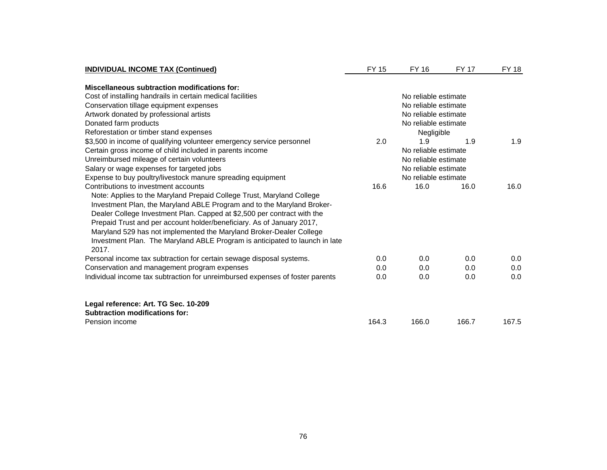| <b>INDIVIDUAL INCOME TAX (Continued)</b>                                      | <b>FY 15</b>         | FY 16                | <b>FY 17</b> | <b>FY 18</b> |
|-------------------------------------------------------------------------------|----------------------|----------------------|--------------|--------------|
| Miscellaneous subtraction modifications for:                                  |                      |                      |              |              |
| Cost of installing handrails in certain medical facilities                    |                      | No reliable estimate |              |              |
| Conservation tillage equipment expenses                                       |                      |                      |              |              |
| Artwork donated by professional artists                                       |                      | No reliable estimate |              |              |
| Donated farm products                                                         |                      | No reliable estimate |              |              |
| Reforestation or timber stand expenses                                        |                      | Negligible           |              |              |
| \$3,500 in income of qualifying volunteer emergency service personnel         | 2.0                  | 1.9                  | 1.9          | 1.9          |
| Certain gross income of child included in parents income                      |                      | No reliable estimate |              |              |
| Unreimbursed mileage of certain volunteers                                    |                      | No reliable estimate |              |              |
| Salary or wage expenses for targeted jobs                                     |                      | No reliable estimate |              |              |
| Expense to buy poultry/livestock manure spreading equipment                   | No reliable estimate |                      |              |              |
| Contributions to investment accounts                                          | 16.6                 | 16.0                 | 16.0         | 16.0         |
| Note: Applies to the Maryland Prepaid College Trust, Maryland College         |                      |                      |              |              |
| Investment Plan, the Maryland ABLE Program and to the Maryland Broker-        |                      |                      |              |              |
| Dealer College Investment Plan. Capped at \$2,500 per contract with the       |                      |                      |              |              |
| Prepaid Trust and per account holder/beneficiary. As of January 2017,         |                      |                      |              |              |
| Maryland 529 has not implemented the Maryland Broker-Dealer College           |                      |                      |              |              |
| Investment Plan. The Maryland ABLE Program is anticipated to launch in late   |                      |                      |              |              |
| 2017.                                                                         |                      |                      |              |              |
| Personal income tax subtraction for certain sewage disposal systems.          | 0.0                  | 0.0                  | 0.0          | 0.0          |
| Conservation and management program expenses                                  | 0.0                  | 0.0                  | 0.0          | 0.0          |
| Individual income tax subtraction for unreimbursed expenses of foster parents | 0.0                  | 0.0                  | 0.0          | 0.0          |
| Legal reference: Art. TG Sec. 10-209                                          |                      |                      |              |              |
| <b>Subtraction modifications for:</b>                                         |                      |                      |              |              |
| Pension income                                                                | 164.3                | 166.0                | 166.7        | 167.5        |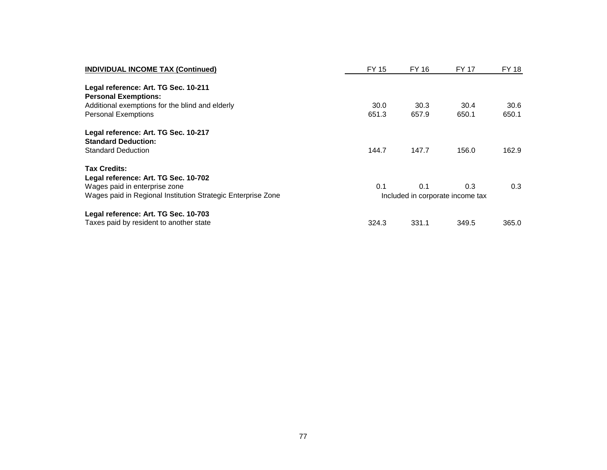| <b>INDIVIDUAL INCOME TAX (Continued)</b>                     | FY 15                            | FY 16 | FY 17 | FY 18 |  |
|--------------------------------------------------------------|----------------------------------|-------|-------|-------|--|
| Legal reference: Art. TG Sec. 10-211                         |                                  |       |       |       |  |
| <b>Personal Exemptions:</b>                                  |                                  |       |       |       |  |
| Additional exemptions for the blind and elderly              | 30.0                             | 30.3  | 30.4  | 30.6  |  |
| <b>Personal Exemptions</b>                                   | 651.3                            | 657.9 | 650.1 | 650.1 |  |
| Legal reference: Art. TG Sec. 10-217                         |                                  |       |       |       |  |
| <b>Standard Deduction:</b>                                   |                                  |       |       |       |  |
| <b>Standard Deduction</b>                                    | 144.7                            | 147.7 | 156.0 | 162.9 |  |
| <b>Tax Credits:</b>                                          |                                  |       |       |       |  |
| Legal reference: Art. TG Sec. 10-702                         |                                  |       |       |       |  |
| Wages paid in enterprise zone                                | 0.1                              | 0.1   | 0.3   | 0.3   |  |
| Wages paid in Regional Institution Strategic Enterprise Zone | Included in corporate income tax |       |       |       |  |
| Legal reference: Art. TG Sec. 10-703                         |                                  |       |       |       |  |
| Taxes paid by resident to another state                      | 324.3                            | 331.1 | 349.5 | 365.0 |  |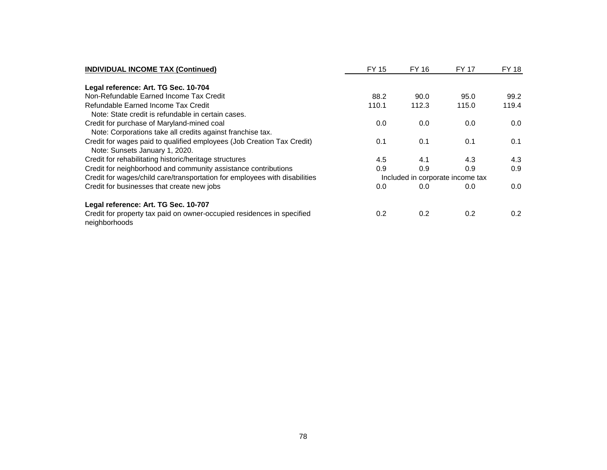| <b>INDIVIDUAL INCOME TAX (Continued)</b>                                                | FY 15                            | <b>FY 16</b> | FY 17 | FY 18 |
|-----------------------------------------------------------------------------------------|----------------------------------|--------------|-------|-------|
| Legal reference: Art. TG Sec. 10-704                                                    |                                  |              |       |       |
| Non-Refundable Earned Income Tax Credit                                                 | 88.2                             | 90.0         | 95.0  | 99.2  |
| Refundable Earned Income Tax Credit                                                     | 110.1                            | 112.3        | 115.0 | 119.4 |
| Note: State credit is refundable in certain cases.                                      |                                  |              |       |       |
| Credit for purchase of Maryland-mined coal                                              | 0.0                              | 0.0          | 0.0   | 0.0   |
| Note: Corporations take all credits against franchise tax.                              |                                  |              |       |       |
| Credit for wages paid to qualified employees (Job Creation Tax Credit)                  | 0.1                              | 0.1          | 0.1   | 0.1   |
| Note: Sunsets January 1, 2020.                                                          |                                  |              |       |       |
| Credit for rehabilitating historic/heritage structures                                  | 4.5                              | 4.1          | 4.3   | 4.3   |
| Credit for neighborhood and community assistance contributions                          | 0.9                              | 0.9          | 0.9   | 0.9   |
| Credit for wages/child care/transportation for employees with disabilities              | Included in corporate income tax |              |       |       |
| Credit for businesses that create new jobs                                              | 0.0                              | 0.0          | 0.0   | 0.0   |
| Legal reference: Art. TG Sec. 10-707                                                    |                                  |              |       |       |
| Credit for property tax paid on owner-occupied residences in specified<br>neighborhoods | 0.2                              | 0.2          | 0.2   | 0.2   |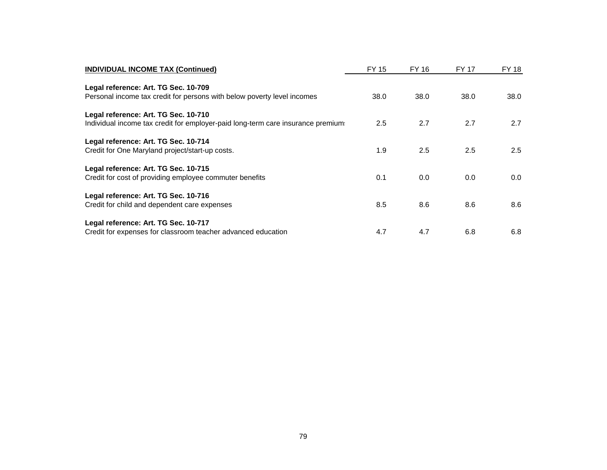| <b>INDIVIDUAL INCOME TAX (Continued)</b>                                        | FY 15 | FY 16 | <b>FY 17</b> | FY 18 |
|---------------------------------------------------------------------------------|-------|-------|--------------|-------|
| Legal reference: Art. TG Sec. 10-709                                            |       |       |              |       |
| Personal income tax credit for persons with below poverty level incomes         | 38.0  | 38.0  | 38.0         | 38.0  |
| Legal reference: Art. TG Sec. 10-710                                            |       |       |              |       |
| Individual income tax credit for employer-paid long-term care insurance premium | 2.5   | 2.7   | 2.7          | 2.7   |
| Legal reference: Art. TG Sec. 10-714                                            |       |       |              |       |
| Credit for One Maryland project/start-up costs.                                 | 1.9   | 2.5   | 2.5          | 2.5   |
| Legal reference: Art. TG Sec. 10-715                                            |       |       |              |       |
| Credit for cost of providing employee commuter benefits                         | 0.1   | 0.0   | 0.0          | 0.0   |
| Legal reference: Art. TG Sec. 10-716                                            |       |       |              |       |
| Credit for child and dependent care expenses                                    | 8.5   | 8.6   | 8.6          | 8.6   |
| Legal reference: Art. TG Sec. 10-717                                            |       |       |              |       |
| Credit for expenses for classroom teacher advanced education                    | 4.7   | 4.7   | 6.8          | 6.8   |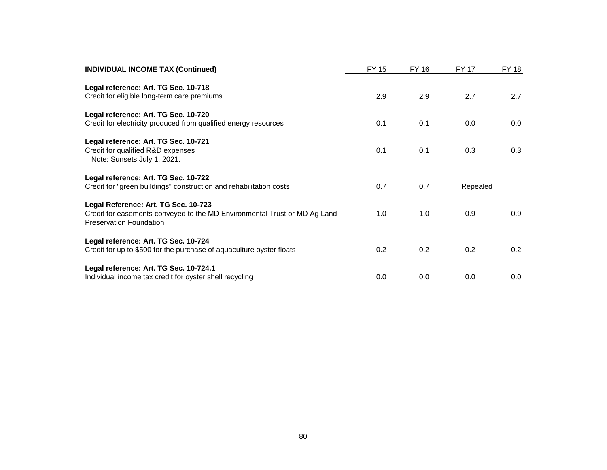| <b>INDIVIDUAL INCOME TAX (Continued)</b>                                                                                                            | FY 15 | FY 16 | FY 17    | FY 18 |
|-----------------------------------------------------------------------------------------------------------------------------------------------------|-------|-------|----------|-------|
| Legal reference: Art. TG Sec. 10-718<br>Credit for eligible long-term care premiums                                                                 | 2.9   | 2.9   | 2.7      | 2.7   |
| Legal reference: Art. TG Sec. 10-720<br>Credit for electricity produced from qualified energy resources                                             | 0.1   | 0.1   | 0.0      | 0.0   |
| Legal reference: Art. TG Sec. 10-721<br>Credit for qualified R&D expenses<br>Note: Sunsets July 1, 2021.                                            | 0.1   | 0.1   | 0.3      | 0.3   |
| Legal reference: Art. TG Sec. 10-722<br>Credit for "green buildings" construction and rehabilitation costs                                          | 0.7   | 0.7   | Repealed |       |
| Legal Reference: Art. TG Sec. 10-723<br>Credit for easements conveyed to the MD Environmental Trust or MD Ag Land<br><b>Preservation Foundation</b> | 1.0   | 1.0   | 0.9      | 0.9   |
| Legal reference: Art. TG Sec. 10-724<br>Credit for up to \$500 for the purchase of aquaculture oyster floats                                        | 0.2   | 0.2   | 0.2      | 0.2   |
| Legal reference: Art. TG Sec. 10-724.1<br>Individual income tax credit for oyster shell recycling                                                   | 0.0   | 0.0   | 0.0      | 0.0   |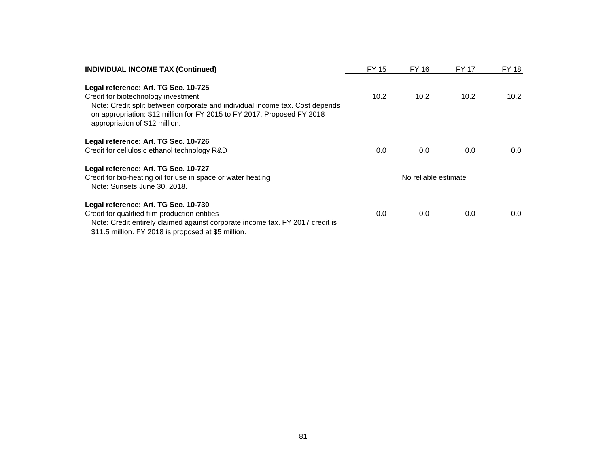| <b>INDIVIDUAL INCOME TAX (Continued)</b>                                                                                                                                                                                         | FY 15 | FY 16                | FY 17 | FY 18 |
|----------------------------------------------------------------------------------------------------------------------------------------------------------------------------------------------------------------------------------|-------|----------------------|-------|-------|
| Legal reference: Art. TG Sec. 10-725                                                                                                                                                                                             |       |                      |       |       |
| Credit for biotechnology investment<br>Note: Credit split between corporate and individual income tax. Cost depends<br>on appropriation: \$12 million for FY 2015 to FY 2017. Proposed FY 2018<br>appropriation of \$12 million. | 10.2  | 10.2                 | 10.2  | 10.2  |
| Legal reference: Art. TG Sec. 10-726                                                                                                                                                                                             |       |                      |       |       |
| Credit for cellulosic ethanol technology R&D                                                                                                                                                                                     | 0.0   | 0.0                  | 0.0   | 0.0   |
| Legal reference: Art. TG Sec. 10-727                                                                                                                                                                                             |       | No reliable estimate |       |       |
| Credit for bio-heating oil for use in space or water heating<br>Note: Sunsets June 30, 2018.                                                                                                                                     |       |                      |       |       |
| Legal reference: Art. TG Sec. 10-730                                                                                                                                                                                             |       |                      |       |       |
| Credit for qualified film production entities                                                                                                                                                                                    | 0.0   | 0.0                  | 0.0   | 0.0   |
| Note: Credit entirely claimed against corporate income tax. FY 2017 credit is<br>\$11.5 million. FY 2018 is proposed at \$5 million.                                                                                             |       |                      |       |       |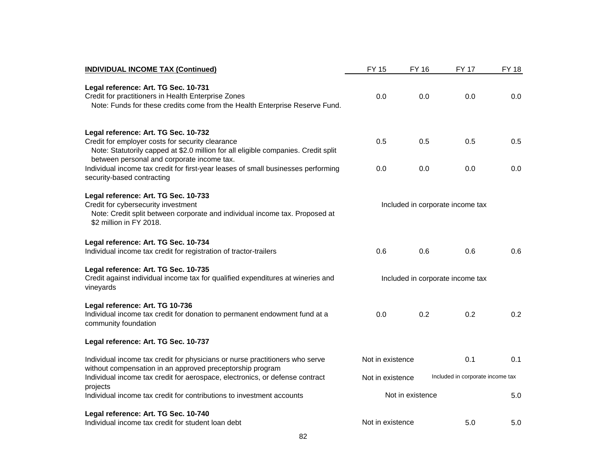| <b>INDIVIDUAL INCOME TAX (Continued)</b>                                                                                                                                                                                     | <b>FY 15</b>                     | <b>FY 16</b>                     | <b>FY 17</b>                     | <b>FY 18</b> |
|------------------------------------------------------------------------------------------------------------------------------------------------------------------------------------------------------------------------------|----------------------------------|----------------------------------|----------------------------------|--------------|
| Legal reference: Art. TG Sec. 10-731<br>Credit for practitioners in Health Enterprise Zones<br>Note: Funds for these credits come from the Health Enterprise Reserve Fund.                                                   | 0.0                              | 0.0                              | 0.0                              | 0.0          |
| Legal reference: Art. TG Sec. 10-732<br>Credit for employer costs for security clearance<br>Note: Statutorily capped at \$2.0 million for all eligible companies. Credit split<br>between personal and corporate income tax. | 0.5                              | 0.5                              | 0.5                              | 0.5          |
| Individual income tax credit for first-year leases of small businesses performing<br>security-based contracting                                                                                                              | 0.0                              | 0.0                              | 0.0                              | 0.0          |
| Legal reference: Art. TG Sec. 10-733<br>Credit for cybersecurity investment<br>Note: Credit split between corporate and individual income tax. Proposed at<br>\$2 million in FY 2018.                                        |                                  | Included in corporate income tax |                                  |              |
| Legal reference: Art. TG Sec. 10-734<br>Individual income tax credit for registration of tractor-trailers                                                                                                                    | 0.6                              | 0.6                              | 0.6                              | 0.6          |
| Legal reference: Art. TG Sec. 10-735<br>Credit against individual income tax for qualified expenditures at wineries and<br>vineyards                                                                                         | Included in corporate income tax |                                  |                                  |              |
| Legal reference: Art. TG 10-736<br>Individual income tax credit for donation to permanent endowment fund at a<br>community foundation                                                                                        | 0.0                              | 0.2                              | 0.2                              | 0.2          |
| Legal reference: Art. TG Sec. 10-737                                                                                                                                                                                         |                                  |                                  |                                  |              |
| Individual income tax credit for physicians or nurse practitioners who serve<br>without compensation in an approved preceptorship program                                                                                    | Not in existence                 |                                  | 0.1                              | 0.1          |
| Individual income tax credit for aerospace, electronics, or defense contract<br>projects                                                                                                                                     | Not in existence                 |                                  | Included in corporate income tax |              |
| Individual income tax credit for contributions to investment accounts                                                                                                                                                        |                                  | Not in existence                 |                                  | 5.0          |
| Legal reference: Art. TG Sec. 10-740<br>Individual income tax credit for student loan debt                                                                                                                                   | Not in existence                 |                                  | 5.0                              | 5.0          |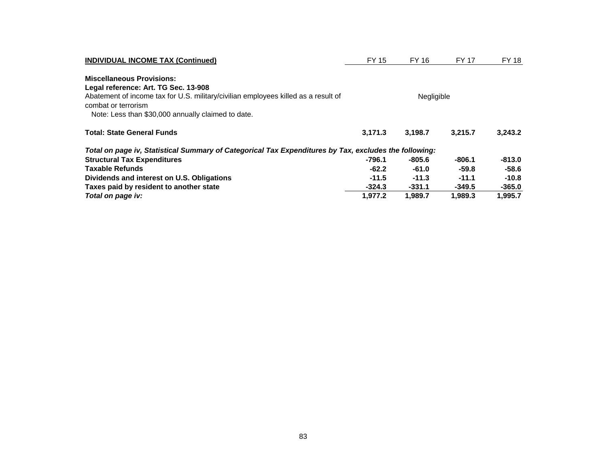| <b>INDIVIDUAL INCOME TAX (Continued)</b>                                                                  | FY 15      | FY 16    | <b>FY 17</b> | <b>FY 18</b> |  |
|-----------------------------------------------------------------------------------------------------------|------------|----------|--------------|--------------|--|
| <b>Miscellaneous Provisions:</b>                                                                          |            |          |              |              |  |
| Legal reference: Art. TG Sec. 13-908                                                                      |            |          |              |              |  |
| Abatement of income tax for U.S. military/civilian employees killed as a result of<br>combat or terrorism | Negligible |          |              |              |  |
| Note: Less than \$30,000 annually claimed to date.                                                        |            |          |              |              |  |
| <b>Total: State General Funds</b>                                                                         | 3,171.3    | 3,198.7  | 3.215.7      | 3,243.2      |  |
| Total on page iv, Statistical Summary of Categorical Tax Expenditures by Tax, excludes the following:     |            |          |              |              |  |
| <b>Structural Tax Expenditures</b>                                                                        | -796.1     | -805.6   | $-806.1$     | $-813.0$     |  |
| <b>Taxable Refunds</b>                                                                                    | $-62.2$    | $-61.0$  | $-59.8$      | -58.6        |  |
| Dividends and interest on U.S. Obligations                                                                | $-11.5$    | $-11.3$  | $-11.1$      | $-10.8$      |  |
| Taxes paid by resident to another state                                                                   | $-324.3$   | $-331.1$ | $-349.5$     | $-365.0$     |  |
| Total on page iv:                                                                                         | 1.977.2    | 1.989.7  | 1.989.3      | 1,995.7      |  |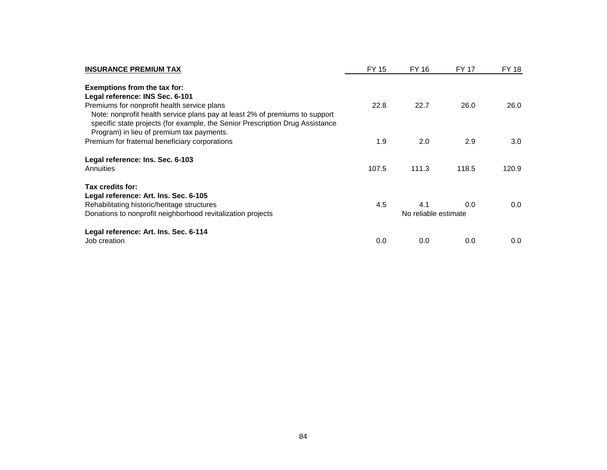| <b>INSURANCE PREMIUM TAX</b>                                                                                                                                 | FY 15                | FY 16 | <b>FY 17</b> | FY 18 |
|--------------------------------------------------------------------------------------------------------------------------------------------------------------|----------------------|-------|--------------|-------|
| Exemptions from the tax for:                                                                                                                                 |                      |       |              |       |
| Legal reference: INS Sec. 6-101                                                                                                                              |                      |       |              |       |
| Premiums for nonprofit health service plans                                                                                                                  | 22.8                 | 22.7  | 26.0         | 26.0  |
| Note: nonprofit health service plans pay at least 2% of premiums to support<br>specific state projects (for example, the Senior Prescription Drug Assistance |                      |       |              |       |
| Program) in lieu of premium tax payments.                                                                                                                    |                      |       |              |       |
| Premium for fraternal beneficiary corporations                                                                                                               | 1.9                  | 2.0   | 2.9          | 3.0   |
| Legal reference: Ins. Sec. 6-103                                                                                                                             |                      |       |              |       |
| Annuities                                                                                                                                                    | 107.5                | 111.3 | 118.5        | 120.9 |
| Tax credits for:                                                                                                                                             |                      |       |              |       |
| Legal reference: Art. Ins. Sec. 6-105                                                                                                                        |                      |       |              |       |
| Rehabilitating historic/heritage structures                                                                                                                  | 4.5                  | 4.1   | 0.0          | 0.0   |
| Donations to nonprofit neighborhood revitalization projects                                                                                                  | No reliable estimate |       |              |       |
| Legal reference: Art. Ins. Sec. 6-114                                                                                                                        |                      |       |              |       |
| Job creation                                                                                                                                                 | 0.0                  | 0.0   | 0.0          | 0.0   |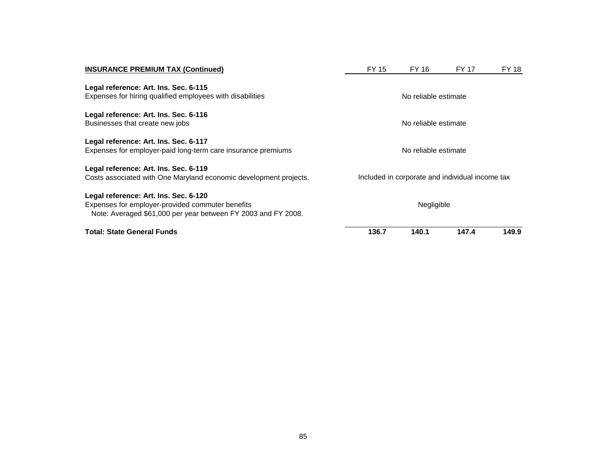| <b>INSURANCE PREMIUM TAX (Continued)</b>                                                                                                                   | FY 15                                           | FY 16 | FY 17 | FY 18 |  |  |  |
|------------------------------------------------------------------------------------------------------------------------------------------------------------|-------------------------------------------------|-------|-------|-------|--|--|--|
| Legal reference: Art. Ins. Sec. 6-115<br>Expenses for hiring qualified employees with disabilities                                                         | No reliable estimate                            |       |       |       |  |  |  |
| Legal reference: Art. Ins. Sec. 6-116<br>Businesses that create new jobs                                                                                   | No reliable estimate                            |       |       |       |  |  |  |
| Legal reference: Art. Ins. Sec. 6-117<br>Expenses for employer-paid long-term care insurance premiums                                                      | No reliable estimate                            |       |       |       |  |  |  |
| Legal reference: Art. Ins. Sec. 6-119<br>Costs associated with One Maryland economic development projects.                                                 | Included in corporate and individual income tax |       |       |       |  |  |  |
| Legal reference: Art. Ins. Sec. 6-120<br>Expenses for employer-provided commuter benefits<br>Note: Averaged \$61,000 per year between FY 2003 and FY 2008. | Negligible                                      |       |       |       |  |  |  |
| <b>Total: State General Funds</b>                                                                                                                          | 136.7                                           | 140.1 | 147.4 | 149.9 |  |  |  |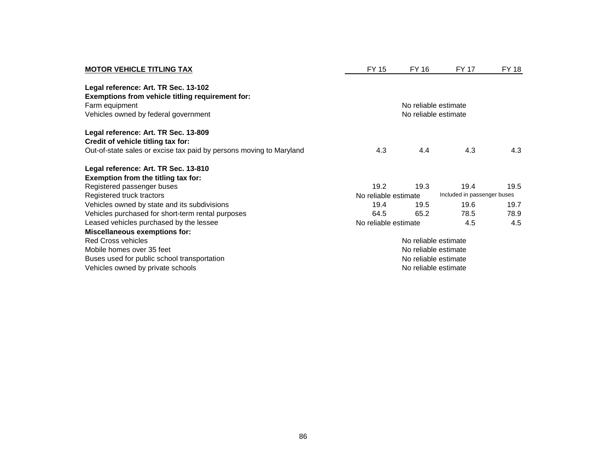| <b>MOTOR VEHICLE TITLING TAX</b>                                    | <b>FY 15</b>         | FY 16                | FY 17                       | <b>FY 18</b> |  |
|---------------------------------------------------------------------|----------------------|----------------------|-----------------------------|--------------|--|
| Legal reference: Art. TR Sec. 13-102                                |                      |                      |                             |              |  |
| Exemptions from vehicle titling requirement for:                    |                      |                      |                             |              |  |
| Farm equipment                                                      |                      | No reliable estimate |                             |              |  |
| Vehicles owned by federal government                                |                      | No reliable estimate |                             |              |  |
| Legal reference: Art. TR Sec. 13-809                                |                      |                      |                             |              |  |
| Credit of vehicle titling tax for:                                  |                      |                      |                             |              |  |
| Out-of-state sales or excise tax paid by persons moving to Maryland | 4.3                  | 4.4                  | 4.3                         | 4.3          |  |
| Legal reference: Art. TR Sec. 13-810                                |                      |                      |                             |              |  |
| Exemption from the titling tax for:                                 |                      |                      |                             |              |  |
| Registered passenger buses                                          | 19.2                 | 19.3                 | 19.4                        | 19.5         |  |
| Registered truck tractors                                           | No reliable estimate |                      | Included in passenger buses |              |  |
| Vehicles owned by state and its subdivisions                        | 19.4                 | 19.5                 | 19.6                        | 19.7         |  |
| Vehicles purchased for short-term rental purposes                   | 64.5                 | 65.2                 | 78.5                        | 78.9         |  |
| Leased vehicles purchased by the lessee                             | No reliable estimate |                      | 4.5                         | 4.5          |  |
| <b>Miscellaneous exemptions for:</b>                                |                      |                      |                             |              |  |
| <b>Red Cross vehicles</b>                                           |                      | No reliable estimate |                             |              |  |
| Mobile homes over 35 feet                                           | No reliable estimate |                      |                             |              |  |
| Buses used for public school transportation                         |                      | No reliable estimate |                             |              |  |
| Vehicles owned by private schools                                   |                      | No reliable estimate |                             |              |  |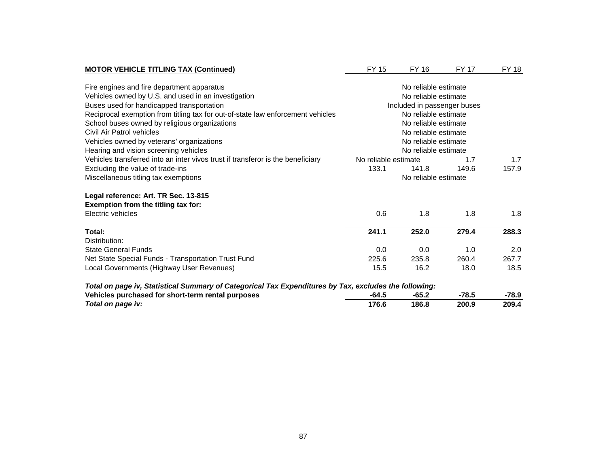| <b>MOTOR VEHICLE TITLING TAX (Continued)</b>                                                          | <b>FY 15</b>                                 | FY 16                       | <b>FY 17</b> | <b>FY 18</b> |
|-------------------------------------------------------------------------------------------------------|----------------------------------------------|-----------------------------|--------------|--------------|
|                                                                                                       |                                              |                             |              |              |
| Fire engines and fire department apparatus<br>Vehicles owned by U.S. and used in an investigation     | No reliable estimate<br>No reliable estimate |                             |              |              |
|                                                                                                       |                                              |                             |              |              |
| Buses used for handicapped transportation                                                             |                                              | Included in passenger buses |              |              |
| Reciprocal exemption from titling tax for out-of-state law enforcement vehicles                       |                                              | No reliable estimate        |              |              |
| School buses owned by religious organizations                                                         |                                              | No reliable estimate        |              |              |
| Civil Air Patrol vehicles                                                                             |                                              | No reliable estimate        |              |              |
| Vehicles owned by veterans' organizations                                                             |                                              | No reliable estimate        |              |              |
| Hearing and vision screening vehicles                                                                 | No reliable estimate                         |                             |              |              |
| Vehicles transferred into an inter vivos trust if transferor is the beneficiary                       | No reliable estimate                         |                             | 1.7          | 1.7          |
| Excluding the value of trade-ins                                                                      | 133.1                                        | 141.8                       | 149.6        | 157.9        |
| Miscellaneous titling tax exemptions                                                                  |                                              | No reliable estimate        |              |              |
| Legal reference: Art. TR Sec. 13-815                                                                  |                                              |                             |              |              |
| Exemption from the titling tax for:                                                                   |                                              |                             |              |              |
| Electric vehicles                                                                                     | 0.6                                          | 1.8                         | 1.8          | 1.8          |
|                                                                                                       |                                              |                             |              |              |
| Total:                                                                                                | 241.1                                        | 252.0                       | 279.4        | 288.3        |
| Distribution:                                                                                         |                                              |                             |              |              |
| <b>State General Funds</b>                                                                            | 0.0                                          | 0.0                         | 1.0          | 2.0          |
| Net State Special Funds - Transportation Trust Fund                                                   | 225.6                                        | 235.8                       | 260.4        | 267.7        |
| Local Governments (Highway User Revenues)                                                             | 15.5                                         | 16.2                        | 18.0         | 18.5         |
| Total on page iv, Statistical Summary of Categorical Tax Expenditures by Tax, excludes the following: |                                              |                             |              |              |
| Vehicles purchased for short-term rental purposes                                                     | $-64.5$                                      | $-65.2$                     | $-78.5$      | $-78.9$      |
| Total on page iv:                                                                                     | 176.6                                        | 186.8                       | 200.9        | 209.4        |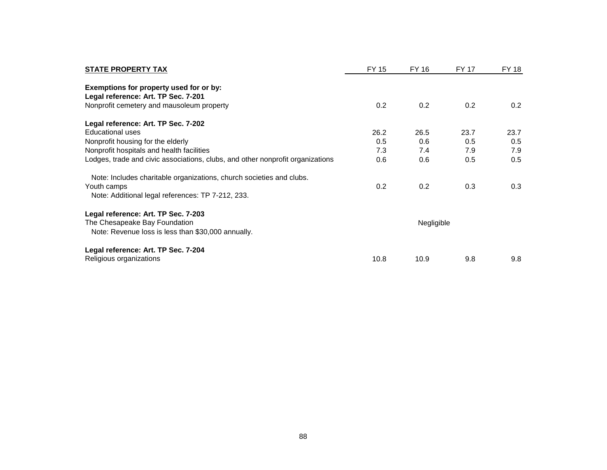| <b>STATE PROPERTY TAX</b>                                                                                                                | FY 15      | FY 16 | FY 17 | FY 18 |
|------------------------------------------------------------------------------------------------------------------------------------------|------------|-------|-------|-------|
| Exemptions for property used for or by:<br>Legal reference: Art. TP Sec. 7-201<br>Nonprofit cemetery and mausoleum property              | 0.2        | 0.2   | 0.2   | 0.2   |
|                                                                                                                                          |            |       |       |       |
| Legal reference: Art. TP Sec. 7-202                                                                                                      |            |       |       |       |
| Educational uses                                                                                                                         | 26.2       | 26.5  | 23.7  | 23.7  |
| Nonprofit housing for the elderly                                                                                                        | 0.5        | 0.6   | 0.5   | 0.5   |
| Nonprofit hospitals and health facilities                                                                                                | 7.3        | 7.4   | 7.9   | 7.9   |
| Lodges, trade and civic associations, clubs, and other nonprofit organizations                                                           | 0.6        | 0.6   | 0.5   | 0.5   |
| Note: Includes charitable organizations, church societies and clubs.<br>Youth camps<br>Note: Additional legal references: TP 7-212, 233. | 0.2        | 0.2   | 0.3   | 0.3   |
| Legal reference: Art. TP Sec. 7-203                                                                                                      |            |       |       |       |
| The Chesapeake Bay Foundation<br>Note: Revenue loss is less than \$30,000 annually.                                                      | Negligible |       |       |       |
| Legal reference: Art. TP Sec. 7-204<br>Religious organizations                                                                           | 10.8       | 10.9  | 9.8   | 9.8   |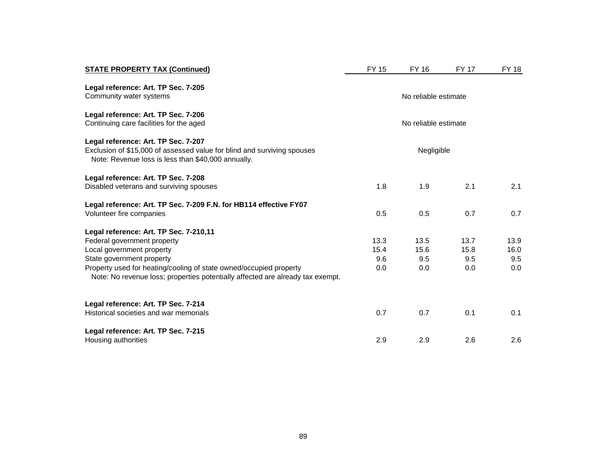| <b>STATE PROPERTY TAX (Continued)</b>                                                                                                                                | <b>FY 15</b>         | FY 16                | <b>FY 17</b> | <b>FY 18</b> |
|----------------------------------------------------------------------------------------------------------------------------------------------------------------------|----------------------|----------------------|--------------|--------------|
| Legal reference: Art. TP Sec. 7-205<br>Community water systems                                                                                                       | No reliable estimate |                      |              |              |
| Legal reference: Art. TP Sec. 7-206<br>Continuing care facilities for the aged                                                                                       |                      | No reliable estimate |              |              |
| Legal reference: Art. TP Sec. 7-207<br>Exclusion of \$15,000 of assessed value for blind and surviving spouses<br>Note: Revenue loss is less than \$40,000 annually. | Negligible           |                      |              |              |
| Legal reference: Art. TP Sec. 7-208<br>Disabled veterans and surviving spouses                                                                                       | 1.8                  | 1.9                  | 2.1          | 2.1          |
| Legal reference: Art. TP Sec. 7-209 F.N. for HB114 effective FY07<br>Volunteer fire companies                                                                        | 0.5                  | 0.5                  | 0.7          | 0.7          |
| Legal reference: Art. TP Sec. 7-210,11                                                                                                                               |                      |                      |              |              |
| Federal government property                                                                                                                                          | 13.3<br>15.4         | 13.5                 | 13.7         | 13.9         |
| Local government property<br>State government property                                                                                                               | 9.6                  | 15.6<br>9.5          | 15.8<br>9.5  | 16.0<br>9.5  |
| Property used for heating/cooling of state owned/occupied property<br>Note: No revenue loss; properties potentially affected are already tax exempt.                 | 0.0                  | 0.0                  | 0.0          | 0.0          |
| Legal reference: Art. TP Sec. 7-214<br>Historical societies and war memorials                                                                                        | 0.7                  | 0.7                  | 0.1          | 0.1          |
| Legal reference: Art. TP Sec. 7-215<br>Housing authorities                                                                                                           | 2.9                  | 2.9                  | 2.6          | 2.6          |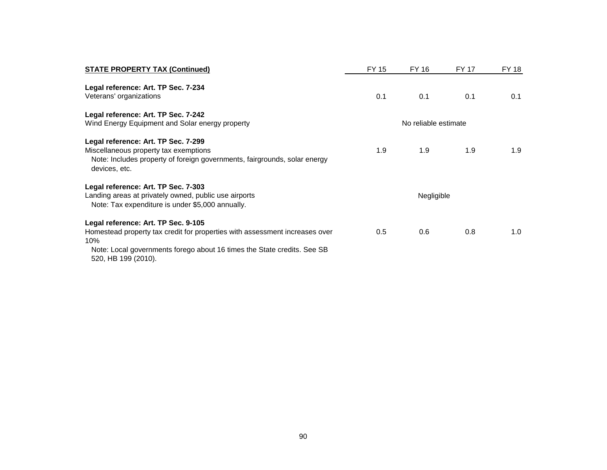| <b>STATE PROPERTY TAX (Continued)</b>                                                                                                                                      | FY 15 | FY 16                | <b>FY 17</b> | <b>FY 18</b> |
|----------------------------------------------------------------------------------------------------------------------------------------------------------------------------|-------|----------------------|--------------|--------------|
| Legal reference: Art. TP Sec. 7-234<br>Veterans' organizations                                                                                                             | 0.1   | 0.1                  | 0.1          | 0.1          |
| Legal reference: Art. TP Sec. 7-242                                                                                                                                        |       |                      |              |              |
| Wind Energy Equipment and Solar energy property                                                                                                                            |       | No reliable estimate |              |              |
| Legal reference: Art. TP Sec. 7-299<br>Miscellaneous property tax exemptions<br>Note: Includes property of foreign governments, fairgrounds, solar energy<br>devices, etc. | 1.9   | 1.9                  | 1.9          | 1.9          |
| Legal reference: Art. TP Sec. 7-303                                                                                                                                        |       |                      |              |              |
| Landing areas at privately owned, public use airports<br>Note: Tax expenditure is under \$5,000 annually.                                                                  |       | Negligible           |              |              |
| Legal reference: Art. TP Sec. 9-105                                                                                                                                        |       |                      |              |              |
| Homestead property tax credit for properties with assessment increases over<br>10%                                                                                         | 0.5   | 0.6                  | 0.8          | 1.0          |
| Note: Local governments forego about 16 times the State credits. See SB<br>520, HB 199 (2010).                                                                             |       |                      |              |              |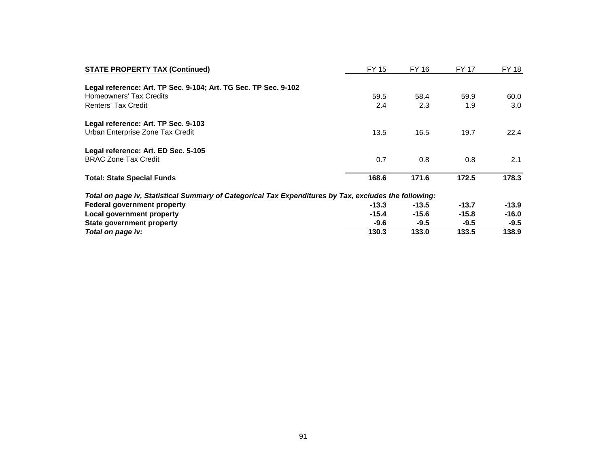| <b>STATE PROPERTY TAX (Continued)</b>                                                                 | FY 15   | FY 16   | <b>FY 17</b> | FY 18   |
|-------------------------------------------------------------------------------------------------------|---------|---------|--------------|---------|
| Legal reference: Art. TP Sec. 9-104; Art. TG Sec. TP Sec. 9-102                                       |         |         |              |         |
| Homeowners' Tax Credits                                                                               | 59.5    | 58.4    | 59.9         | 60.0    |
| <b>Renters' Tax Credit</b>                                                                            | 2.4     | 2.3     | 1.9          | 3.0     |
| Legal reference: Art. TP Sec. 9-103                                                                   |         |         |              |         |
| Urban Enterprise Zone Tax Credit                                                                      | 13.5    | 16.5    | 19.7         | 22.4    |
| Legal reference: Art. ED Sec. 5-105                                                                   |         |         |              |         |
| <b>BRAC Zone Tax Credit</b>                                                                           | 0.7     | 0.8     | 0.8          | 2.1     |
| <b>Total: State Special Funds</b>                                                                     | 168.6   | 171.6   | 172.5        | 178.3   |
| Total on page iv, Statistical Summary of Categorical Tax Expenditures by Tax, excludes the following: |         |         |              |         |
| Federal government property                                                                           | $-13.3$ | $-13.5$ | $-13.7$      | $-13.9$ |
| Local government property                                                                             | $-15.4$ | $-15.6$ | $-15.8$      | $-16.0$ |
| State government property                                                                             | $-9.6$  | $-9.5$  | $-9.5$       | $-9.5$  |
| Total on page iv:                                                                                     | 130.3   | 133.0   | 133.5        | 138.9   |
|                                                                                                       |         |         |              |         |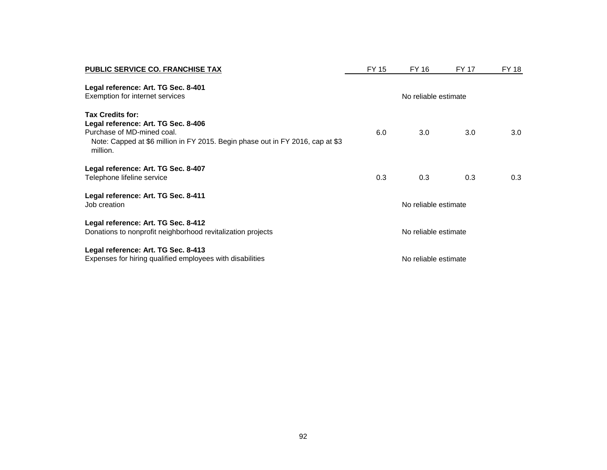| <b>PUBLIC SERVICE CO. FRANCHISE TAX</b>                                                                                                                                             | FY 15                | FY 16 | <b>FY 17</b> | FY 18 |
|-------------------------------------------------------------------------------------------------------------------------------------------------------------------------------------|----------------------|-------|--------------|-------|
| Legal reference: Art. TG Sec. 8-401<br>Exemption for internet services                                                                                                              | No reliable estimate |       |              |       |
| Tax Credits for:<br>Legal reference: Art. TG Sec. 8-406<br>Purchase of MD-mined coal.<br>Note: Capped at \$6 million in FY 2015. Begin phase out in FY 2016, cap at \$3<br>million. | 6.0                  | 3.0   | 3.0          | 3.0   |
| Legal reference: Art. TG Sec. 8-407<br>Telephone lifeline service                                                                                                                   | 0.3                  | 0.3   | 0.3          | 0.3   |
| Legal reference: Art. TG Sec. 8-411<br>Job creation                                                                                                                                 | No reliable estimate |       |              |       |
| Legal reference: Art. TG Sec. 8-412<br>Donations to nonprofit neighborhood revitalization projects                                                                                  | No reliable estimate |       |              |       |
| Legal reference: Art. TG Sec. 8-413<br>Expenses for hiring qualified employees with disabilities                                                                                    | No reliable estimate |       |              |       |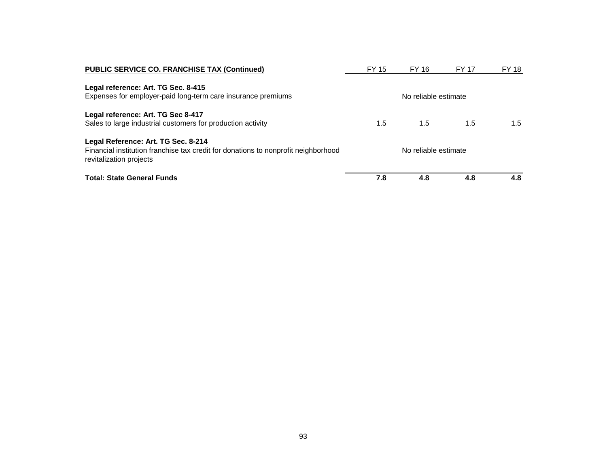| <b>PUBLIC SERVICE CO. FRANCHISE TAX (Continued)</b>                                                           | FY 15                | FY 16                | <b>FY 17</b> | FY 18 |  |
|---------------------------------------------------------------------------------------------------------------|----------------------|----------------------|--------------|-------|--|
| Legal reference: Art. TG Sec. 8-415                                                                           |                      |                      |              |       |  |
| Expenses for employer-paid long-term care insurance premiums                                                  |                      | No reliable estimate |              |       |  |
| Legal reference: Art. TG Sec 8-417                                                                            |                      |                      |              |       |  |
| Sales to large industrial customers for production activity                                                   | 1.5                  | 1.5                  | 1.5          | 1.5   |  |
| Legal Reference: Art. TG Sec. 8-214                                                                           |                      |                      |              |       |  |
| Financial institution franchise tax credit for donations to nonprofit neighborhood<br>revitalization projects | No reliable estimate |                      |              |       |  |
| <b>Total: State General Funds</b>                                                                             | 7.8                  | 4.8                  | 4.8          | 4.8   |  |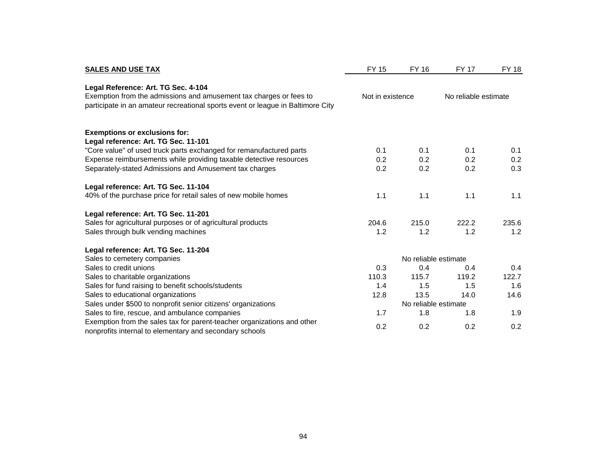| <b>SALES AND USE TAX</b>                                                                                                           | <b>FY 15</b>     | FY 16                | <b>FY 17</b>         | FY 18 |
|------------------------------------------------------------------------------------------------------------------------------------|------------------|----------------------|----------------------|-------|
| Legal Reference: Art. TG Sec. 4-104<br>Exemption from the admissions and amusement tax charges or fees to                          | Not in existence |                      | No reliable estimate |       |
| participate in an amateur recreational sports event or league in Baltimore City                                                    |                  |                      |                      |       |
| <b>Exemptions or exclusions for:</b>                                                                                               |                  |                      |                      |       |
| Legal reference: Art. TG Sec. 11-101                                                                                               |                  |                      |                      |       |
| "Core value" of used truck parts exchanged for remanufactured parts                                                                | 0.1              | 0.1                  | 0.1                  | 0.1   |
| Expense reimbursements while providing taxable detective resources                                                                 | 0.2              | 0.2                  | 0.2                  | 0.2   |
| Separately-stated Admissions and Amusement tax charges                                                                             | 0.2              | 0.2                  | 0.2                  | 0.3   |
| Legal reference: Art. TG Sec. 11-104                                                                                               |                  |                      |                      |       |
| 40% of the purchase price for retail sales of new mobile homes                                                                     | 1.1              | 1.1                  | 1.1                  | 1.1   |
| Legal reference: Art. TG Sec. 11-201                                                                                               |                  |                      |                      |       |
| Sales for agricultural purposes or of agricultural products                                                                        | 204.6            | 215.0                | 222.2                | 235.6 |
| Sales through bulk vending machines                                                                                                | 1.2              | 1.2                  | 1.2                  | 1.2   |
| Legal reference: Art. TG Sec. 11-204                                                                                               |                  |                      |                      |       |
| Sales to cemetery companies                                                                                                        |                  | No reliable estimate |                      |       |
| Sales to credit unions                                                                                                             | 0.3              | 0.4                  | 0.4                  | 0.4   |
| Sales to charitable organizations                                                                                                  | 110.3            | 115.7                | 119.2                | 122.7 |
| Sales for fund raising to benefit schools/students                                                                                 | 1.4              | 1.5                  | 1.5                  | 1.6   |
| Sales to educational organizations                                                                                                 | 12.8             | 13.5                 | 14.0                 | 14.6  |
| Sales under \$500 to nonprofit senior citizens' organizations                                                                      |                  | No reliable estimate |                      |       |
| Sales to fire, rescue, and ambulance companies                                                                                     | 1.7              | 1.8                  | 1.8                  | 1.9   |
| Exemption from the sales tax for parent-teacher organizations and other<br>nonprofits internal to elementary and secondary schools | 0.2              | 0.2                  | 0.2                  | 0.2   |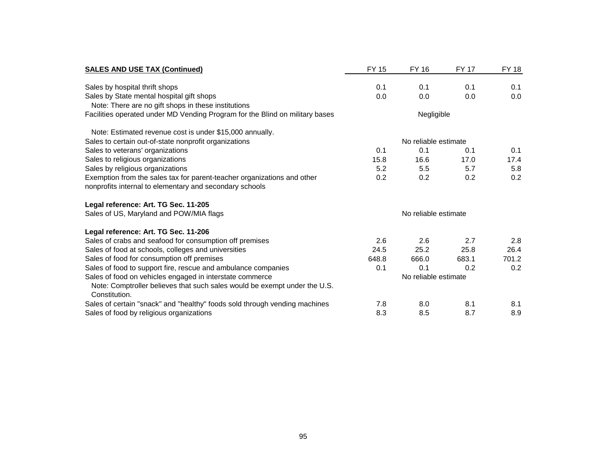| <b>SALES AND USE TAX (Continued)</b>                                                       | <b>FY 15</b>         | FY 16                | <b>FY 17</b> | <b>FY 18</b> |  |
|--------------------------------------------------------------------------------------------|----------------------|----------------------|--------------|--------------|--|
| Sales by hospital thrift shops                                                             | 0.1                  | 0.1                  | 0.1          | 0.1          |  |
| Sales by State mental hospital gift shops                                                  | 0.0                  | 0.0                  | 0.0          | 0.0          |  |
| Note: There are no gift shops in these institutions                                        |                      |                      |              |              |  |
| Facilities operated under MD Vending Program for the Blind on military bases               |                      | Negligible           |              |              |  |
| Note: Estimated revenue cost is under \$15,000 annually.                                   |                      |                      |              |              |  |
| Sales to certain out-of-state nonprofit organizations                                      |                      | No reliable estimate |              |              |  |
| Sales to veterans' organizations                                                           | 0.1                  | 0.1                  | 0.1          | 0.1          |  |
| Sales to religious organizations                                                           | 15.8                 | 16.6                 | 17.0         | 17.4         |  |
| Sales by religious organizations                                                           | 5.2                  | 5.5                  | 5.7          | 5.8          |  |
| Exemption from the sales tax for parent-teacher organizations and other                    | 0.2                  | 0.2                  | 0.2          | 0.2          |  |
| nonprofits internal to elementary and secondary schools                                    |                      |                      |              |              |  |
| Legal reference: Art. TG Sec. 11-205                                                       |                      |                      |              |              |  |
| Sales of US, Maryland and POW/MIA flags                                                    | No reliable estimate |                      |              |              |  |
| Legal reference: Art. TG Sec. 11-206                                                       |                      |                      |              |              |  |
| Sales of crabs and seafood for consumption off premises                                    | 2.6                  | 2.6                  | 2.7          | 2.8          |  |
| Sales of food at schools, colleges and universities                                        | 24.5                 | 25.2                 | 25.8         | 26.4         |  |
| Sales of food for consumption off premises                                                 | 648.8                | 666.0                | 683.1        | 701.2        |  |
| Sales of food to support fire, rescue and ambulance companies                              | 0.1                  | 0.1                  | 0.2          | 0.2          |  |
| Sales of food on vehicles engaged in interstate commerce                                   |                      | No reliable estimate |              |              |  |
| Note: Comptroller believes that such sales would be exempt under the U.S.<br>Constitution. |                      |                      |              |              |  |
| Sales of certain "snack" and "healthy" foods sold through vending machines                 | 7.8                  | 8.0                  | 8.1          | 8.1          |  |
| Sales of food by religious organizations                                                   | 8.3                  | 8.5                  | 8.7          | 8.9          |  |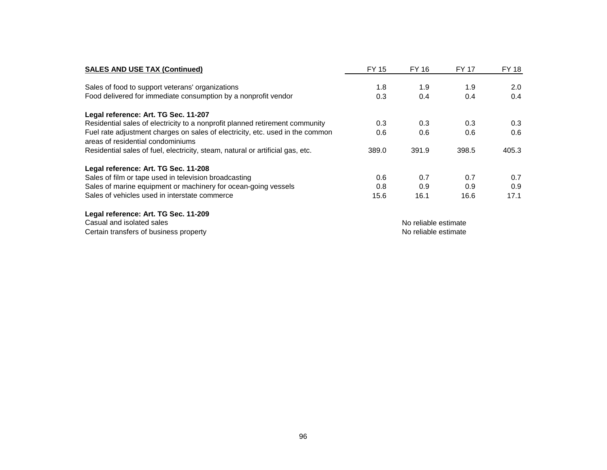| <b>SALES AND USE TAX (Continued)</b>                                                                               | <b>FY 15</b> | FY 16                | <b>FY 17</b> | FY 18 |
|--------------------------------------------------------------------------------------------------------------------|--------------|----------------------|--------------|-------|
| Sales of food to support veterans' organizations                                                                   | 1.8          | 1.9                  | 1.9          | 2.0   |
| Food delivered for immediate consumption by a nonprofit vendor                                                     | 0.3          | 0.4                  | 0.4          | 0.4   |
| Legal reference: Art. TG Sec. 11-207                                                                               |              |                      |              |       |
| Residential sales of electricity to a nonprofit planned retirement community                                       | 0.3          | 0.3                  | 0.3          | 0.3   |
| Fuel rate adjustment charges on sales of electricity, etc. used in the common<br>areas of residential condominiums | 0.6          | 0.6                  | 0.6          | 0.6   |
| Residential sales of fuel, electricity, steam, natural or artificial gas, etc.                                     | 389.0        | 391.9                | 398.5        | 405.3 |
| Legal reference: Art. TG Sec. 11-208                                                                               |              |                      |              |       |
| Sales of film or tape used in television broadcasting                                                              | 0.6          | 0.7                  | 0.7          | 0.7   |
| Sales of marine equipment or machinery for ocean-going vessels                                                     | 0.8          | 0.9                  | 0.9          | 0.9   |
| Sales of vehicles used in interstate commerce                                                                      | 15.6         | 16.1                 | 16.6         | 17.1  |
| Legal reference: Art. TG Sec. 11-209                                                                               |              |                      |              |       |
| Casual and isolated sales                                                                                          |              | No reliable estimate |              |       |
| Certain transfers of business property                                                                             |              | No reliable estimate |              |       |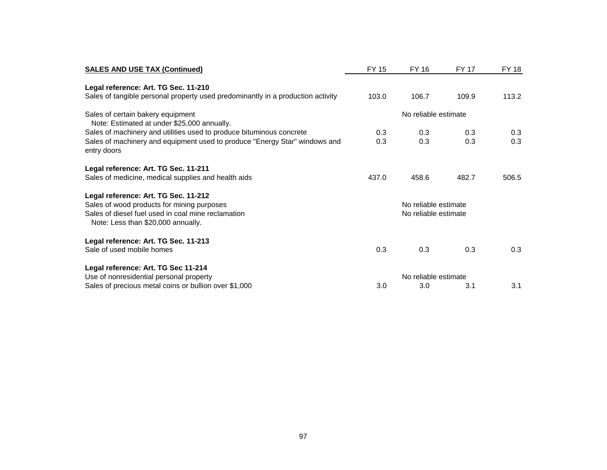| <b>SALES AND USE TAX (Continued)</b>                                                      | FY 15                | FY 16                | <b>FY 17</b> | FY 18 |
|-------------------------------------------------------------------------------------------|----------------------|----------------------|--------------|-------|
| Legal reference: Art. TG Sec. 11-210                                                      |                      |                      |              |       |
| Sales of tangible personal property used predominantly in a production activity           | 103.0                | 106.7                | 109.9        | 113.2 |
| Sales of certain bakery equipment<br>Note: Estimated at under \$25,000 annually.          |                      |                      |              |       |
| Sales of machinery and utilities used to produce bituminous concrete                      | 0.3                  | 0.3                  | 0.3          | 0.3   |
| Sales of machinery and equipment used to produce "Energy Star" windows and<br>entry doors | 0.3                  | 0.3                  | 0.3          | 0.3   |
| Legal reference: Art. TG Sec. 11-211                                                      |                      |                      |              |       |
| Sales of medicine, medical supplies and health aids                                       | 437.0                | 458.6                | 482.7        | 506.5 |
| Legal reference: Art. TG Sec. 11-212                                                      |                      |                      |              |       |
| Sales of wood products for mining purposes                                                |                      | No reliable estimate |              |       |
| Sales of diesel fuel used in coal mine reclamation<br>Note: Less than \$20,000 annually.  | No reliable estimate |                      |              |       |
| Legal reference: Art. TG Sec. 11-213                                                      |                      |                      |              |       |
| Sale of used mobile homes                                                                 | 0.3                  | 0.3                  | 0.3          | 0.3   |
| Legal reference: Art. TG Sec 11-214                                                       |                      |                      |              |       |
| Use of nonresidential personal property                                                   |                      | No reliable estimate |              |       |
| Sales of precious metal coins or bullion over \$1,000                                     | 3.0                  | 3.0                  | 3.1          | 3.1   |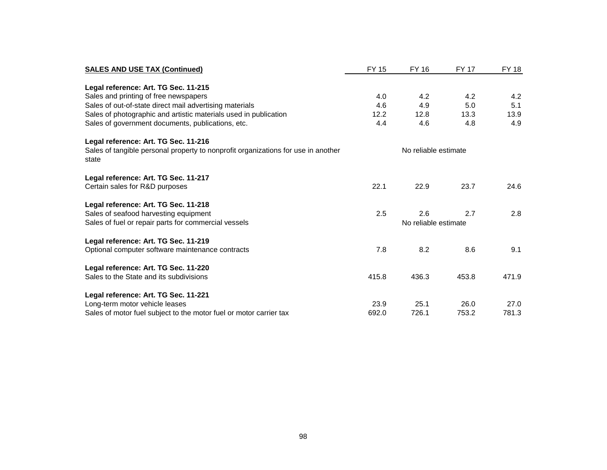| <b>SALES AND USE TAX (Continued)</b>                                                       | <b>FY 15</b> | <b>FY 16</b>         | <b>FY 17</b> | FY 18 |
|--------------------------------------------------------------------------------------------|--------------|----------------------|--------------|-------|
|                                                                                            |              |                      |              |       |
| Legal reference: Art. TG Sec. 11-215                                                       |              |                      |              |       |
| Sales and printing of free newspapers                                                      | 4.0          | 4.2                  | 4.2          | 4.2   |
| Sales of out-of-state direct mail advertising materials                                    | 4.6          | 4.9                  | 5.0          | 5.1   |
| Sales of photographic and artistic materials used in publication                           | 12.2         | 12.8                 | 13.3         | 13.9  |
| Sales of government documents, publications, etc.                                          | 4.4          | 4.6                  | 4.8          | 4.9   |
| Legal reference: Art. TG Sec. 11-216                                                       |              |                      |              |       |
| Sales of tangible personal property to nonprofit organizations for use in another<br>state |              | No reliable estimate |              |       |
| Legal reference: Art. TG Sec. 11-217                                                       |              |                      |              |       |
| Certain sales for R&D purposes                                                             | 22.1         | 22.9                 | 23.7         | 24.6  |
| Legal reference: Art. TG Sec. 11-218                                                       |              |                      |              |       |
| Sales of seafood harvesting equipment                                                      | 2.5          | 2.6                  | 2.7          | 2.8   |
| Sales of fuel or repair parts for commercial vessels                                       |              | No reliable estimate |              |       |
| Legal reference: Art. TG Sec. 11-219                                                       |              |                      |              |       |
| Optional computer software maintenance contracts                                           | 7.8          | 8.2                  | 8.6          | 9.1   |
| Legal reference: Art. TG Sec. 11-220                                                       |              |                      |              |       |
| Sales to the State and its subdivisions                                                    | 415.8        | 436.3                | 453.8        | 471.9 |
| Legal reference: Art. TG Sec. 11-221                                                       |              |                      |              |       |
| Long-term motor vehicle leases                                                             | 23.9         | 25.1                 | 26.0         | 27.0  |
| Sales of motor fuel subject to the motor fuel or motor carrier tax                         | 692.0        | 726.1                | 753.2        | 781.3 |
|                                                                                            |              |                      |              |       |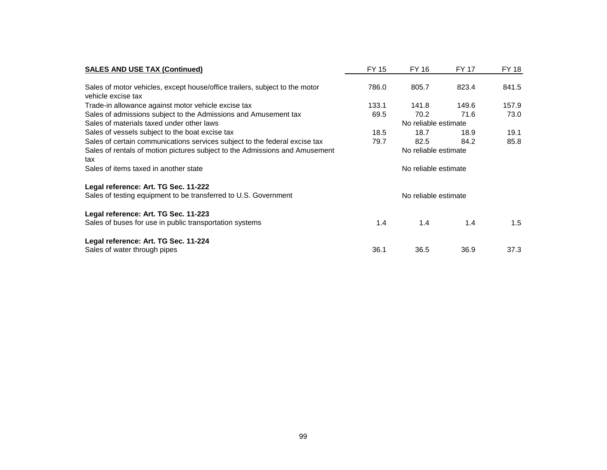| <b>SALES AND USE TAX (Continued)</b>                                                              | FY 15                | FY 16                | FY 17 | FY 18 |
|---------------------------------------------------------------------------------------------------|----------------------|----------------------|-------|-------|
| Sales of motor vehicles, except house/office trailers, subject to the motor<br>vehicle excise tax | 786.0                | 805.7                | 823.4 | 841.5 |
| Trade-in allowance against motor vehicle excise tax                                               | 133.1                | 141.8                | 149.6 | 157.9 |
| Sales of admissions subject to the Admissions and Amusement tax                                   | 69.5                 | 70.2                 | 71.6  | 73.0  |
| Sales of materials taxed under other laws                                                         |                      | No reliable estimate |       |       |
| Sales of vessels subject to the boat excise tax                                                   | 18.5                 | 18.7                 | 18.9  | 19.1  |
| Sales of certain communications services subject to the federal excise tax                        | 79.7                 | 82.5                 | 84.2  | 85.8  |
| Sales of rentals of motion pictures subject to the Admissions and Amusement<br>tax                | No reliable estimate |                      |       |       |
| Sales of items taxed in another state                                                             | No reliable estimate |                      |       |       |
| Legal reference: Art. TG Sec. 11-222                                                              |                      |                      |       |       |
| Sales of testing equipment to be transferred to U.S. Government                                   |                      | No reliable estimate |       |       |
| Legal reference: Art. TG Sec. 11-223                                                              |                      |                      |       |       |
| Sales of buses for use in public transportation systems                                           | 1.4                  | 1.4                  | 1.4   | 1.5   |
| Legal reference: Art. TG Sec. 11-224                                                              |                      |                      |       |       |
| Sales of water through pipes                                                                      | 36.1                 | 36.5                 | 36.9  | 37.3  |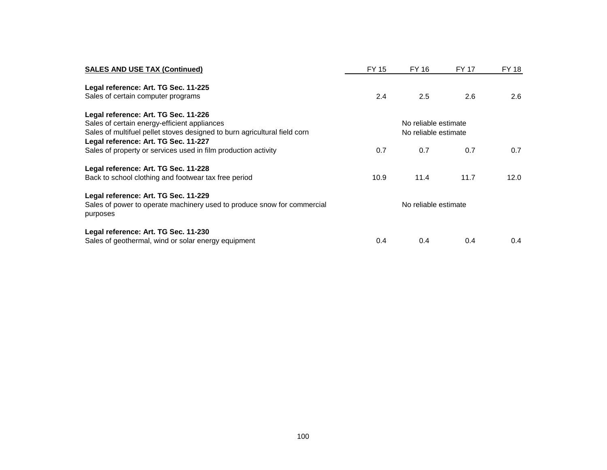| <b>SALES AND USE TAX (Continued)</b>                                                | FY 15                | FY 16                | FY 17 | <b>FY 18</b> |
|-------------------------------------------------------------------------------------|----------------------|----------------------|-------|--------------|
| Legal reference: Art. TG Sec. 11-225                                                |                      |                      |       |              |
| Sales of certain computer programs                                                  | 2.4                  | 2.5                  | 2.6   | 2.6          |
| Legal reference: Art. TG Sec. 11-226                                                |                      |                      |       |              |
| Sales of certain energy-efficient appliances                                        |                      | No reliable estimate |       |              |
| Sales of multifuel pellet stoves designed to burn agricultural field corn           | No reliable estimate |                      |       |              |
| Legal reference: Art. TG Sec. 11-227                                                |                      |                      |       |              |
| Sales of property or services used in film production activity                      | 0.7                  | 0.7                  | 0.7   | 0.7          |
| Legal reference: Art. TG Sec. 11-228                                                |                      |                      |       |              |
| Back to school clothing and footwear tax free period                                | 10.9                 | 11.4                 | 11.7  | 12.0         |
| Legal reference: Art. TG Sec. 11-229                                                |                      |                      |       |              |
| Sales of power to operate machinery used to produce snow for commercial<br>purposes | No reliable estimate |                      |       |              |
| Legal reference: Art. TG Sec. 11-230                                                |                      |                      |       |              |
| Sales of geothermal, wind or solar energy equipment                                 | 0.4                  | 0.4                  | 0.4   | 0.4          |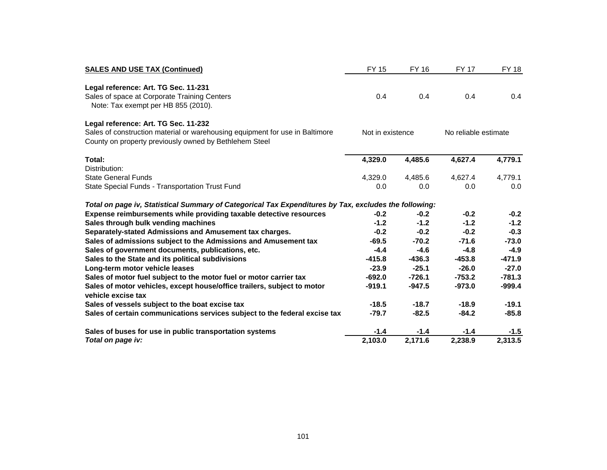| <b>SALES AND USE TAX (Continued)</b>                                                                                                   | FY 15            | FY 16    | <b>FY 17</b>         | <b>FY 18</b> |  |
|----------------------------------------------------------------------------------------------------------------------------------------|------------------|----------|----------------------|--------------|--|
| Legal reference: Art. TG Sec. 11-231                                                                                                   |                  |          |                      |              |  |
| Sales of space at Corporate Training Centers<br>Note: Tax exempt per HB 855 (2010).                                                    | 0.4              | 0.4      | 0.4                  | 0.4          |  |
| Legal reference: Art. TG Sec. 11-232                                                                                                   |                  |          |                      |              |  |
| Sales of construction material or warehousing equipment for use in Baltimore<br>County on property previously owned by Bethlehem Steel | Not in existence |          | No reliable estimate |              |  |
| Total:                                                                                                                                 | 4,329.0          | 4,485.6  | 4,627.4              | 4,779.1      |  |
| Distribution:                                                                                                                          |                  |          |                      |              |  |
| <b>State General Funds</b>                                                                                                             | 4,329.0          | 4,485.6  | 4,627.4              | 4.779.1      |  |
| State Special Funds - Transportation Trust Fund                                                                                        | 0.0              | 0.0      | 0.0                  | 0.0          |  |
| Total on page iv, Statistical Summary of Categorical Tax Expenditures by Tax, excludes the following:                                  |                  |          |                      |              |  |
| Expense reimbursements while providing taxable detective resources                                                                     | $-0.2$           | $-0.2$   | $-0.2$               | $-0.2$       |  |
| Sales through bulk vending machines                                                                                                    | $-1.2$           | $-1.2$   | $-1.2$               | $-1.2$       |  |
| Separately-stated Admissions and Amusement tax charges.                                                                                | $-0.2$           | $-0.2$   | $-0.2$               | $-0.3$       |  |
| Sales of admissions subject to the Admissions and Amusement tax                                                                        | $-69.5$          | $-70.2$  | $-71.6$              | $-73.0$      |  |
| Sales of government documents, publications, etc.                                                                                      | $-4.4$           | $-4.6$   | $-4.8$               | $-4.9$       |  |
| Sales to the State and its political subdivisions                                                                                      | $-415.8$         | $-436.3$ | $-453.8$             | $-471.9$     |  |
| Long-term motor vehicle leases                                                                                                         | $-23.9$          | $-25.1$  | $-26.0$              | $-27.0$      |  |
| Sales of motor fuel subject to the motor fuel or motor carrier tax                                                                     | $-692.0$         | $-726.1$ | $-753.2$             | $-781.3$     |  |
| Sales of motor vehicles, except house/office trailers, subject to motor<br>vehicle excise tax                                          | $-919.1$         | $-947.5$ | $-973.0$             | $-999.4$     |  |
| Sales of vessels subject to the boat excise tax                                                                                        | $-18.5$          | $-18.7$  | $-18.9$              | $-19.1$      |  |
| Sales of certain communications services subject to the federal excise tax                                                             | $-79.7$          | $-82.5$  | $-84.2$              | $-85.8$      |  |
| Sales of buses for use in public transportation systems                                                                                | $-1.4$           | $-1.4$   | $-1.4$               | $-1.5$       |  |
| Total on page iv:                                                                                                                      | 2,103.0          | 2,171.6  | 2,238.9              | 2,313.5      |  |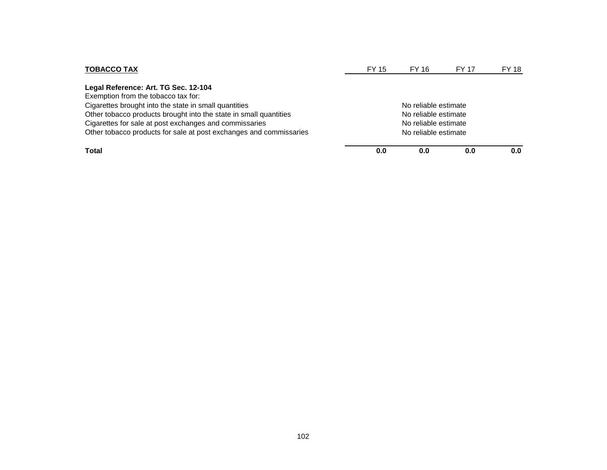| <b>TOBACCO TAX</b>                                                                           | FY 15                | FY 16                | <b>FY 17</b> | FY 18 |  |
|----------------------------------------------------------------------------------------------|----------------------|----------------------|--------------|-------|--|
| Legal Reference: Art. TG Sec. 12-104                                                         |                      |                      |              |       |  |
| Exemption from the tobacco tax for:<br>Cigarettes brought into the state in small quantities |                      | No reliable estimate |              |       |  |
| Other tobacco products brought into the state in small quantities                            | No reliable estimate |                      |              |       |  |
| Cigarettes for sale at post exchanges and commissaries                                       | No reliable estimate |                      |              |       |  |
| Other tobacco products for sale at post exchanges and commissaries                           | No reliable estimate |                      |              |       |  |
| Total                                                                                        | 0.0                  | 0.0                  | 0.0          |       |  |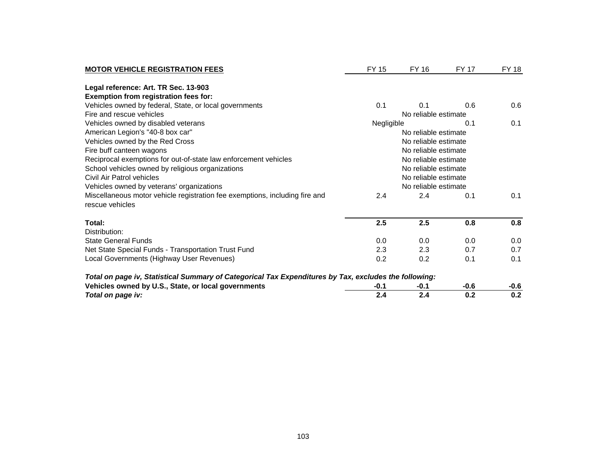| <b>MOTOR VEHICLE REGISTRATION FEES</b>                                                                | FY 15                | FY 16  | FY 17  | <b>FY 18</b> |
|-------------------------------------------------------------------------------------------------------|----------------------|--------|--------|--------------|
| Legal reference: Art. TR Sec. 13-903                                                                  |                      |        |        |              |
| Exemption from registration fees for:                                                                 |                      |        |        |              |
| Vehicles owned by federal, State, or local governments                                                | 0.1                  | 0.1    | 0.6    | 0.6          |
| Fire and rescue vehicles                                                                              | No reliable estimate |        |        |              |
| Vehicles owned by disabled veterans                                                                   | Negligible<br>0.1    |        | 0.1    |              |
| American Legion's "40-8 box car"                                                                      | No reliable estimate |        |        |              |
| Vehicles owned by the Red Cross                                                                       | No reliable estimate |        |        |              |
| Fire buff canteen wagons                                                                              | No reliable estimate |        |        |              |
| Reciprocal exemptions for out-of-state law enforcement vehicles                                       | No reliable estimate |        |        |              |
| School vehicles owned by religious organizations                                                      | No reliable estimate |        |        |              |
| Civil Air Patrol vehicles                                                                             | No reliable estimate |        |        |              |
| Vehicles owned by veterans' organizations                                                             | No reliable estimate |        |        |              |
| Miscellaneous motor vehicle registration fee exemptions, including fire and<br>rescue vehicles        | 2.4                  | 2.4    | 0.1    | 0.1          |
| Total:                                                                                                | 2.5                  | 2.5    | 0.8    | 0.8          |
| Distribution:                                                                                         |                      |        |        |              |
| <b>State General Funds</b>                                                                            | 0.0                  | 0.0    | 0.0    | 0.0          |
| Net State Special Funds - Transportation Trust Fund                                                   | 2.3                  | 2.3    | 0.7    | 0.7          |
| Local Governments (Highway User Revenues)                                                             | 0.2                  | 0.2    | 0.1    | 0.1          |
| Total on page iv, Statistical Summary of Categorical Tax Expenditures by Tax, excludes the following: |                      |        |        |              |
| Vehicles owned by U.S., State, or local governments                                                   | $-0.1$               | $-0.1$ | $-0.6$ | $-0.6$       |
| Total on page iv:                                                                                     | 2.4                  | 2.4    | 0.2    | 0.2          |